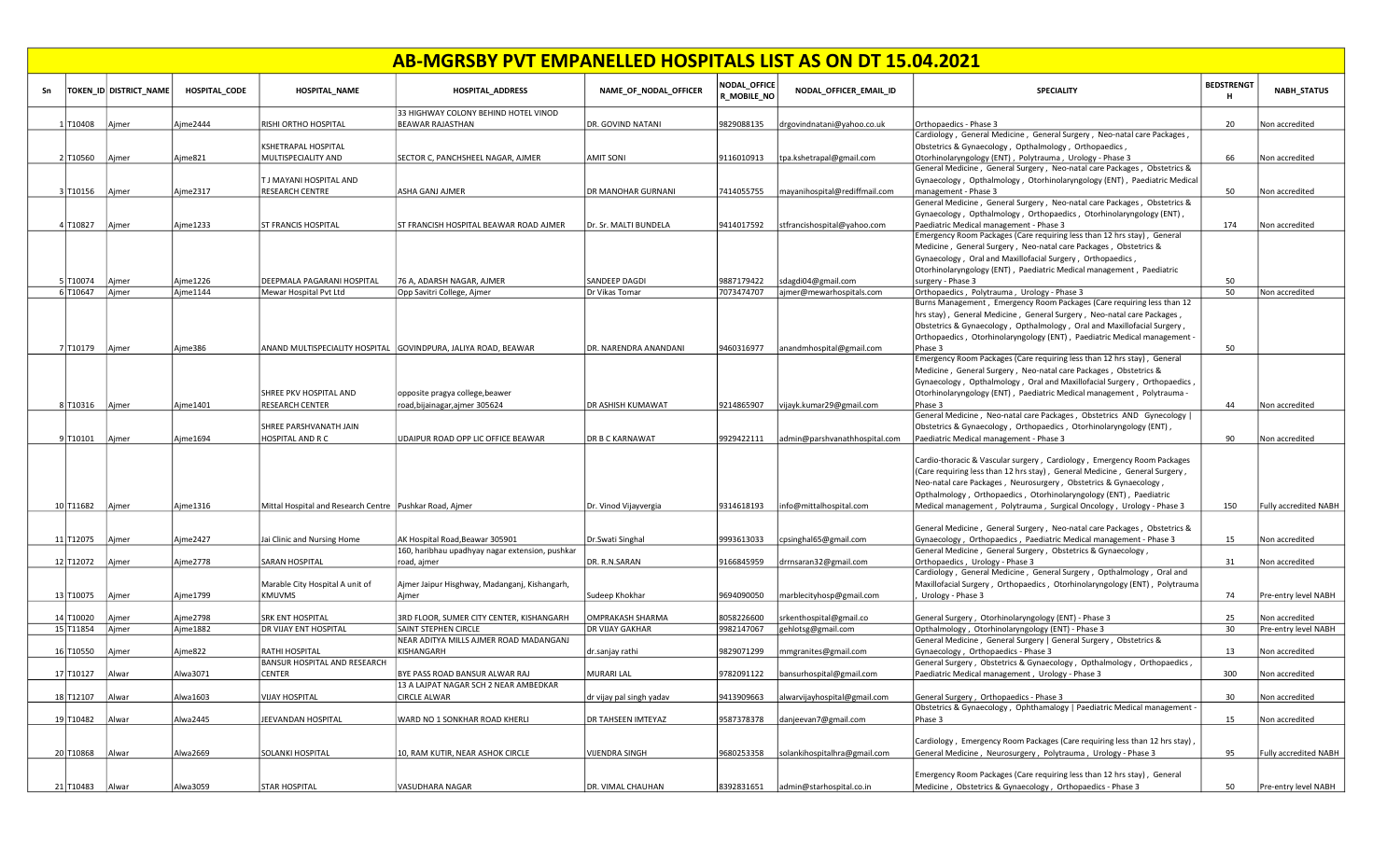|    | AB-MGRSBY PVT EMPANELLED HOSPITALS LIST AS ON DT 15.04.2021<br>NODAL_OFFICE<br><b>BEDSTRENGT</b><br>TOKEN ID DISTRICT NAME |       |               |                                                           |                                                                |                           |             |                               |                                                                                                                                              |     |                              |  |  |  |
|----|----------------------------------------------------------------------------------------------------------------------------|-------|---------------|-----------------------------------------------------------|----------------------------------------------------------------|---------------------------|-------------|-------------------------------|----------------------------------------------------------------------------------------------------------------------------------------------|-----|------------------------------|--|--|--|
| Sn |                                                                                                                            |       | HOSPITAL CODE | <b>HOSPITAL_NAME</b>                                      | <b>HOSPITAL_ADDRESS</b>                                        | NAME_OF_NODAL_OFFICER     | R_MOBILE_NO | NODAL OFFICER EMAIL ID        | <b>SPECIALITY</b>                                                                                                                            | н   | <b>NABH STATUS</b>           |  |  |  |
|    | 1 T10408                                                                                                                   | Ajmer | Ajme2444      | RISHI ORTHO HOSPITAL                                      | 33 HIGHWAY COLONY BEHIND HOTEL VINOD<br>BEAWAR RAJASTHAN       | DR. GOVIND NATANI         | 9829088135  | drgovindnatani@yahoo.co.uk    | Orthopaedics - Phase 3                                                                                                                       | 20  | Non accredited               |  |  |  |
|    |                                                                                                                            |       |               |                                                           |                                                                |                           |             |                               | Cardiology, General Medicine, General Surgery, Neo-natal care Packages,                                                                      |     |                              |  |  |  |
|    |                                                                                                                            |       |               | KSHETRAPAL HOSPITAL                                       |                                                                |                           |             |                               | Obstetrics & Gynaecology, Opthalmology, Orthopaedics,                                                                                        |     |                              |  |  |  |
|    | 2 T10560                                                                                                                   | Ajmer | Aime821       | MULTISPECIALITY AND                                       | SECTOR C, PANCHSHEEL NAGAR, AJMER                              | <b>AMIT SONI</b>          | 9116010913  | tpa.kshetrapal@gmail.com      | Otorhinolaryngology (ENT), Polytrauma, Urology - Phase 3                                                                                     | 66  | Non accredited               |  |  |  |
|    |                                                                                                                            |       |               |                                                           |                                                                |                           |             |                               | General Medicine, General Surgery, Neo-natal care Packages, Obstetrics &                                                                     |     |                              |  |  |  |
|    |                                                                                                                            |       |               | T J MAYANI HOSPITAL AND                                   |                                                                |                           |             |                               | Gynaecology, Opthalmology, Otorhinolaryngology (ENT), Paediatric Medical                                                                     |     |                              |  |  |  |
|    | 3 T10156                                                                                                                   | Ajmer | Aime2317      | <b>RESEARCH CENTRE</b>                                    | ASHA GANJ AJMER                                                | DR MANOHAR GURNANI        | 7414055755  | mayanihospital@rediffmail.com | management - Phase 3                                                                                                                         | 50  | Non accredited               |  |  |  |
|    |                                                                                                                            |       |               |                                                           |                                                                |                           |             |                               | General Medicine, General Surgery, Neo-natal care Packages, Obstetrics &                                                                     |     |                              |  |  |  |
|    | 4T10827                                                                                                                    | Aimer | Ajme1233      | <b>ST FRANCIS HOSPITAL</b>                                | ST FRANCISH HOSPITAL BEAWAR ROAD AJMER                         | Dr. Sr. MALTI BUNDELA     | 9414017592  | stfrancishospital@yahoo.com   | Gynaecology, Opthalmology, Orthopaedics, Otorhinolaryngology (ENT),<br>Paediatric Medical management - Phase 3                               | 174 | Non accredited               |  |  |  |
|    |                                                                                                                            |       |               |                                                           |                                                                |                           |             |                               | Emergency Room Packages (Care requiring less than 12 hrs stay), General                                                                      |     |                              |  |  |  |
|    |                                                                                                                            |       |               |                                                           |                                                                |                           |             |                               | Medicine, General Surgery, Neo-natal care Packages, Obstetrics &                                                                             |     |                              |  |  |  |
|    |                                                                                                                            |       |               |                                                           |                                                                |                           |             |                               | Gynaecology, Oral and Maxillofacial Surgery, Orthopaedics,                                                                                   |     |                              |  |  |  |
|    |                                                                                                                            |       |               |                                                           |                                                                |                           |             |                               | Otorhinolaryngology (ENT), Paediatric Medical management, Paediatric                                                                         |     |                              |  |  |  |
|    | 5 T10074                                                                                                                   | Ajmer | Ajme1226      | DEEPMALA PAGARANI HOSPITAL                                | 76 A, ADARSH NAGAR, AJMER                                      | SANDEEP DAGDI             | 9887179422  | sdagdi04@gmail.com            | surgery - Phase 3                                                                                                                            | 50  |                              |  |  |  |
|    | 6 T10647                                                                                                                   | Ajmer | Ajme1144      | Mewar Hospital Pvt Ltd                                    | Opp Savitri College, Ajmer                                     | Dr Vikas Tomar            | 7073474707  | ajmer@mewarhospitals.com      | Orthopaedics, Polytrauma, Urology - Phase 3                                                                                                  | 50  | Non accredited               |  |  |  |
|    |                                                                                                                            |       |               |                                                           |                                                                |                           |             |                               | Burns Management, Emergency Room Packages (Care requiring less than 12                                                                       |     |                              |  |  |  |
|    |                                                                                                                            |       |               |                                                           |                                                                |                           |             |                               | hrs stay), General Medicine, General Surgery, Neo-natal care Packages,                                                                       |     |                              |  |  |  |
|    |                                                                                                                            |       |               |                                                           |                                                                |                           |             |                               | Obstetrics & Gynaecology, Opthalmology, Oral and Maxillofacial Surgery,                                                                      |     |                              |  |  |  |
|    |                                                                                                                            |       |               |                                                           |                                                                |                           |             |                               | Orthopaedics, Otorhinolaryngology (ENT), Paediatric Medical management -                                                                     |     |                              |  |  |  |
|    | 7 T10179                                                                                                                   | Ajmer | Ajme386       |                                                           | ANAND MULTISPECIALITY HOSPITAL GOVINDPURA, JALIYA ROAD, BEAWAR | DR. NARENDRA ANANDANI     | 9460316977  | anandmhospital@gmail.com      | Phase 3                                                                                                                                      | 50  |                              |  |  |  |
|    |                                                                                                                            |       |               |                                                           |                                                                |                           |             |                               | Emergency Room Packages (Care requiring less than 12 hrs stay), General                                                                      |     |                              |  |  |  |
|    |                                                                                                                            |       |               |                                                           |                                                                |                           |             |                               | Medicine, General Surgery, Neo-natal care Packages, Obstetrics &                                                                             |     |                              |  |  |  |
|    |                                                                                                                            |       |               |                                                           |                                                                |                           |             |                               | Gynaecology, Opthalmology, Oral and Maxillofacial Surgery, Orthopaedics,                                                                     |     |                              |  |  |  |
|    |                                                                                                                            |       |               | SHREE PKV HOSPITAL AND                                    | opposite pragya college, beawer                                |                           |             |                               | Otorhinolaryngology (ENT), Paediatric Medical management, Polytrauma -                                                                       |     |                              |  |  |  |
|    | 8 T10316                                                                                                                   | Ajmer | Ajme1401      | <b>RESEARCH CENTER</b>                                    | road, bijainagar, ajmer 305624                                 | <b>DR ASHISH KUMAWAT</b>  | 9214865907  | vijayk.kumar29@gmail.com      | Phase 3<br>General Medicine, Neo-natal care Packages, Obstetrics AND Gynecology                                                              | 44  | Non accredited               |  |  |  |
|    |                                                                                                                            |       |               | SHREE PARSHVANATH JAIN                                    |                                                                |                           |             |                               | Obstetrics & Gynaecology, Orthopaedics, Otorhinolaryngology (ENT),                                                                           |     |                              |  |  |  |
|    | 9 T10101                                                                                                                   | Ajmer | Ajme1694      | HOSPITAL AND R C                                          | UDAIPUR ROAD OPP LIC OFFICE BEAWAR                             | <b>DR B C KARNAWAT</b>    | 9929422111  | admin@parshvanathhospital.com | Paediatric Medical management - Phase 3                                                                                                      | 90  | Non accredited               |  |  |  |
|    |                                                                                                                            |       |               |                                                           |                                                                |                           |             |                               |                                                                                                                                              |     |                              |  |  |  |
|    |                                                                                                                            |       |               |                                                           |                                                                |                           |             |                               | Cardio-thoracic & Vascular surgery, Cardiology, Emergency Room Packages                                                                      |     |                              |  |  |  |
|    |                                                                                                                            |       |               |                                                           |                                                                |                           |             |                               | (Care requiring less than 12 hrs stay), General Medicine, General Surgery,                                                                   |     |                              |  |  |  |
|    |                                                                                                                            |       |               |                                                           |                                                                |                           |             |                               | Neo-natal care Packages, Neurosurgery, Obstetrics & Gynaecology,                                                                             |     |                              |  |  |  |
|    |                                                                                                                            |       |               |                                                           |                                                                |                           |             |                               | Opthalmology, Orthopaedics, Otorhinolaryngology (ENT), Paediatric                                                                            |     |                              |  |  |  |
|    | 10 T11682                                                                                                                  | Ajmer | Ajme1316      | Mittal Hospital and Research Centre   Pushkar Road, Ajmer |                                                                | Dr. Vinod Vijayvergia     | 9314618193  | info@mittalhospital.com       | Medical management, Polytrauma, Surgical Oncology, Urology - Phase 3                                                                         | 150 | <b>Fully accredited NABH</b> |  |  |  |
|    |                                                                                                                            |       |               |                                                           |                                                                |                           |             |                               |                                                                                                                                              |     |                              |  |  |  |
|    |                                                                                                                            |       |               |                                                           |                                                                |                           |             |                               | General Medicine, General Surgery, Neo-natal care Packages, Obstetrics &                                                                     |     |                              |  |  |  |
|    | 11 T12075                                                                                                                  | Aimer | Ajme2427      | Jai Clinic and Nursing Home                               | AK Hospital Road, Beawar 305901                                | Dr.Swati Singhal          | 9993613033  | cpsinghal65@gmail.com         | Gynaecology, Orthopaedics, Paediatric Medical management - Phase 3                                                                           | 15  | Non accredited               |  |  |  |
|    |                                                                                                                            |       |               |                                                           | 160, haribhau upadhyay nagar extension, pushkar                |                           |             |                               | General Medicine, General Surgery, Obstetrics & Gynaecology,                                                                                 |     |                              |  |  |  |
|    | 12 T12072                                                                                                                  | Ajmer | Ajme2778      | <b>SARAN HOSPITAL</b>                                     | road, ajmer                                                    | DR. R.N.SARAN             | 9166845959  | drrnsaran32@gmail.com         | Orthopaedics, Urology - Phase 3<br>Cardiology, General Medicine, General Surgery, Opthalmology, Oral and                                     | 31  | Non accredited               |  |  |  |
|    |                                                                                                                            |       |               | Marable City Hospital A unit of                           | Ajmer Jaipur Hisghway, Madanganj, Kishangarh,                  |                           |             |                               | Maxillofacial Surgery, Orthopaedics, Otorhinolaryngology (ENT), Polytrauma                                                                   |     |                              |  |  |  |
|    | 13 T10075                                                                                                                  | Ajmer | Aime1799      | <b>KMUVMS</b>                                             | Ajmer                                                          | Sudeep Khokhar            | 9694090050  | marblecityhosp@gmail.com      | Urology - Phase 3                                                                                                                            | 74  | Pre-entry level NABH         |  |  |  |
|    |                                                                                                                            |       |               |                                                           |                                                                |                           |             |                               |                                                                                                                                              |     |                              |  |  |  |
|    | 14 T10020                                                                                                                  | Ajmer | Ajme2798      | <b>SRK ENT HOSPITAL</b>                                   | 3RD FLOOR. SUMER CITY CENTER. KISHANGARH                       | OMPRAKASH SHARMA          | 8058226600  | srkenthospital@gmail.co       | General Surgery, Otorhinolaryngology (ENT) - Phase 3                                                                                         | 25  | Non accredited               |  |  |  |
|    | 15 T11854                                                                                                                  | Aimer | Ajme1882      | DR VIJAY ENT HOSPITAL                                     | SAINT STEPHEN CIRCLE                                           | DR VIJAY GAKHAR           | 9982147067  | gehlotsg@gmail.com            | Opthalmology, Otorhinolaryngology (ENT) - Phase 3                                                                                            | 30  | Pre-entry level NABH         |  |  |  |
|    |                                                                                                                            |       |               |                                                           | NEAR ADITYA MILLS AJMER ROAD MADANGANJ                         |                           |             |                               | General Medicine, General Surgery   General Surgery, Obstetrics &                                                                            |     |                              |  |  |  |
|    | 16 T10550                                                                                                                  | Ajmer | Ajme822       | RATHI HOSPITAL                                            | KISHANGARH                                                     | dr.sanjay rathi           | 9829071299  | mmgranites@gmail.com          | Gynaecology, Orthopaedics - Phase 3                                                                                                          | 13  | Non accredited               |  |  |  |
|    |                                                                                                                            |       |               | BANSUR HOSPITAL AND RESEARCH                              |                                                                |                           |             |                               | General Surgery, Obstetrics & Gynaecology, Opthalmology, Orthopaedics,                                                                       |     |                              |  |  |  |
|    | 17 T10127                                                                                                                  | Alwar | Alwa3071      | CENTER                                                    | BYE PASS ROAD BANSUR ALWAR RAJ                                 | MURARI LAL                | 9782091122  | bansurhospital@gmail.com      | Paediatric Medical management, Urology - Phase 3                                                                                             | 300 | Non accredited               |  |  |  |
|    |                                                                                                                            |       |               |                                                           | 13 A LAJPAT NAGAR SCH 2 NEAR AMBEDKAR                          |                           |             |                               |                                                                                                                                              |     |                              |  |  |  |
|    | 18 T12107                                                                                                                  | Alwar | Alwa1603      | <b>VIJAY HOSPITAL</b>                                     | <b>CIRCLE ALWAR</b>                                            | dr vijay pal singh yadav  | 9413909663  | alwarvijayhospital@gmail.com  | General Surgery, Orthopaedics - Phase 3                                                                                                      | 30  | Non accredited               |  |  |  |
|    |                                                                                                                            |       |               |                                                           |                                                                |                           |             |                               | Obstetrics & Gynaecology, Ophthamalogy   Paediatric Medical management -                                                                     |     |                              |  |  |  |
|    | 19 T10482                                                                                                                  | Alwar | Alwa2445      | JEEVANDAN HOSPITAL                                        | WARD NO 1 SONKHAR ROAD KHERLI                                  | <b>DR TAHSEEN IMTEYAZ</b> | 9587378378  | danjeevan7@gmail.com          | Phase 3                                                                                                                                      | 15  | Non accredited               |  |  |  |
|    |                                                                                                                            |       |               |                                                           |                                                                |                           |             |                               |                                                                                                                                              |     |                              |  |  |  |
|    |                                                                                                                            |       |               |                                                           |                                                                |                           |             |                               | Cardiology, Emergency Room Packages (Care requiring less than 12 hrs stay),<br>General Medicine, Neurosurgery, Polytrauma, Urology - Phase 3 |     |                              |  |  |  |
|    | 20 T10868                                                                                                                  | Alwar | Alwa2669      | SOLANKI HOSPITAL                                          | 10, RAM KUTIR, NEAR ASHOK CIRCLE                               | <b>VIJENDRA SINGH</b>     | 9680253358  | solankihospitalhra@gmail.com  |                                                                                                                                              | 95  | Fully accredited NABH        |  |  |  |
|    |                                                                                                                            |       |               |                                                           |                                                                |                           |             |                               | Emergency Room Packages (Care requiring less than 12 hrs stay), General                                                                      |     |                              |  |  |  |
|    | 21 T10483                                                                                                                  | Alwar | Alwa3059      | <b>STAR HOSPITAL</b>                                      | VASUDHARA NAGAR                                                | DR. VIMAL CHAUHAN         | 8392831651  | admin@starhospital.co.in      | Medicine, Obstetrics & Gynaecology, Orthopaedics - Phase 3                                                                                   | 50  | Pre-entry level NABH         |  |  |  |
|    |                                                                                                                            |       |               |                                                           |                                                                |                           |             |                               |                                                                                                                                              |     |                              |  |  |  |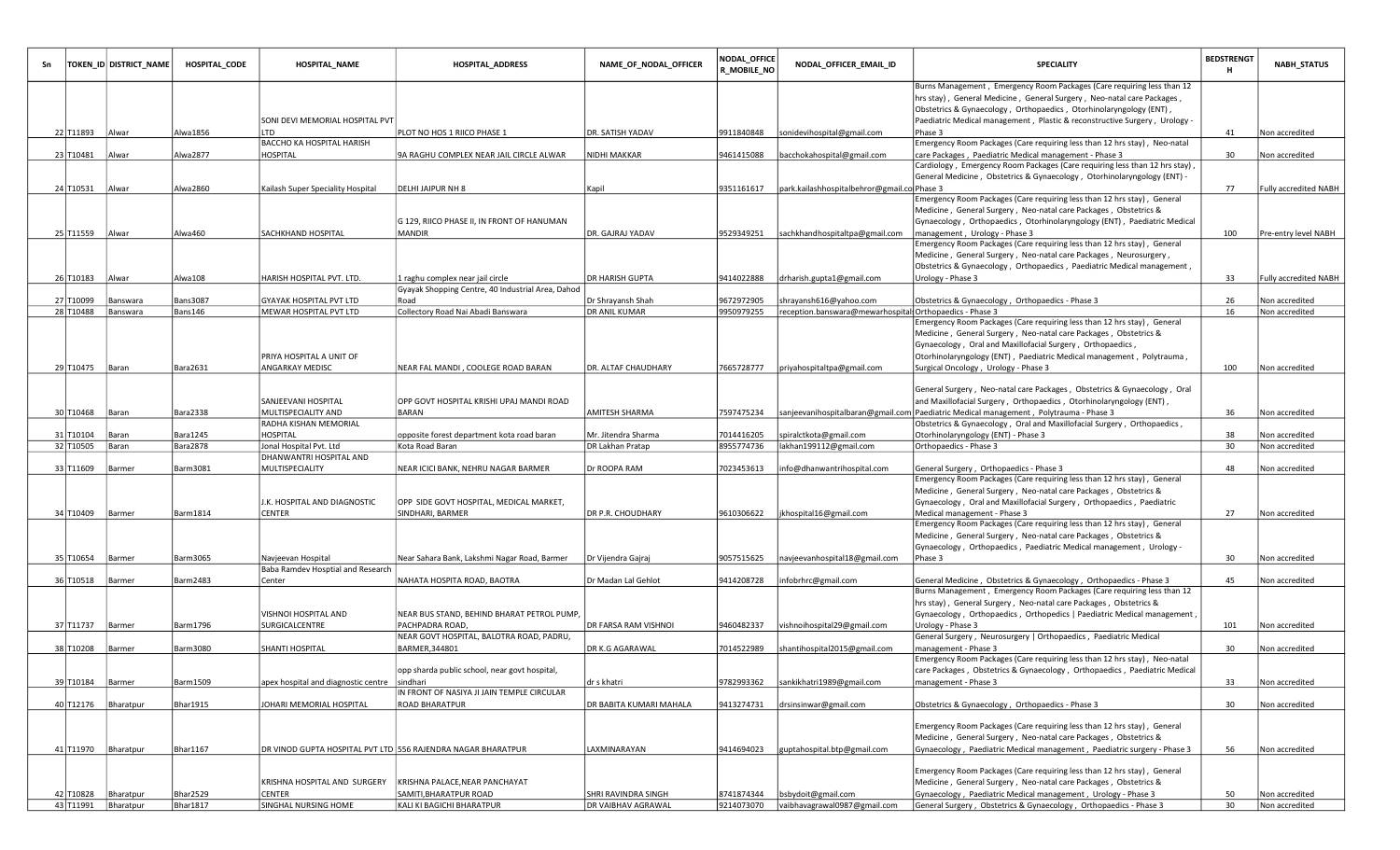| Sn |                        | TOKEN_ID DISTRICT_NAME | HOSPITAL_CODE              | <b>HOSPITAL_NAME</b>                              | <b>HOSPITAL_ADDRESS</b>                                       | NAME_OF_NODAL_OFFICER              | NODAL_OFFICE<br><b>R_MOBILE_NO</b> | NODAL_OFFICER_EMAIL_ID                                                             | <b>SPECIALITY</b>                                                                                                                            | <b>BEDSTRENGT</b><br>н | <b>NABH_STATUS</b>               |
|----|------------------------|------------------------|----------------------------|---------------------------------------------------|---------------------------------------------------------------|------------------------------------|------------------------------------|------------------------------------------------------------------------------------|----------------------------------------------------------------------------------------------------------------------------------------------|------------------------|----------------------------------|
|    |                        |                        |                            |                                                   |                                                               |                                    |                                    |                                                                                    | Burns Management, Emergency Room Packages (Care requiring less than 12                                                                       |                        |                                  |
|    |                        |                        |                            |                                                   |                                                               |                                    |                                    |                                                                                    | hrs stay), General Medicine, General Surgery, Neo-natal care Packages,                                                                       |                        |                                  |
|    |                        |                        |                            |                                                   |                                                               |                                    |                                    |                                                                                    | Obstetrics & Gynaecology, Orthopaedics, Otorhinolaryngology (ENT),                                                                           |                        |                                  |
|    | 22 T11893   Alwar      |                        | Alwa1856                   | SONI DEVI MEMORIAL HOSPITAL PVT<br>LTD            | PLOT NO HOS 1 RIICO PHASE 1                                   | DR. SATISH YADAV                   | 9911840848                         | sonidevihospital@gmail.com                                                         | Paediatric Medical management, Plastic & reconstructive Surgery, Urology -<br>Phase 3                                                        | 41                     | Non accredited                   |
|    |                        |                        |                            | BACCHO KA HOSPITAL HARISH                         |                                                               |                                    |                                    |                                                                                    | Emergency Room Packages (Care requiring less than 12 hrs stay), Neo-natal                                                                    |                        |                                  |
|    | 23 T10481   Alwar      |                        | Alwa2877                   | HOSPITAL                                          | 9A RAGHU COMPLEX NEAR JAIL CIRCLE ALWAR                       | NIDHI MAKKAR                       | 9461415088                         | bacchokahospital@gmail.com                                                         | care Packages, Paediatric Medical management - Phase 3                                                                                       | 30                     | Non accredited                   |
|    |                        |                        |                            |                                                   |                                                               |                                    |                                    |                                                                                    | Cardiology, Emergency Room Packages (Care requiring less than 12 hrs stay),                                                                  |                        |                                  |
|    |                        |                        |                            |                                                   |                                                               |                                    |                                    |                                                                                    | General Medicine, Obstetrics & Gynaecology, Otorhinolaryngology (ENT) -                                                                      |                        |                                  |
|    | 24 T10531   Alwar      |                        | Alwa2860                   | Kailash Super Speciality Hospital                 | <b>DELHI JAIPUR NH 8</b>                                      | Kapil                              | 9351161617                         | park.kailashhospitalbehror@gmail.co Phase 3                                        |                                                                                                                                              | 77                     | Fully accredited NABH            |
|    |                        |                        |                            |                                                   |                                                               |                                    |                                    |                                                                                    | Emergency Room Packages (Care requiring less than 12 hrs stay), General                                                                      |                        |                                  |
|    |                        |                        |                            |                                                   | G 129, RIICO PHASE II, IN FRONT OF HANUMAN                    |                                    |                                    |                                                                                    | Medicine, General Surgery, Neo-natal care Packages, Obstetrics &<br>Gynaecology, Orthopaedics, Otorhinolaryngology (ENT), Paediatric Medical |                        |                                  |
|    | 25 T11559 Alwar        |                        | Alwa460                    | SACHKHAND HOSPITAL                                | <b>MANDIR</b>                                                 | DR. GAJRAJ YADAV                   | 9529349251                         | sachkhandhospitaltpa@gmail.com                                                     | management, Urology - Phase 3                                                                                                                | 100                    | Pre-entry level NABH             |
|    |                        |                        |                            |                                                   |                                                               |                                    |                                    |                                                                                    | Emergency Room Packages (Care requiring less than 12 hrs stay), General                                                                      |                        |                                  |
|    |                        |                        |                            |                                                   |                                                               |                                    |                                    |                                                                                    | Medicine, General Surgery, Neo-natal care Packages, Neurosurgery,                                                                            |                        |                                  |
|    |                        |                        |                            |                                                   |                                                               |                                    |                                    |                                                                                    | Obstetrics & Gynaecology, Orthopaedics, Paediatric Medical management,                                                                       |                        |                                  |
|    | 26 T10183   Alwar      |                        | Alwa108                    | HARISH HOSPITAL PVT. LTD.                         | 1 raghu complex near jail circle                              | DR HARISH GUPTA                    | 9414022888                         | drharish.gupta1@gmail.com                                                          | Urology - Phase 3                                                                                                                            | 33                     | <b>Fully accredited NABH</b>     |
|    |                        |                        |                            |                                                   | Gyayak Shopping Centre, 40 Industrial Area, Dahod             |                                    |                                    |                                                                                    |                                                                                                                                              |                        |                                  |
|    | 27 T10099<br>28 T10488 | Banswara<br>Banswara   | <b>Bans3087</b><br>Bans146 | GYAYAK HOSPITAL PVT LTD<br>MEWAR HOSPITAL PVT LTD | Road<br>Collectory Road Nai Abadi Banswara                    | Dr Shrayansh Shah<br>DR ANIL KUMAR | 9672972905<br>9950979255           | shrayansh616@yahoo.com<br>reception.banswara@mewarhospital: Orthopaedics - Phase 3 | Obstetrics & Gynaecology, Orthopaedics - Phase 3                                                                                             | 26<br>16               | Non accredited<br>Non accredited |
|    |                        |                        |                            |                                                   |                                                               |                                    |                                    |                                                                                    | Emergency Room Packages (Care requiring less than 12 hrs stay), General                                                                      |                        |                                  |
|    |                        |                        |                            |                                                   |                                                               |                                    |                                    |                                                                                    | Medicine, General Surgery, Neo-natal care Packages, Obstetrics &                                                                             |                        |                                  |
|    |                        |                        |                            |                                                   |                                                               |                                    |                                    |                                                                                    | Gynaecology, Oral and Maxillofacial Surgery, Orthopaedics,                                                                                   |                        |                                  |
|    |                        |                        |                            | PRIYA HOSPITAL A UNIT OF                          |                                                               |                                    |                                    |                                                                                    | Otorhinolaryngology (ENT), Paediatric Medical management, Polytrauma,                                                                        |                        |                                  |
|    | 29 T10475 Baran        |                        | Bara2631                   | ANGARKAY MEDISC                                   | NEAR FAL MANDI, COOLEGE ROAD BARAN                            | DR. ALTAF CHAUDHARY                | 7665728777                         | priyahospitaltpa@gmail.com                                                         | Surgical Oncology, Urology - Phase 3                                                                                                         | 100                    | Non accredited                   |
|    |                        |                        |                            |                                                   |                                                               |                                    |                                    |                                                                                    |                                                                                                                                              |                        |                                  |
|    |                        |                        |                            |                                                   |                                                               |                                    |                                    |                                                                                    | General Surgery, Neo-natal care Packages, Obstetrics & Gynaecology, Oral                                                                     |                        |                                  |
|    |                        |                        |                            | SANJEEVANI HOSPITAL                               | OPP GOVT HOSPITAL KRISHI UPAJ MANDI ROAD                      |                                    |                                    |                                                                                    | and Maxillofacial Surgery, Orthopaedics, Otorhinolaryngology (ENT),                                                                          |                        |                                  |
|    | 30 T10468 Baran        |                        | <b>Bara2338</b>            | MULTISPECIALITY AND                               | BARAN                                                         | <b>AMITESH SHARMA</b>              | 7597475234                         |                                                                                    | sanjeevanihospitalbaran@gmail.com Paediatric Medical management, Polytrauma - Phase 3                                                        | 36                     | Non accredited                   |
|    | 31 T10104              |                        | Bara1245                   | RADHA KISHAN MEMORIAL<br>HOSPITAL                 |                                                               | Mr. Jitendra Sharma                | 7014416205                         | spiralctkota@gmail.com                                                             | Obstetrics & Gynaecology, Oral and Maxillofacial Surgery, Orthopaedics,<br>Otorhinolaryngology (ENT) - Phase 3                               | 38                     |                                  |
|    | 32 T10505              | Baran<br>Baran         | <b>Bara2878</b>            | Jonal Hospital Pvt. Ltd                           | opposite forest department kota road baran<br>Kota Road Baran | DR Lakhan Pratap                   | 8955774736                         | lakhan199112@gmail.com                                                             | Orthopaedics - Phase 3                                                                                                                       | 30                     | Non accredited<br>Non accredited |
|    |                        |                        |                            | DHANWANTRI HOSPITAL AND                           |                                                               |                                    |                                    |                                                                                    |                                                                                                                                              |                        |                                  |
|    | 33 T11609              | Barmer                 | Barm3081                   | MULTISPECIALITY                                   | NEAR ICICI BANK, NEHRU NAGAR BARMER                           | Dr ROOPA RAM                       | 7023453613                         | info@dhanwantrihospital.com                                                        | General Surgery, Orthopaedics - Phase 3                                                                                                      | 48                     | Non accredited                   |
|    |                        |                        |                            |                                                   |                                                               |                                    |                                    |                                                                                    | Emergency Room Packages (Care requiring less than 12 hrs stay), General                                                                      |                        |                                  |
|    |                        |                        |                            |                                                   |                                                               |                                    |                                    |                                                                                    | Medicine, General Surgery, Neo-natal care Packages, Obstetrics &                                                                             |                        |                                  |
|    |                        |                        |                            | J.K. HOSPITAL AND DIAGNOSTIC                      | OPP SIDE GOVT HOSPITAL, MEDICAL MARKET,                       |                                    |                                    |                                                                                    | Gynaecology, Oral and Maxillofacial Surgery, Orthopaedics, Paediatric                                                                        |                        |                                  |
|    | 34 T10409 Barmer       |                        | <b>Barm1814</b>            | CENTER                                            | SINDHARI, BARMER                                              | DR P.R. CHOUDHARY                  | 9610306622                         | jkhospital16@gmail.com                                                             | Medical management - Phase 3                                                                                                                 | 27                     | Non accredited                   |
|    |                        |                        |                            |                                                   |                                                               |                                    |                                    |                                                                                    | Emergency Room Packages (Care requiring less than 12 hrs stay), General                                                                      |                        |                                  |
|    |                        |                        |                            |                                                   |                                                               |                                    |                                    |                                                                                    | Medicine, General Surgery, Neo-natal care Packages, Obstetrics &<br>Gynaecology, Orthopaedics, Paediatric Medical management, Urology -      |                        |                                  |
|    | 35 T10654 Barmer       |                        | Barm3065                   | Navjeevan Hospital                                | Near Sahara Bank, Lakshmi Nagar Road, Barmer                  | Dr Vijendra Gajraj                 | 9057515625                         | navjeevanhospital18@gmail.com                                                      | Phase 3                                                                                                                                      | 30                     | Non accredited                   |
|    |                        |                        |                            | Baba Ramdev Hosptial and Research                 |                                                               |                                    |                                    |                                                                                    |                                                                                                                                              |                        |                                  |
|    | 36 T10518   Barmer     |                        | Barm2483                   | Center                                            | NAHATA HOSPITA ROAD, BAOTRA                                   | Dr Madan Lal Gehlot                | 9414208728                         | infobrhrc@gmail.com                                                                | General Medicine, Obstetrics & Gynaecology, Orthopaedics - Phase 3                                                                           | 45                     | Non accredited                   |
|    |                        |                        |                            |                                                   |                                                               |                                    |                                    |                                                                                    | Burns Management, Emergency Room Packages (Care requiring less than 12                                                                       |                        |                                  |
|    |                        |                        |                            |                                                   |                                                               |                                    |                                    |                                                                                    | hrs stay), General Surgery, Neo-natal care Packages, Obstetrics &                                                                            |                        |                                  |
|    |                        |                        |                            | VISHNOI HOSPITAL AND                              | NEAR BUS STAND, BEHIND BHARAT PETROL PUMP,                    |                                    |                                    |                                                                                    | Gynaecology, Orthopaedics, Orthopedics   Paediatric Medical management,                                                                      |                        |                                  |
|    | 37 T11737 Barmer       |                        | Barm1796                   | SURGICALCENTRE                                    | PACHPADRA ROAD,                                               | DR FARSA RAM VISHNOI               | 9460482337                         | vishnoihospital29@gmail.com                                                        | Urology - Phase 3                                                                                                                            | 101                    | Non accredited                   |
|    |                        |                        |                            |                                                   | NEAR GOVT HOSPITAL, BALOTRA ROAD, PADRU,                      |                                    |                                    |                                                                                    | General Surgery, Neurosurgery   Orthopaedics, Paediatric Medical                                                                             |                        |                                  |
|    | 38 T10208              | Barmer                 | <b>Barm3080</b>            | SHANTI HOSPITAL                                   | BARMER.344801                                                 | DR K.G AGARAWAL                    | 7014522989                         | shantihospital2015@gmail.com                                                       | management - Phase 3<br>Emergency Room Packages (Care requiring less than 12 hrs stay), Neo-natal                                            | 30                     | Non accredited                   |
|    |                        |                        |                            |                                                   | opp sharda public school, near govt hospital,                 |                                    |                                    |                                                                                    | care Packages, Obstetrics & Gynaecology, Orthopaedics, Paediatric Medical                                                                    |                        |                                  |
|    | 39 T10184 Barmer       |                        | Barm1509                   | apex hospital and diagnostic centre               | sindhari                                                      | dr s khatri                        | 9782993362                         | sankikhatri1989@gmail.com                                                          | management - Phase 3                                                                                                                         | 33                     | Non accredited                   |
|    |                        |                        |                            |                                                   | IN FRONT OF NASIYA JI JAIN TEMPLE CIRCULAR                    |                                    |                                    |                                                                                    |                                                                                                                                              |                        |                                  |
|    | 40 T12176 Bharatpur    |                        | <b>Bhar1915</b>            | JOHARI MEMORIAL HOSPITAL                          | ROAD BHARATPUR                                                | DR BABITA KUMARI MAHALA            | 9413274731                         | drsinsinwar@gmail.com                                                              | Obstetrics & Gynaecology, Orthopaedics - Phase 3                                                                                             | 30                     | Non accredited                   |
|    |                        |                        |                            |                                                   |                                                               |                                    |                                    |                                                                                    |                                                                                                                                              |                        |                                  |
|    |                        |                        |                            |                                                   |                                                               |                                    |                                    |                                                                                    | Emergency Room Packages (Care requiring less than 12 hrs stay), General                                                                      |                        |                                  |
|    |                        |                        |                            |                                                   |                                                               |                                    |                                    |                                                                                    | Medicine, General Surgery, Neo-natal care Packages, Obstetrics &                                                                             |                        |                                  |
|    | 41 T11970 Bharatpur    |                        | Bhar1167                   |                                                   | DR VINOD GUPTA HOSPITAL PVT LTD 556 RAJENDRA NAGAR BHARATPUR  | LAXMINARAYAN                       | 9414694023                         | guptahospital.btp@gmail.com                                                        | Gynaecology, Paediatric Medical management, Paediatric surgery - Phase 3                                                                     | 56                     | Non accredited                   |
|    |                        |                        |                            |                                                   |                                                               |                                    |                                    |                                                                                    | Emergency Room Packages (Care requiring less than 12 hrs stay), General                                                                      |                        |                                  |
|    |                        |                        |                            | KRISHNA HOSPITAL AND SURGERY                      | KRISHNA PALACE, NEAR PANCHAYAT                                |                                    |                                    |                                                                                    | Medicine, General Surgery, Neo-natal care Packages, Obstetrics &                                                                             |                        |                                  |
|    |                        | 42 T10828 Bharatpur    | <b>Bhar2529</b>            | CENTER                                            | SAMITI.BHARATPUR ROAD                                         | SHRI RAVINDRA SINGH                | 8741874344                         | bsbydoit@gmail.com                                                                 | Gynaecology, Paediatric Medical management, Urology - Phase 3                                                                                | 50                     | Non accredited                   |
|    | 43 T11991 Bharatpur    |                        | Bhar1817                   | SINGHAL NURSING HOME                              | KALI KI BAGICHI BHARATPUR                                     | DR VAIBHAV AGRAWAL                 | 9214073070                         | vaibhavagrawal0987@gmail.com                                                       | General Surgery, Obstetrics & Gynaecology, Orthopaedics - Phase 3                                                                            | 30                     | Non accredited                   |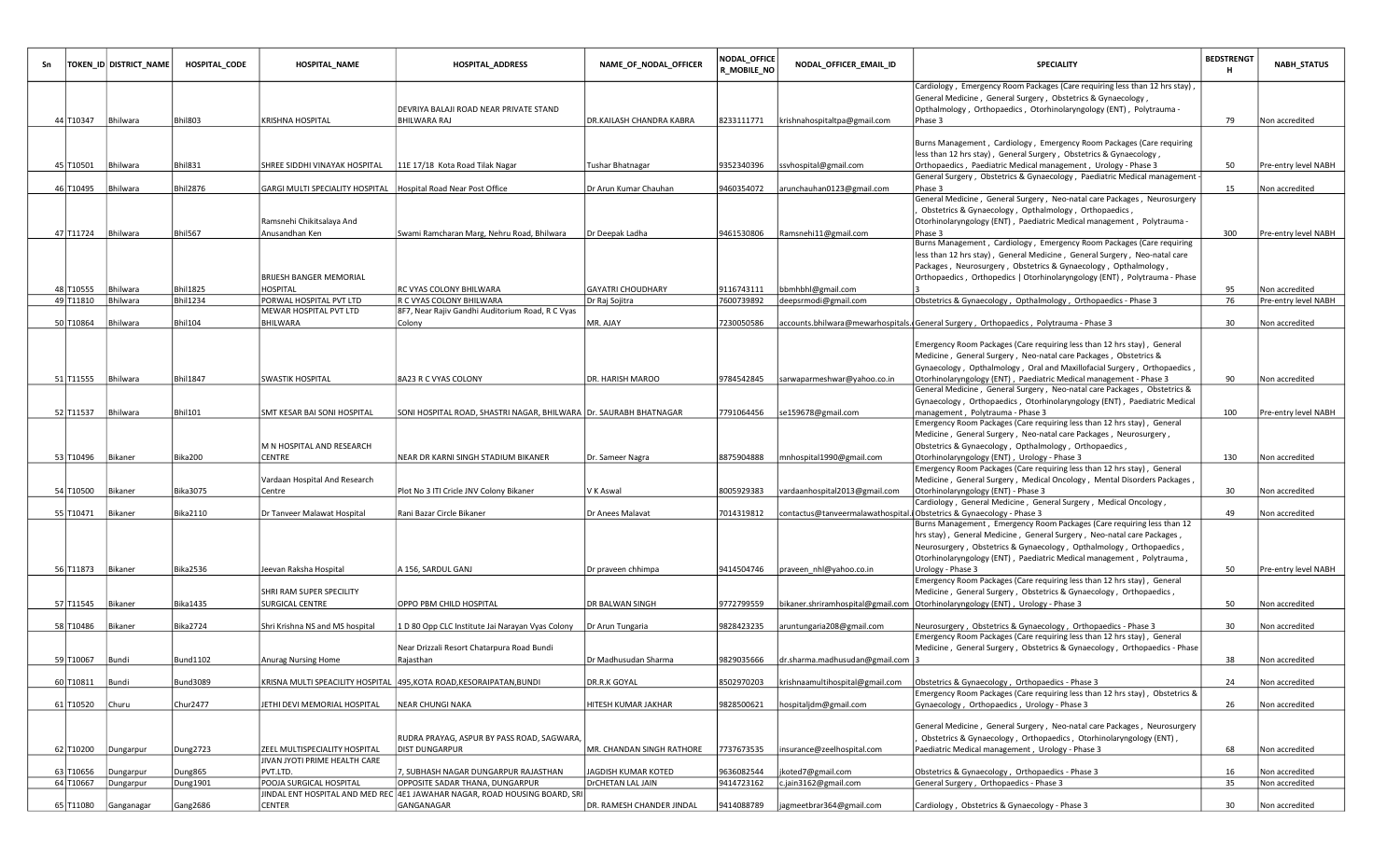| Sn |                        | TOKEN_ID DISTRICT_NAME | <b>HOSPITAL CODE</b>               | <b>HOSPITAL_NAME</b>                | <b>HOSPITAL_ADDRESS</b>                                                     | NAME_OF_NODAL_OFFICER     | NODAL_OFFICE<br>R_MOBILE_NO | NODAL_OFFICER_EMAIL_ID                                                | SPECIALITY                                                                                              | <b>BEDSTRENGT</b><br>н | <b>NABH_STATUS</b>   |
|----|------------------------|------------------------|------------------------------------|-------------------------------------|-----------------------------------------------------------------------------|---------------------------|-----------------------------|-----------------------------------------------------------------------|---------------------------------------------------------------------------------------------------------|------------------------|----------------------|
|    |                        |                        |                                    |                                     |                                                                             |                           |                             |                                                                       | Cardiology, Emergency Room Packages (Care requiring less than 12 hrs stay),                             |                        |                      |
|    |                        |                        |                                    |                                     |                                                                             |                           |                             |                                                                       | General Medicine, General Surgery, Obstetrics & Gynaecology,                                            |                        |                      |
|    |                        |                        |                                    |                                     | DEVRIYA BALAJI ROAD NEAR PRIVATE STAND                                      |                           |                             |                                                                       | Opthalmology, Orthopaedics, Otorhinolaryngology (ENT), Polytrauma -                                     |                        |                      |
|    | 44 T10347              | Bhilwara               | Bhil803                            | KRISHNA HOSPITAL                    | <b>BHILWARA RAJ</b>                                                         | DR.KAILASH CHANDRA KABRA  | 8233111771                  | krishnahospitaltpa@gmail.com                                          | Phase 3                                                                                                 | 79                     | Non accredited       |
|    |                        |                        |                                    |                                     |                                                                             |                           |                             |                                                                       | Burns Management, Cardiology, Emergency Room Packages (Care requiring                                   |                        |                      |
|    |                        |                        |                                    |                                     |                                                                             |                           |                             |                                                                       | less than 12 hrs stay), General Surgery, Obstetrics & Gynaecology,                                      |                        |                      |
|    | 45 T10501              | Bhilwara               | Bhil831                            | SHREE SIDDHI VINAYAK HOSPITAL       | 11E 17/18 Kota Road Tilak Nagar                                             | Tushar Bhatnagar          | 9352340396                  | ssvhospital@gmail.com                                                 | Orthopaedics, Paediatric Medical management, Urology - Phase 3                                          | 50                     | Pre-entry level NABH |
|    |                        |                        |                                    |                                     |                                                                             |                           |                             |                                                                       | General Surgery, Obstetrics & Gynaecology, Paediatric Medical management -                              |                        |                      |
|    | 46 T10495              | Bhilwara               | <b>Bhil2876</b>                    | GARGI MULTI SPECIALITY HOSPITAL     | Hospital Road Near Post Office                                              | Dr Arun Kumar Chauhan     | 9460354072                  | arunchauhan0123@gmail.com                                             | Phase 3                                                                                                 | 15                     | Non accredited       |
|    |                        |                        |                                    |                                     |                                                                             |                           |                             |                                                                       | General Medicine, General Surgery, Neo-natal care Packages, Neurosurgery                                |                        |                      |
|    |                        |                        |                                    |                                     |                                                                             |                           |                             |                                                                       | Obstetrics & Gynaecology, Opthalmology, Orthopaedics,                                                   |                        |                      |
|    |                        |                        |                                    | Ramsnehi Chikitsalaya And           |                                                                             |                           |                             |                                                                       | Otorhinolaryngology (ENT), Paediatric Medical management, Polytrauma -                                  |                        |                      |
|    | 47 T11724              | Bhilwara               | <b>Bhil567</b>                     | Anusandhan Ken                      | Swami Ramcharan Marg, Nehru Road, Bhilwara                                  | Dr Deepak Ladha           | 9461530806                  | Ramsnehi11@gmail.com                                                  | Phase 3                                                                                                 | 300                    | Pre-entry level NABH |
|    |                        |                        |                                    |                                     |                                                                             |                           |                             |                                                                       | Burns Management, Cardiology, Emergency Room Packages (Care requiring                                   |                        |                      |
|    |                        |                        |                                    |                                     |                                                                             |                           |                             |                                                                       | less than 12 hrs stay), General Medicine, General Surgery, Neo-natal care                               |                        |                      |
|    |                        |                        |                                    |                                     |                                                                             |                           |                             |                                                                       | Packages, Neurosurgery, Obstetrics & Gynaecology, Opthalmology,                                         |                        |                      |
|    |                        |                        |                                    | BRIJESH BANGER MEMORIAL             |                                                                             |                           |                             |                                                                       | Orthopaedics, Orthopedics   Otorhinolaryngology (ENT), Polytrauma - Phase                               |                        |                      |
|    | 48 T10555<br>49 T11810 | Bhilwara<br>Bhilwara   | <b>Bhil1825</b><br><b>Bhil1234</b> | HOSPITAL<br>PORWAL HOSPITAL PVT LTD | RC VYAS COLONY BHILWARA<br>R C VYAS COLONY BHILWARA                         | <b>GAYATRI CHOUDHARY</b>  | 9116743111<br>7600739892    | bbmhbhl@gmail.com<br>deepsrmodi@gmail.com                             | Obstetrics & Gynaecology, Opthalmology, Orthopaedics - Phase 3                                          | 95<br>76               | Non accredited       |
|    |                        |                        |                                    | MEWAR HOSPITAL PVT LTD              | 8F7, Near Rajiv Gandhi Auditorium Road, R C Vyas                            | Dr Raj Sojitra            |                             |                                                                       |                                                                                                         |                        | Pre-entry level NABH |
|    | 50 T10864              | Bhilwara               | <b>Bhil104</b>                     | BHILWARA                            | Colony                                                                      | MR. AJAY                  | 7230050586                  |                                                                       | accounts.bhilwara@mewarhospitals.(General Surgery, Orthopaedics, Polytrauma - Phase 3                   | 30                     | Non accredited       |
|    |                        |                        |                                    |                                     |                                                                             |                           |                             |                                                                       |                                                                                                         |                        |                      |
|    |                        |                        |                                    |                                     |                                                                             |                           |                             |                                                                       | Emergency Room Packages (Care requiring less than 12 hrs stay), General                                 |                        |                      |
|    |                        |                        |                                    |                                     |                                                                             |                           |                             |                                                                       | Medicine, General Surgery, Neo-natal care Packages, Obstetrics &                                        |                        |                      |
|    |                        |                        |                                    |                                     |                                                                             |                           |                             |                                                                       | Gynaecology, Opthalmology, Oral and Maxillofacial Surgery, Orthopaedics,                                |                        |                      |
|    | 51 T11555              | Bhilwara               | <b>Bhil1847</b>                    | SWASTIK HOSPITAL                    | 8A23 R C VYAS COLONY                                                        | DR. HARISH MAROO          | 9784542845                  | sarwaparmeshwar@yahoo.co.in                                           | Otorhinolaryngology (ENT), Paediatric Medical management - Phase 3                                      | 90                     | Non accredited       |
|    |                        |                        |                                    |                                     |                                                                             |                           |                             |                                                                       | General Medicine, General Surgery, Neo-natal care Packages, Obstetrics &                                |                        |                      |
|    |                        |                        |                                    |                                     |                                                                             |                           |                             |                                                                       | Gynaecology, Orthopaedics, Otorhinolaryngology (ENT), Paediatric Medical                                |                        |                      |
|    | 52 T11537              | Bhilwara               | <b>Bhil101</b>                     | SMT KESAR BAI SONI HOSPITAL         | SONI HOSPITAL ROAD, SHASTRI NAGAR, BHILWARA  Dr. SAURABH BHATNAGAR          |                           | 7791064456                  | se159678@gmail.com                                                    | management, Polytrauma - Phase 3                                                                        | 100                    | Pre-entry level NABH |
|    |                        |                        |                                    |                                     |                                                                             |                           |                             |                                                                       | Emergency Room Packages (Care requiring less than 12 hrs stay), General                                 |                        |                      |
|    |                        |                        |                                    |                                     |                                                                             |                           |                             |                                                                       | Medicine, General Surgery, Neo-natal care Packages, Neurosurgery,                                       |                        |                      |
|    |                        |                        |                                    | M N HOSPITAL AND RESEARCH           |                                                                             |                           |                             |                                                                       | Obstetrics & Gynaecology, Opthalmology, Orthopaedics,                                                   |                        |                      |
|    | 53 T10496              | Bikaner                | Bika200                            | CENTRE                              | NEAR DR KARNI SINGH STADIUM BIKANER                                         | Dr. Sameer Nagra          | 8875904888                  | mnhospital1990@gmail.com                                              | Otorhinolaryngology (ENT), Urology - Phase 3                                                            | 130                    | Non accredited       |
|    |                        |                        |                                    |                                     |                                                                             |                           |                             |                                                                       | Emergency Room Packages (Care requiring less than 12 hrs stay), General                                 |                        |                      |
|    |                        |                        |                                    | Vardaan Hospital And Research       |                                                                             |                           |                             |                                                                       | Medicine, General Surgery, Medical Oncology, Mental Disorders Packages,                                 |                        |                      |
|    | 54 T10500              | Bikaner                | Bika3075                           | Centre                              | Plot No 3 ITI Cricle JNV Colony Bikaner                                     | V K Aswal                 | 8005929383                  | vardaanhospital2013@gmail.com                                         | Otorhinolaryngology (ENT) - Phase 3<br>Cardiology, General Medicine, General Surgery, Medical Oncology, | 30                     | Non accredited       |
|    | 55 T10471              | Bikaner                | Bika2110                           | Dr Tanveer Malawat Hospital         | Rani Bazar Circle Bikaner                                                   | Dr Anees Malavat          | 7014319812                  | contactus@tanveermalawathospital.i Obstetrics & Gynaecology - Phase 3 |                                                                                                         | 49                     | Non accredited       |
|    |                        |                        |                                    |                                     |                                                                             |                           |                             |                                                                       | Burns Management, Emergency Room Packages (Care requiring less than 12                                  |                        |                      |
|    |                        |                        |                                    |                                     |                                                                             |                           |                             |                                                                       | hrs stay), General Medicine, General Surgery, Neo-natal care Packages,                                  |                        |                      |
|    |                        |                        |                                    |                                     |                                                                             |                           |                             |                                                                       | Neurosurgery, Obstetrics & Gynaecology, Opthalmology, Orthopaedics,                                     |                        |                      |
|    |                        |                        |                                    |                                     |                                                                             |                           |                             |                                                                       | Otorhinolaryngology (ENT), Paediatric Medical management, Polytrauma,                                   |                        |                      |
|    | 56 T11873              | Bikaner                | Bika2536                           | Jeevan Raksha Hospital              | A 156, SARDUL GANJ                                                          | Dr praveen chhimpa        | 9414504746                  | praveen_nhl@yahoo.co.in                                               | Urology - Phase 3                                                                                       | 50                     | Pre-entry level NABH |
|    |                        |                        |                                    |                                     |                                                                             |                           |                             |                                                                       | Emergency Room Packages (Care requiring less than 12 hrs stay), General                                 |                        |                      |
|    |                        |                        |                                    | SHRI RAM SUPER SPECILITY            |                                                                             |                           |                             |                                                                       | Medicine, General Surgery, Obstetrics & Gynaecology, Orthopaedics,                                      |                        |                      |
|    | 57 T11545              | Bikaner                | <b>Bika1435</b>                    | SURGICAL CENTRE                     | OPPO PBM CHILD HOSPITAL                                                     | DR BALWAN SINGH           | 9772799559                  |                                                                       | bikaner.shriramhospital@gmail.com Otorhinolaryngology (ENT), Urology - Phase 3                          | 50                     | Non accredited       |
|    |                        |                        |                                    |                                     |                                                                             |                           |                             |                                                                       |                                                                                                         |                        |                      |
|    | 58 T10486              | Bikaner                | <b>Bika2724</b>                    | Shri Krishna NS and MS hospital     | 1 D 80 Opp CLC Institute Jai Narayan Vyas Colony                            | Dr Arun Tungaria          | 9828423235                  | aruntungaria208@gmail.com                                             | Neurosurgery, Obstetrics & Gynaecology, Orthopaedics - Phase 3                                          | 30                     | Non accredited       |
|    |                        |                        |                                    |                                     |                                                                             |                           |                             |                                                                       | Emergency Room Packages (Care requiring less than 12 hrs stay), General                                 |                        |                      |
|    | 59 T10067 Bundi        |                        |                                    | Anurag Nursing Home                 | Near Drizzali Resort Chatarpura Road Bundi                                  | Dr Madhusudan Sharma      |                             | dr.sharma.madhusudan@gmail.com  3                                     | Medicine, General Surgery, Obstetrics & Gynaecology, Orthopaedics - Phase                               | 38                     |                      |
|    |                        |                        | Bund1102                           |                                     | Rajasthan                                                                   |                           | 9829035666                  |                                                                       |                                                                                                         |                        | Non accredited       |
|    | 60 T10811              | Bundi                  | <b>Bund3089</b>                    |                                     | KRISNA MULTI SPEACILITY HOSPITAL 495,KOTA ROAD,KESORAIPATAN,BUNDI           | DR.R.K GOYAL              | 3502970203                  | krishnaamultihospital@gmail.com                                       | Obstetrics & Gynaecology, Orthopaedics - Phase 3                                                        | 24                     | Non accredited       |
|    |                        |                        |                                    |                                     |                                                                             |                           |                             |                                                                       | Emergency Room Packages (Care requiring less than 12 hrs stay), Obstetrics &                            |                        |                      |
|    | 61 T10520 Churu        |                        | Chur2477                           | JETHI DEVI MEMORIAL HOSPITAL        | NEAR CHUNGI NAKA                                                            | HITESH KUMAR JAKHAR       | 9828500621                  | hospitaljdm@gmail.com                                                 | Gynaecology, Orthopaedics, Urology - Phase 3                                                            | 26                     | Non accredited       |
|    |                        |                        |                                    |                                     |                                                                             |                           |                             |                                                                       |                                                                                                         |                        |                      |
|    |                        |                        |                                    |                                     |                                                                             |                           |                             |                                                                       | General Medicine, General Surgery, Neo-natal care Packages, Neurosurgery                                |                        |                      |
|    |                        |                        |                                    |                                     | RUDRA PRAYAG, ASPUR BY PASS ROAD, SAGWARA,                                  |                           |                             |                                                                       | Obstetrics & Gynaecology, Orthopaedics, Otorhinolaryngology (ENT),                                      |                        |                      |
|    | 62 T10200              | Dungarpur              | <b>Dung2723</b>                    | ZEEL MULTISPECIALITY HOSPITAL       | <b>DIST DUNGARPUR</b>                                                       | MR. CHANDAN SINGH RATHORE | 7737673535                  | insurance@zeelhospital.com                                            | Paediatric Medical management, Urology - Phase 3                                                        | 68                     | Non accredited       |
|    |                        |                        |                                    | JIVAN JYOTI PRIME HEALTH CARE       |                                                                             |                           |                             |                                                                       |                                                                                                         |                        |                      |
|    | 63 T10656              | Dungarpur              | Dung865                            | PVT.LTD.                            | 7, SUBHASH NAGAR DUNGARPUR RAJASTHAN                                        | JAGDISH KUMAR KOTED       | 9636082544                  | jkoted7@gmail.com                                                     | Obstetrics & Gynaecology, Orthopaedics - Phase 3                                                        | 16                     | Non accredited       |
|    | 64 T10667              | Dungarpur              | <b>Dung1901</b>                    | POOJA SURGICAL HOSPITAL             | OPPOSITE SADAR THANA, DUNGARPUR                                             | DrCHETAN LAL JAIN         | 9414723162                  | c.jain3162@gmail.com                                                  | General Surgery, Orthopaedics - Phase 3                                                                 | 35                     | Non accredited       |
|    |                        |                        |                                    |                                     | JINDAL ENT HOSPITAL AND MED REC  4E1 JAWAHAR NAGAR, ROAD HOUSING BOARD, SRI |                           |                             |                                                                       |                                                                                                         |                        |                      |
|    |                        | 65 T11080 Ganganagar   | Gang2686                           | CENTER                              | GANGANAGAR                                                                  | DR. RAMESH CHANDER JINDAL | 9414088789                  | jagmeetbrar364@gmail.com                                              | Cardiology, Obstetrics & Gynaecology - Phase 3                                                          | 30                     | Non accredited       |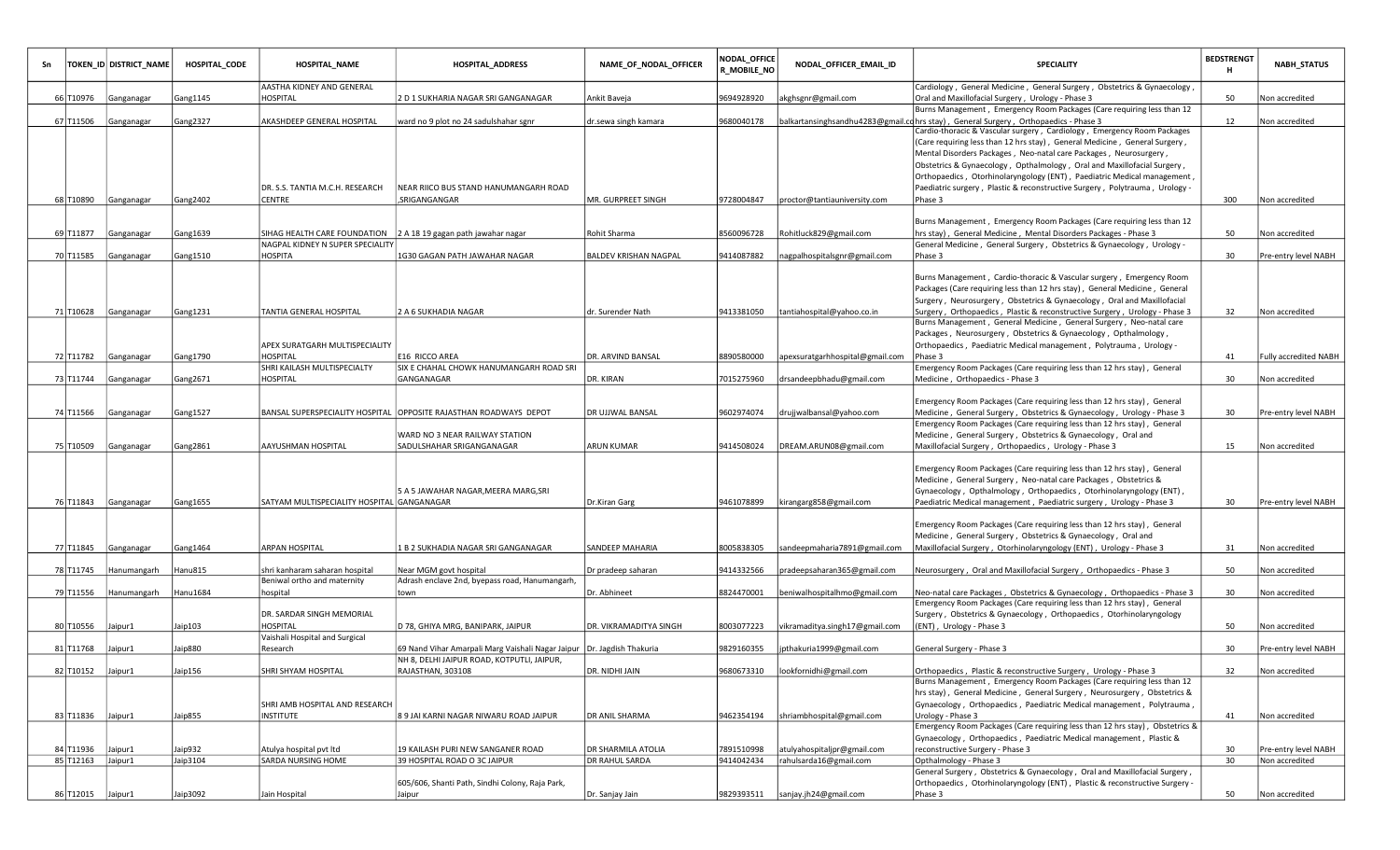| Sn |                   | TOKEN_ID DISTRICT_NAME | <b>HOSPITAL_CODE</b> | <b>HOSPITAL_NAME</b>                                          | <b>HOSPITAL_ADDRESS</b>                                                  | NAME_OF_NODAL_OFFICER  | <b>NODAL_OFFICE</b><br><b>R_MOBILE_NO</b> | NODAL_OFFICER_EMAIL_ID             | <b>SPECIALITY</b>                                                                                                                                               | <b>BEDSTRENGT</b><br>н | <b>NABH_STATUS</b>           |
|----|-------------------|------------------------|----------------------|---------------------------------------------------------------|--------------------------------------------------------------------------|------------------------|-------------------------------------------|------------------------------------|-----------------------------------------------------------------------------------------------------------------------------------------------------------------|------------------------|------------------------------|
|    |                   |                        |                      | AASTHA KIDNEY AND GENERAL                                     |                                                                          |                        |                                           |                                    | Cardiology, General Medicine, General Surgery, Obstetrics & Gynaecology,                                                                                        |                        |                              |
|    | 66 T10976         | Ganganagar             | Gang1145             | HOSPITAL                                                      | 2 D 1 SUKHARIA NAGAR SRI GANGANAGAR                                      | Ankit Baveja           | 9694928920                                | akghsgnr@gmail.com                 | Oral and Maxillofacial Surgery, Urology - Phase 3                                                                                                               | 50                     | Non accredited               |
|    |                   |                        |                      |                                                               |                                                                          |                        |                                           |                                    | Burns Management, Emergency Room Packages (Care requiring less than 12                                                                                          |                        |                              |
|    | 67 T11506         | Ganganagar             | Gang2327             | AKASHDEEP GENERAL HOSPITAL                                    | ward no 9 plot no 24 sadulshahar sgnr                                    | dr.sewa singh kamara   | 9680040178                                |                                    | balkartansinghsandhu4283@gmail.cd hrs stay), General Surgery, Orthopaedics - Phase 3<br>Cardio-thoracic & Vascular surgery, Cardiology, Emergency Room Packages | 12                     | Non accredited               |
|    |                   |                        |                      |                                                               |                                                                          |                        |                                           |                                    | (Care requiring less than 12 hrs stay), General Medicine, General Surgery,                                                                                      |                        |                              |
|    |                   |                        |                      |                                                               |                                                                          |                        |                                           |                                    | Mental Disorders Packages, Neo-natal care Packages, Neurosurgery,                                                                                               |                        |                              |
|    |                   |                        |                      |                                                               |                                                                          |                        |                                           |                                    | Obstetrics & Gynaecology, Opthalmology, Oral and Maxillofacial Surgery,                                                                                         |                        |                              |
|    |                   |                        |                      |                                                               |                                                                          |                        |                                           |                                    | Orthopaedics, Otorhinolaryngology (ENT), Paediatric Medical management                                                                                          |                        |                              |
|    |                   |                        |                      | DR. S.S. TANTIA M.C.H. RESEARCH                               | NEAR RIICO BUS STAND HANUMANGARH ROAD                                    |                        |                                           |                                    | Paediatric surgery, Plastic & reconstructive Surgery, Polytrauma, Urology -                                                                                     |                        |                              |
|    |                   | 68 T10890 Ganganagar   | Gang2402             | CENTRE                                                        | , SRIGANGANGAR                                                           | MR. GURPREET SINGH     | 9728004847                                | proctor@tantiauniversity.com       | Phase 3                                                                                                                                                         | 300                    | Non accredited               |
|    |                   |                        |                      |                                                               |                                                                          |                        |                                           |                                    |                                                                                                                                                                 |                        |                              |
|    |                   |                        |                      |                                                               |                                                                          |                        |                                           |                                    | Burns Management, Emergency Room Packages (Care requiring less than 12                                                                                          |                        |                              |
|    | 69 T11877         | Ganganagar             | Gang1639             | SIHAG HEALTH CARE FOUNDATION                                  | 2 A 18 19 gagan path jawahar nagar                                       | Rohit Sharma           | 3560096728                                | Rohitluck829@gmail.com             | hrs stay), General Medicine, Mental Disorders Packages - Phase 3                                                                                                | 50                     | Non accredited               |
|    |                   |                        |                      | NAGPAL KIDNEY N SUPER SPECIALITY                              |                                                                          |                        |                                           |                                    | General Medicine, General Surgery, Obstetrics & Gynaecology, Urology -                                                                                          |                        |                              |
|    |                   | 70 T11585 Ganganagar   | Gang1510             | <b>HOSPITA</b>                                                | 1G30 GAGAN PATH JAWAHAR NAGAR                                            | BALDEV KRISHAN NAGPAL  | 9414087882                                | nagpalhospitalsgnr@gmail.com       | Phase 3                                                                                                                                                         | 30                     | Pre-entry level NABH         |
|    |                   |                        |                      |                                                               |                                                                          |                        |                                           |                                    |                                                                                                                                                                 |                        |                              |
|    |                   |                        |                      |                                                               |                                                                          |                        |                                           |                                    | Burns Management, Cardio-thoracic & Vascular surgery, Emergency Room<br>Packages (Care requiring less than 12 hrs stay), General Medicine, General              |                        |                              |
|    |                   |                        |                      |                                                               |                                                                          |                        |                                           |                                    | Surgery, Neurosurgery, Obstetrics & Gynaecology, Oral and Maxillofacial                                                                                         |                        |                              |
|    |                   | 71 T10628 Ganganagar   | Gang1231             | TANTIA GENERAL HOSPITAL                                       | 2 A 6 SUKHADIA NAGAR                                                     | dr. Surender Nath      | 9413381050                                | tantiahospital@yahoo.co.in         | Surgery, Orthopaedics, Plastic & reconstructive Surgery, Urology - Phase 3                                                                                      | 32                     | Non accredited               |
|    |                   |                        |                      |                                                               |                                                                          |                        |                                           |                                    | Burns Management, General Medicine, General Surgery, Neo-natal care                                                                                             |                        |                              |
|    |                   |                        |                      |                                                               |                                                                          |                        |                                           |                                    | Packages, Neurosurgery, Obstetrics & Gynaecology, Opthalmology,                                                                                                 |                        |                              |
|    |                   |                        |                      | APEX SURATGARH MULTISPECIALITY                                |                                                                          |                        |                                           |                                    | Orthopaedics, Paediatric Medical management, Polytrauma, Urology -                                                                                              |                        |                              |
|    |                   | 72 T11782 Ganganagar   | Gang1790             | <b>HOSPITAL</b>                                               | E16 RICCO AREA                                                           | DR. ARVIND BANSAL      | 8890580000                                | apexsuratgarhhospital@gmail.com    | Phase 3                                                                                                                                                         | 41                     | <b>Fully accredited NABH</b> |
|    |                   |                        |                      | SHRI KAILASH MULTISPECIALTY                                   | SIX E CHAHAL CHOWK HANUMANGARH ROAD SRI                                  |                        |                                           |                                    | Emergency Room Packages (Care requiring less than 12 hrs stay), General                                                                                         |                        |                              |
|    | 73 T11744         | Ganganagar             | Gang2671             | <b>HOSPITAL</b>                                               | GANGANAGAR                                                               | DR. KIRAN              | 7015275960                                | drsandeepbhadu@gmail.com           | Medicine, Orthopaedics - Phase 3                                                                                                                                | 30                     | Non accredited               |
|    |                   |                        |                      |                                                               |                                                                          |                        |                                           |                                    |                                                                                                                                                                 |                        |                              |
|    |                   |                        |                      |                                                               |                                                                          |                        |                                           |                                    | Emergency Room Packages (Care requiring less than 12 hrs stay), General                                                                                         |                        |                              |
|    |                   | 74 T11566 Ganganagar   | Gang1527             |                                                               | BANSAL SUPERSPECIALITY HOSPITAL OPPOSITE RAJASTHAN ROADWAYS DEPOT        | DR UJJWAL BANSAL       | 9602974074                                | drujjwalbansal@yahoo.com           | Medicine, General Surgery, Obstetrics & Gynaecology, Urology - Phase 3                                                                                          | 30                     | Pre-entry level NABH         |
|    |                   |                        |                      |                                                               |                                                                          |                        |                                           |                                    | Emergency Room Packages (Care requiring less than 12 hrs stay), General                                                                                         |                        |                              |
|    |                   |                        |                      | AAYUSHMAN HOSPITAL                                            | WARD NO 3 NEAR RAILWAY STATION                                           | <b>ARUN KUMAR</b>      |                                           | DREAM.ARUN08@gmail.com             | Medicine, General Surgery, Obstetrics & Gynaecology, Oral and                                                                                                   |                        |                              |
|    |                   | 75 T10509 Ganganagar   | Gang2861             |                                                               | SADULSHAHAR SRIGANGANAGAR                                                |                        | 9414508024                                |                                    | Maxillofacial Surgery, Orthopaedics, Urology - Phase 3                                                                                                          | 15                     | Non accredited               |
|    |                   |                        |                      |                                                               |                                                                          |                        |                                           |                                    | Emergency Room Packages (Care requiring less than 12 hrs stay), General                                                                                         |                        |                              |
|    |                   |                        |                      |                                                               |                                                                          |                        |                                           |                                    | Medicine, General Surgery, Neo-natal care Packages, Obstetrics &                                                                                                |                        |                              |
|    |                   |                        |                      |                                                               | 5 A 5 JAWAHAR NAGAR, MEERA MARG, SRI                                     |                        |                                           |                                    | Gynaecology, Opthalmology, Orthopaedics, Otorhinolaryngology (ENT),                                                                                             |                        |                              |
|    |                   | 76 T11843 Ganganagar   | Gang1655             | SATYAM MULTISPECIALITY HOSPITAL GANGANAGAR                    |                                                                          | Dr.Kiran Garg          | 9461078899                                | kirangarg858@gmail.com             | Paediatric Medical management, Paediatric surgery, Urology - Phase 3                                                                                            | 30                     | Pre-entry level NABH         |
|    |                   |                        |                      |                                                               |                                                                          |                        |                                           |                                    |                                                                                                                                                                 |                        |                              |
|    |                   |                        |                      |                                                               |                                                                          |                        |                                           |                                    | Emergency Room Packages (Care requiring less than 12 hrs stay), General                                                                                         |                        |                              |
|    |                   |                        |                      |                                                               |                                                                          |                        |                                           |                                    | Medicine, General Surgery, Obstetrics & Gynaecology, Oral and                                                                                                   |                        |                              |
|    |                   | 77 T11845 Ganganagar   | Gang1464             | ARPAN HOSPITAL                                                | 1 B 2 SUKHADIA NAGAR SRI GANGANAGAR                                      | SANDEEP MAHARIA        | 8005838305                                | sandeepmaharia7891@gmail.com       | Maxillofacial Surgery, Otorhinolaryngology (ENT), Urology - Phase 3                                                                                             | 31                     | Non accredited               |
|    |                   |                        |                      |                                                               |                                                                          |                        |                                           |                                    |                                                                                                                                                                 |                        |                              |
|    | 78 T11745         | Hanumangarh            | Hanu815              | shri kanharam saharan hospital<br>Beniwal ortho and maternity | Near MGM govt hospital<br>Adrash enclave 2nd, byepass road, Hanumangarh, | Dr pradeep saharan     | 9414332566                                | pradeepsaharan365@gmail.com        | Neurosurgery, Oral and Maxillofacial Surgery, Orthopaedics - Phase 3                                                                                            | 50                     | Non accredited               |
|    | 79 T11556         | Hanumangarh            | Hanu1684             | hospital                                                      | town                                                                     | Dr. Abhineet           | 8824470001                                | beniwalhospitalhmo@gmail.com       | Neo-natal care Packages, Obstetrics & Gynaecology, Orthopaedics - Phase 3                                                                                       | 30                     | Non accredited               |
|    |                   |                        |                      |                                                               |                                                                          |                        |                                           |                                    | Emergency Room Packages (Care requiring less than 12 hrs stay), General                                                                                         |                        |                              |
|    |                   |                        |                      | DR. SARDAR SINGH MEMORIAL                                     |                                                                          |                        |                                           |                                    | Surgery, Obstetrics & Gynaecology, Orthopaedics, Otorhinolaryngology                                                                                            |                        |                              |
|    | 80 T10556         | Jaipur1                | Jaip103              | HOSPITAL                                                      | D 78, GHIYA MRG, BANIPARK, JAIPUR                                        | DR. VIKRAMADITYA SINGH | 8003077223                                | vikramaditya.singh17@gmail.com     | (ENT), Urology - Phase 3                                                                                                                                        | 50                     | Non accredited               |
|    |                   |                        |                      | Vaishali Hospital and Surgical                                |                                                                          |                        |                                           |                                    |                                                                                                                                                                 |                        |                              |
|    | 81 T11768         | Jaipur1                | Jaip880              | Research                                                      | 69 Nand Vihar Amarpali Marg Vaishali Nagar Jaipur   Dr. Jagdish Thakuria |                        | 9829160355                                | jpthakuria1999@gmail.com           | General Surgery - Phase 3                                                                                                                                       | 30                     | Pre-entry level NABH         |
|    |                   |                        |                      |                                                               | NH 8, DELHI JAIPUR ROAD, KOTPUTLI, JAIPUR,                               |                        |                                           |                                    |                                                                                                                                                                 |                        |                              |
|    | 82 T10152 Jaipur1 |                        | Jaip156              | SHRI SHYAM HOSPITAL                                           | RAJASTHAN, 303108                                                        | DR. NIDHI JAIN         |                                           | 9680673310  lookfornidhi@gmail.com | Orthopaedics, Plastic & reconstructive Surgery, Urology - Phase 3                                                                                               | 32                     | Non accredited               |
|    |                   |                        |                      |                                                               |                                                                          |                        |                                           |                                    | Burns Management, Emergency Room Packages (Care requiring less than 12                                                                                          |                        |                              |
|    |                   |                        |                      |                                                               |                                                                          |                        |                                           |                                    | hrs stay), General Medicine, General Surgery, Neurosurgery, Obstetrics &                                                                                        |                        |                              |
|    |                   |                        |                      | SHRI AMB HOSPITAL AND RESEARCH                                |                                                                          |                        |                                           |                                    | Gynaecology, Orthopaedics, Paediatric Medical management, Polytrauma,                                                                                           |                        |                              |
|    | 83 T11836 Jaipur1 |                        | Jaip855              | INSTITUTE                                                     | 89 JAI KARNI NAGAR NIWARU ROAD JAIPUR                                    | DR ANIL SHARMA         | 9462354194                                | shriambhospital@gmail.com          | Urology - Phase 3<br>Emergency Room Packages (Care requiring less than 12 hrs stay), Obstetrics &                                                               | 41                     | Non accredited               |
|    |                   |                        |                      |                                                               |                                                                          |                        |                                           |                                    | Gynaecology, Orthopaedics, Paediatric Medical management, Plastic &                                                                                             |                        |                              |
|    | 84 T11936 Jaipur1 |                        | Jaip932              | Atulya hospital pvt ltd                                       | 19 KAILASH PURI NEW SANGANER ROAD                                        | DR SHARMILA ATOLIA     | 7891510998                                | atulyahospitaljpr@gmail.com        | reconstructive Surgery - Phase 3                                                                                                                                | 30                     | Pre-entry level NABH         |
|    | 85 T12163 Jaipur1 |                        | Jaip3104             | SARDA NURSING HOME                                            | 39 HOSPITAL ROAD O 3C JAIPUR                                             | DR RAHUL SARDA         | 9414042434                                | rahulsarda16@gmail.com             | Opthalmology - Phase 3                                                                                                                                          | 30                     | Non accredited               |
|    |                   |                        |                      |                                                               |                                                                          |                        |                                           |                                    | General Surgery, Obstetrics & Gynaecology, Oral and Maxillofacial Surgery,                                                                                      |                        |                              |
|    |                   |                        |                      |                                                               | 605/606, Shanti Path, Sindhi Colony, Raja Park,                          |                        |                                           |                                    | Orthopaedics, Otorhinolaryngology (ENT), Plastic & reconstructive Surgery -                                                                                     |                        |                              |
|    | 86 T12015 Jaipur1 |                        | Jaip3092             | Jain Hospital                                                 | Jaipur                                                                   | Dr. Sanjay Jain        |                                           | 9829393511  sanjay.jh24@gmail.com  | Phase 3                                                                                                                                                         | 50                     | Non accredited               |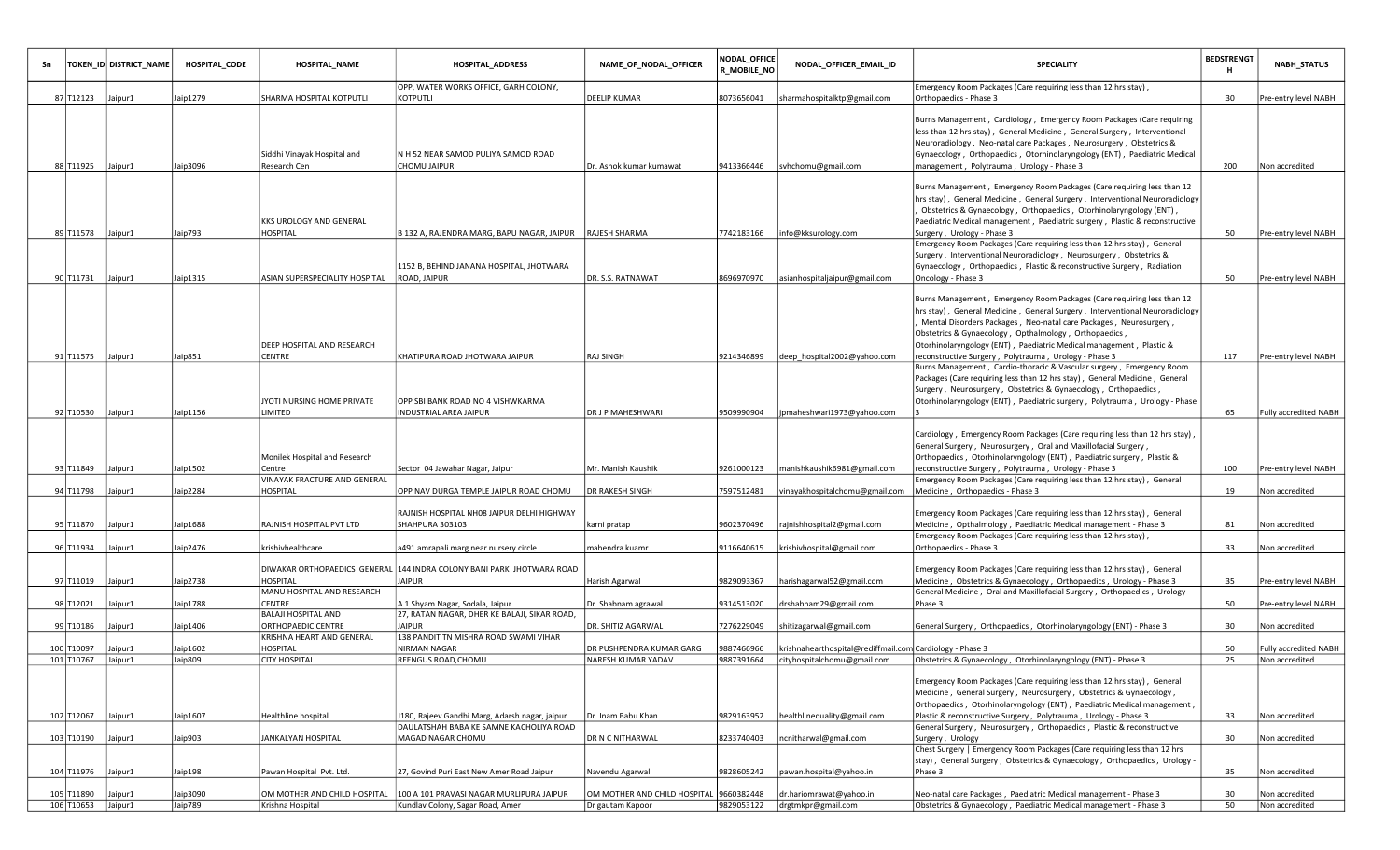|                    | TOKEN_ID DISTRICT_NAME | HOSPITAL CODE | <b>HOSPITAL_NAME</b>                        | <b>HOSPITAL_ADDRESS</b>                                                                   | NAME_OF_NODAL_OFFICER                   | <b>NODAL OFFICE</b><br><b>R_MOBILE_NO</b> | NODAL_OFFICER_EMAIL_ID                                   | <b>SPECIALITY</b>                                                                                                                                                                                                                                                                                                                                                    | <b>BEDSTRENGT</b><br>н | <b>NABH_STATUS</b>           |
|--------------------|------------------------|---------------|---------------------------------------------|-------------------------------------------------------------------------------------------|-----------------------------------------|-------------------------------------------|----------------------------------------------------------|----------------------------------------------------------------------------------------------------------------------------------------------------------------------------------------------------------------------------------------------------------------------------------------------------------------------------------------------------------------------|------------------------|------------------------------|
| 87 T12123 Jaipur1  |                        | Jaip1279      | SHARMA HOSPITAL KOTPUTLI                    | OPP, WATER WORKS OFFICE, GARH COLONY,<br>KOTPUTLI                                         | DEELIP KUMAR                            | 8073656041                                | sharmahospitalktp@gmail.com                              | Emergency Room Packages (Care requiring less than 12 hrs stay),<br>Orthopaedics - Phase 3                                                                                                                                                                                                                                                                            | 30                     | Pre-entry level NABH         |
| 88 T11925 Jaipur1  |                        | Jaip3096      | Siddhi Vinayak Hospital and<br>Research Cen | N H 52 NEAR SAMOD PULIYA SAMOD ROAD<br>CHOMU JAIPUR                                       | Dr. Ashok kumar kumawat                 | 9413366446                                | svhchomu@gmail.com                                       | Burns Management, Cardiology, Emergency Room Packages (Care requiring<br>less than 12 hrs stay), General Medicine, General Surgery, Interventional<br>Neuroradiology, Neo-natal care Packages, Neurosurgery, Obstetrics &<br>Gynaecology, Orthopaedics, Otorhinolaryngology (ENT), Paediatric Medical<br>management, Polytrauma, Urology - Phase 3                   | 200                    | Non accredited               |
|                    |                        |               |                                             |                                                                                           |                                         |                                           |                                                          |                                                                                                                                                                                                                                                                                                                                                                      |                        |                              |
| 89 T11578 Jaipur1  |                        | Jaip793       | KKS UROLOGY AND GENERAL<br>HOSPITAL         | B 132 A, RAJENDRA MARG, BAPU NAGAR, JAIPUR                                                | RAJESH SHARMA                           | 7742183166                                | info@kksurology.com                                      | Burns Management, Emergency Room Packages (Care requiring less than 12<br>hrs stay), General Medicine, General Surgery, Interventional Neuroradiology<br>Obstetrics & Gynaecology, Orthopaedics, Otorhinolaryngology (ENT),<br>Paediatric Medical management, Paediatric surgery, Plastic & reconstructive<br>Surgery, Urology - Phase 3                             | 50                     | Pre-entry level NABH         |
|                    |                        |               |                                             | 1152 B, BEHIND JANANA HOSPITAL, JHOTWARA                                                  |                                         |                                           |                                                          | Emergency Room Packages (Care requiring less than 12 hrs stay), General<br>Surgery, Interventional Neuroradiology, Neurosurgery, Obstetrics &<br>Gynaecology, Orthopaedics, Plastic & reconstructive Surgery, Radiation                                                                                                                                              |                        |                              |
| 90 T11731 Jaipur1  |                        | Jaip1315      | ASIAN SUPERSPECIALITY HOSPITAL              | <b>ROAD, JAIPUR</b>                                                                       | DR. S.S. RATNAWAT                       | 8696970970                                | asianhospitaljaipur@gmail.com                            | Oncology - Phase 3                                                                                                                                                                                                                                                                                                                                                   | 50                     | Pre-entry level NABH         |
|                    |                        |               | DEEP HOSPITAL AND RESEARCH                  |                                                                                           |                                         |                                           |                                                          | Burns Management, Emergency Room Packages (Care requiring less than 12<br>hrs stay), General Medicine, General Surgery, Interventional Neuroradiology<br>Mental Disorders Packages, Neo-natal care Packages, Neurosurgery,<br>Obstetrics & Gynaecology, Opthalmology, Orthopaedics,<br>Otorhinolaryngology (ENT), Paediatric Medical management, Plastic &           |                        |                              |
| 91 T11575 Jaipur1  |                        | Jaip851       | CENTRE                                      | KHATIPURA ROAD JHOTWARA JAIPUR                                                            | <b>RAJ SINGH</b>                        | 9214346899                                | deep hospital2002@yahoo.com                              | reconstructive Surgery, Polytrauma, Urology - Phase 3                                                                                                                                                                                                                                                                                                                | 117                    | Pre-entry level NABH         |
| 92 T10530 Jaipur1  |                        | Jaip1156      | JYOTI NURSING HOME PRIVATE<br>LIMITED       | OPP SBI BANK ROAD NO 4 VISHWKARMA<br>INDUSTRIAL AREA JAIPUR                               | DR J P MAHESHWARI                       | 9509990904                                | jpmaheshwari1973@yahoo.com                               | Burns Management, Cardio-thoracic & Vascular surgery, Emergency Room<br>Packages (Care requiring less than 12 hrs stay), General Medicine, General<br>Surgery, Neurosurgery, Obstetrics & Gynaecology, Orthopaedics<br>Otorhinolaryngology (ENT), Paediatric surgery, Polytrauma, Urology - Phase                                                                    | 65                     | <b>Fully accredited NABH</b> |
| 93 T11849 Jaipur1  |                        | Jaip1502      | Monilek Hospital and Research<br>Centre     | Sector 04 Jawahar Nagar, Jaipur                                                           | Mr. Manish Kaushik                      | 9261000123                                | manishkaushik6981@gmail.com                              | Cardiology, Emergency Room Packages (Care requiring less than 12 hrs stay),<br>General Surgery, Neurosurgery, Oral and Maxillofacial Surgery,<br>Orthopaedics, Otorhinolaryngology (ENT), Paediatric surgery, Plastic &<br>reconstructive Surgery, Polytrauma, Urology - Phase 3                                                                                     | 100                    | Pre-entry level NABH         |
|                    |                        |               | VINAYAK FRACTURE AND GENERAL                |                                                                                           |                                         |                                           |                                                          | Emergency Room Packages (Care requiring less than 12 hrs stay), General                                                                                                                                                                                                                                                                                              |                        |                              |
| 94 T11798          | Jaipur1                | Jaip2284      | HOSPITAL                                    | OPP NAV DURGA TEMPLE JAIPUR ROAD CHOMU                                                    | DR RAKESH SINGH                         | 7597512481                                | vinayakhospitalchomu@gmail.com                           | Medicine, Orthopaedics - Phase 3                                                                                                                                                                                                                                                                                                                                     | 19                     | Non accredited               |
| 95 T11870 Jaipur1  |                        | Jaip1688      | RAJNISH HOSPITAL PVT LTD                    | RAJNISH HOSPITAL NH08 JAIPUR DELHI HIGHWAY<br>SHAHPURA 303103                             | karni pratap                            | 9602370496                                | rajnishhospital2@gmail.com                               | Emergency Room Packages (Care requiring less than 12 hrs stay), General<br>Medicine, Opthalmology, Paediatric Medical management - Phase 3<br>Emergency Room Packages (Care requiring less than 12 hrs stay),                                                                                                                                                        | 81                     | Non accredited               |
| 96 T11934          | Jaipur1                | Jaip2476      | krishivhealthcare                           | a491 amrapali marg near nursery circle                                                    | mahendra kuamr                          | 9116640615                                | krishivhospital@gmail.com                                | Orthopaedics - Phase 3                                                                                                                                                                                                                                                                                                                                               | 33                     | Non accredited               |
| 97 T11019 Jaipur1  |                        | Jaip2738      | HOSPITAL                                    | DIWAKAR ORTHOPAEDICS  GENERAL 144 INDRA COLONY BANI PARK  JHOTWARA ROAD<br><b>JAIPUR</b>  | Harish Agarwal                          | 9829093367                                | harishagarwal52@gmail.com                                | Emergency Room Packages (Care requiring less than 12 hrs stay), General<br>Medicine, Obstetrics & Gynaecology, Orthopaedics, Urology - Phase 3                                                                                                                                                                                                                       | 35                     | Pre-entry level NABH         |
|                    |                        |               | MANU HOSPITAL AND RESEARCH                  |                                                                                           |                                         |                                           |                                                          | General Medicine, Oral and Maxillofacial Surgery, Orthopaedics, Urology -                                                                                                                                                                                                                                                                                            |                        |                              |
| 98 T12021          | Jaipur1                | Jaip1788      | CENTRE<br>BALAJI HOSPITAL AND               | A 1 Shyam Nagar, Sodala, Jaipur<br>27, RATAN NAGAR, DHER KE BALAJI, SIKAR ROAD,           | Dr. Shabnam agrawal                     | 9314513020                                | drshabnam29@gmail.com                                    | Phase 3                                                                                                                                                                                                                                                                                                                                                              | 50                     | Pre-entry level NABH         |
| 99 T10186 Jaipur1  |                        | Jaip1406      | ORTHOPAEDIC CENTRE                          | <b>JAIPUR</b>                                                                             | DR. SHITIZ AGARWAL                      | 7276229049                                | shitizagarwal@gmail.com                                  | General Surgery, Orthopaedics, Otorhinolaryngology (ENT) - Phase 3                                                                                                                                                                                                                                                                                                   | 30                     | Non accredited               |
|                    |                        |               | KRISHNA HEART AND GENERAL                   | 138 PANDIT TN MISHRA ROAD SWAMI VIHAR                                                     |                                         |                                           |                                                          |                                                                                                                                                                                                                                                                                                                                                                      |                        |                              |
| 100 T10097         | Jaipur1                | Jaip1602      | HOSPITAL                                    | NIRMAN NAGAR                                                                              | DR PUSHPENDRA KUMAR GARG                | 9887466966                                | krishnahearthospital@rediffmail.com Cardiology - Phase 3 |                                                                                                                                                                                                                                                                                                                                                                      | 50                     | Fully accredited NABH        |
| 101 T10767         | Jaipur1                | Jaip809       | <b>CITY HOSPITAL</b>                        | REENGUS ROAD, CHOMU                                                                       | NARESH KUMAR YADAV                      | 9887391664                                | cityhospitalchomu@gmail.com                              | Obstetrics & Gynaecology, Otorhinolaryngology (ENT) - Phase 3                                                                                                                                                                                                                                                                                                        | 25                     | Non accredited               |
| 102 T12067 Jaipur1 |                        | Jaip1607      | Healthline hospital                         | J180, Rajeev Gandhi Marg, Adarsh nagar, jaipur<br>DAULATSHAH BABA KE SAMNE KACHOLIYA ROAD | Dr. Inam Babu Khan                      | 9829163952                                | healthlinequality@gmail.com                              | Emergency Room Packages (Care requiring less than 12 hrs stay), General<br>Medicine, General Surgery, Neurosurgery, Obstetrics & Gynaecology,<br>Orthopaedics, Otorhinolaryngology (ENT), Paediatric Medical management,<br>Plastic & reconstructive Surgery, Polytrauma, Urology - Phase 3<br>General Surgery, Neurosurgery, Orthopaedics, Plastic & reconstructive | 33                     | Non accredited               |
| 103 T10190 Jaipur1 |                        | Jaip903       | JANKALYAN HOSPITAL                          | MAGAD NAGAR CHOMU                                                                         | DR N C NITHARWAL                        | 8233740403                                | ncnitharwal@gmail.com                                    | Surgery, Urology                                                                                                                                                                                                                                                                                                                                                     | 30                     | Non accredited               |
|                    |                        |               |                                             |                                                                                           |                                         |                                           |                                                          | Chest Surgery   Emergency Room Packages (Care requiring less than 12 hrs<br> stay), General Surgery, Obstetrics & Gynaecology, Orthopaedics, Urology -                                                                                                                                                                                                               |                        |                              |
| 104 T11976 Jaipur1 |                        | Jaip198       | Pawan Hospital Pvt. Ltd.                    | 27, Govind Puri East New Amer Road Jaipur                                                 | Navendu Agarwal                         | 9828605242                                | pawan.hospital@yahoo.in                                  | Phase 3                                                                                                                                                                                                                                                                                                                                                              | 35                     | Non accredited               |
| 105 T11890 Jaipur1 |                        | Jaip3090      | OM MOTHER AND CHILD HOSPITAL                | 100 A 101 PRAVASI NAGAR MURLIPURA JAIPUR                                                  | OM MOTHER AND CHILD HOSPITAL 9660382448 |                                           | dr.hariomrawat@yahoo.in                                  | Neo-natal care Packages, Paediatric Medical management - Phase 3                                                                                                                                                                                                                                                                                                     | 30                     | Non accredited               |
| 106 T10653 Jaipur1 |                        | Jaip789       | Krishna Hospital                            | Kundlav Colony, Sagar Road, Amer                                                          | Dr gautam Kapoor                        | 9829053122                                | drgtmkpr@gmail.com                                       | Obstetrics & Gynaecology, Paediatric Medical management - Phase 3                                                                                                                                                                                                                                                                                                    | 50                     | Non accredited               |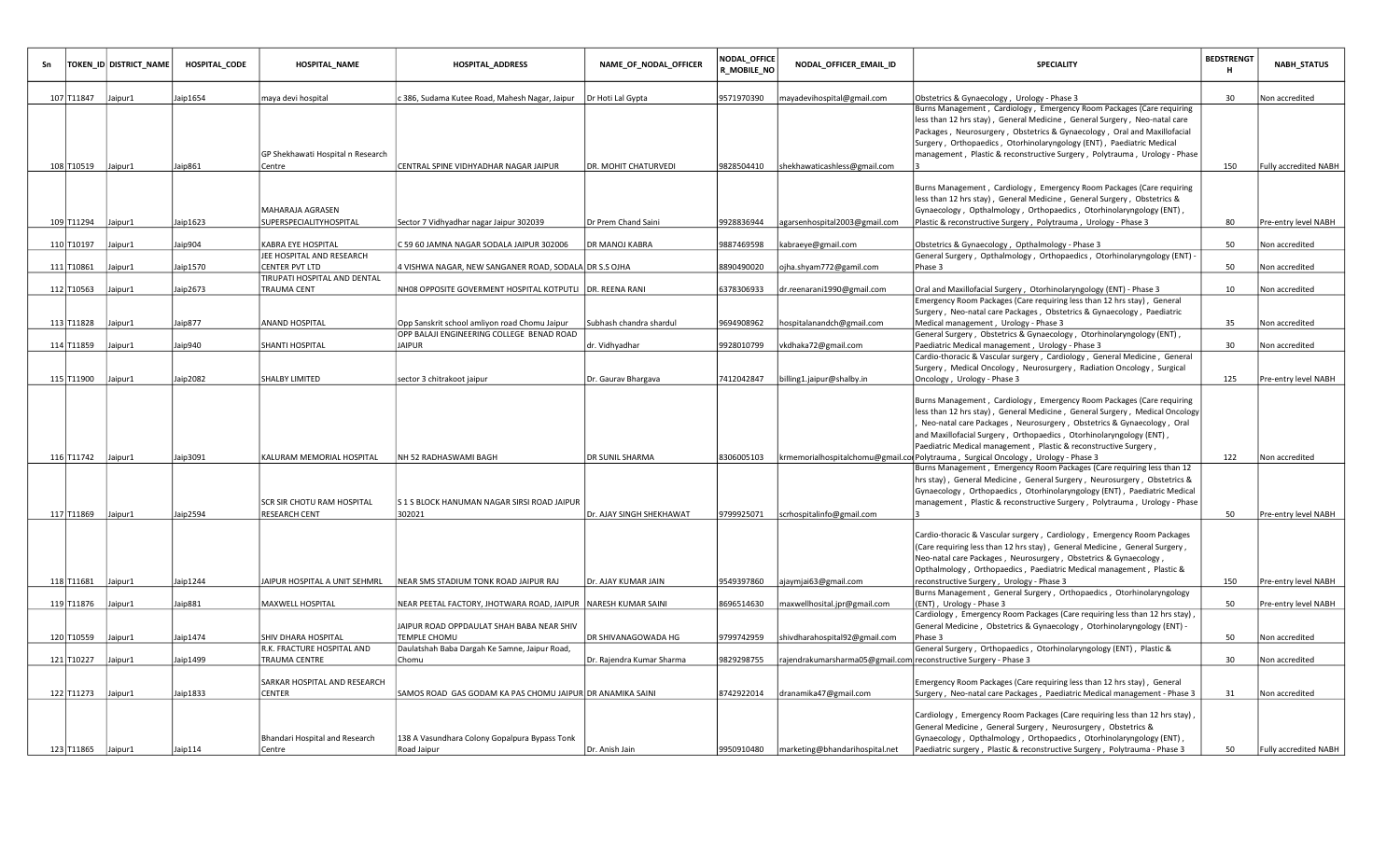|                    | TOKEN_ID DISTRICT_NAME | HOSPITAL_CODE | <b>HOSPITAL_NAME</b>                           | <b>HOSPITAL_ADDRESS</b>                                                                    | NAME_OF_NODAL_OFFICER     | NODAL_OFFICE<br>R_MOBILE_NO | NODAL_OFFICER_EMAIL_ID                                           | SPECIALITY                                                                                                                                                                                                                                                                                                                                                                          | <b>BEDSTRENGT</b><br>н | <b>NABH_STATUS</b>           |
|--------------------|------------------------|---------------|------------------------------------------------|--------------------------------------------------------------------------------------------|---------------------------|-----------------------------|------------------------------------------------------------------|-------------------------------------------------------------------------------------------------------------------------------------------------------------------------------------------------------------------------------------------------------------------------------------------------------------------------------------------------------------------------------------|------------------------|------------------------------|
| 107 T11847         | Jaipur1                | Jaip1654      | maya devi hospital                             | c 386, Sudama Kutee Road, Mahesh Nagar, Jaipur                                             | Dr Hoti Lal Gypta         | 9571970390                  | mayadevihospital@gmail.com                                       | Obstetrics & Gynaecology, Urology - Phase 3                                                                                                                                                                                                                                                                                                                                         | 30                     | Non accredited               |
|                    |                        |               | GP Shekhawati Hospital n Research              |                                                                                            |                           |                             |                                                                  | Burns Management, Cardiology, Emergency Room Packages (Care requiring<br>less than 12 hrs stay), General Medicine, General Surgery, Neo-natal care<br>Packages, Neurosurgery, Obstetrics & Gynaecology, Oral and Maxillofacial<br>Surgery, Orthopaedics, Otorhinolaryngology (ENT), Paediatric Medical<br>management, Plastic & reconstructive Surgery, Polytrauma, Urology - Phase |                        |                              |
| 108 T10519 Jaipur1 |                        | Jaip861       | Centre                                         | CENTRAL SPINE VIDHYADHAR NAGAR JAIPUR                                                      | DR. MOHIT CHATURVEDI      | 9828504410                  | shekhawaticashless@gmail.com                                     |                                                                                                                                                                                                                                                                                                                                                                                     | 150                    | <b>Fully accredited NABH</b> |
| 109 T11294         | Jaipur1                | Jaip1623      | MAHARAJA AGRASEN<br>SUPERSPECIALITYHOSPITAL    | Sector 7 Vidhyadhar nagar Jaipur 302039                                                    | Dr Prem Chand Saini       | 9928836944                  | agarsenhospital2003@gmail.com                                    | Burns Management, Cardiology, Emergency Room Packages (Care requiring<br>less than 12 hrs stay), General Medicine, General Surgery, Obstetrics &<br>Gynaecology, Opthalmology, Orthopaedics, Otorhinolaryngology (ENT),<br>Plastic & reconstructive Surgery, Polytrauma, Urology - Phase 3                                                                                          | 80                     | Pre-entry level NABH         |
| 110 T10197         | Jaipur1                | Jaip904       | KABRA EYE HOSPITAL                             | C 59 60 JAMNA NAGAR SODALA JAIPUR 302006                                                   | DR MANOJ KABRA            | 9887469598                  | kabraeye@gmail.com                                               | Obstetrics & Gynaecology, Opthalmology - Phase 3                                                                                                                                                                                                                                                                                                                                    | 50                     | Non accredited               |
|                    |                        |               | JEE HOSPITAL AND RESEARCH                      |                                                                                            |                           |                             |                                                                  | General Surgery, Opthalmology, Orthopaedics, Otorhinolaryngology (ENT) -                                                                                                                                                                                                                                                                                                            |                        |                              |
| 111 T10861         | Jaipur1                | Jaip1570      | CENTER PVT LTD<br>TIRUPATI HOSPITAL AND DENTAL | 4 VISHWA NAGAR, NEW SANGANER ROAD, SODALA DR S.S OJHA                                      |                           | 8890490020                  | ojha.shyam772@gamil.com                                          | Phase 3                                                                                                                                                                                                                                                                                                                                                                             | 50                     | Non accredited               |
| 112 T10563         | Jaipur1                | Jaip2673      | TRAUMA CENT                                    | NH08 OPPOSITE GOVERMENT HOSPITAL KOTPUTLI DR. REENA RANI                                   |                           | 6378306933                  | dr.reenarani1990@gmail.com                                       | Oral and Maxillofacial Surgery, Otorhinolaryngology (ENT) - Phase 3                                                                                                                                                                                                                                                                                                                 | 10                     | Non accredited               |
|                    |                        |               |                                                |                                                                                            |                           |                             |                                                                  | Emergency Room Packages (Care requiring less than 12 hrs stay), General                                                                                                                                                                                                                                                                                                             |                        |                              |
|                    |                        |               |                                                |                                                                                            |                           |                             |                                                                  | Surgery, Neo-natal care Packages, Obstetrics & Gynaecology, Paediatric                                                                                                                                                                                                                                                                                                              |                        |                              |
| 113 T11828         | Jaipur1                | Jaip877       | ANAND HOSPITAL                                 | Opp Sanskrit school amliyon road Chomu Jaipur<br>OPP BALAJI ENGINEERING COLLEGE BENAD ROAD | Subhash chandra shardul   | 9694908962                  | hospitalanandch@gmail.com                                        | Medical management, Urology - Phase 3                                                                                                                                                                                                                                                                                                                                               | 35                     | Non accredited               |
| 114 T11859         | Jaipur1                | Jaip940       | SHANTI HOSPITAL                                | <b>JAIPUR</b>                                                                              | dr. Vidhyadhar            | 9928010799                  | vkdhaka72@gmail.com                                              | General Surgery, Obstetrics & Gynaecology, Otorhinolaryngology (ENT),<br>Paediatric Medical management, Urology - Phase 3                                                                                                                                                                                                                                                           | 30                     | Non accredited               |
|                    |                        |               |                                                |                                                                                            |                           |                             |                                                                  | Cardio-thoracic & Vascular surgery, Cardiology, General Medicine, General                                                                                                                                                                                                                                                                                                           |                        |                              |
|                    |                        |               |                                                |                                                                                            |                           |                             |                                                                  | Surgery, Medical Oncology, Neurosurgery, Radiation Oncology, Surgical                                                                                                                                                                                                                                                                                                               |                        |                              |
| 115 T11900 Jaipur1 |                        | Jaip2082      | SHALBY LIMITED                                 | sector 3 chitrakoot jaipur                                                                 | Dr. Gaurav Bhargava       | 7412042847                  | billing1.jaipur@shalby.in                                        | Oncology, Urology - Phase 3                                                                                                                                                                                                                                                                                                                                                         | 125                    | Pre-entry level NABH         |
|                    |                        |               |                                                |                                                                                            |                           |                             |                                                                  | Burns Management, Cardiology, Emergency Room Packages (Care requiring<br>less than 12 hrs stay), General Medicine, General Surgery, Medical Oncology<br>Neo-natal care Packages, Neurosurgery, Obstetrics & Gynaecology, Oral<br>and Maxillofacial Surgery, Orthopaedics, Otorhinolaryngology (ENT),<br>Paediatric Medical management, Plastic & reconstructive Surgery,            |                        |                              |
| 116 T11742 Jaipur1 |                        | Jaip3091      | KALURAM MEMORIAL HOSPITAL                      | NH 52 RADHASWAMI BAGH                                                                      | DR SUNIL SHARMA           | 8306005103                  |                                                                  | krmemorialhospitalchomu@gmail.col Polytrauma, Surgical Oncology, Urology - Phase 3                                                                                                                                                                                                                                                                                                  | 122                    | Non accredited               |
| 117 T11869         | Jaipur1                | Jaip2594      | SCR SIR CHOTU RAM HOSPITAL<br>RESEARCH CENT    | S 1 S BLOCK HANUMAN NAGAR SIRSI ROAD JAIPUR<br>302021                                      | Dr. AJAY SINGH SHEKHAWAT  | 9799925071                  | scrhospitalinfo@gmail.com                                        | Burns Management, Emergency Room Packages (Care requiring less than 12<br>hrs stay), General Medicine, General Surgery, Neurosurgery, Obstetrics &<br>Gynaecology, Orthopaedics, Otorhinolaryngology (ENT), Paediatric Medical<br>management, Plastic & reconstructive Surgery, Polytrauma, Urology - Phase                                                                         | 50                     | Pre-entry level NABH         |
|                    |                        |               |                                                |                                                                                            |                           |                             |                                                                  |                                                                                                                                                                                                                                                                                                                                                                                     |                        |                              |
| 118 T11681         | Jaipur1                | Jaip1244      | <b>IAIPUR HOSPITAL A UNIT SEHMRL</b>           | NEAR SMS STADIUM TONK ROAD JAIPUR RAJ                                                      | Dr. AJAY KUMAR JAIN       | 9549397860                  | ajaymjai63@gmail.com                                             | Cardio-thoracic & Vascular surgery, Cardiology, Emergency Room Packages<br>(Care requiring less than 12 hrs stay), General Medicine, General Surgery,<br>Neo-natal care Packages, Neurosurgery, Obstetrics & Gynaecology,<br>Opthalmology, Orthopaedics, Paediatric Medical management, Plastic &<br>reconstructive Surgery, Urology - Phase 3                                      | 150                    | Pre-entry level NABH         |
|                    |                        |               |                                                |                                                                                            |                           |                             |                                                                  | Burns Management, General Surgery, Orthopaedics, Otorhinolaryngology                                                                                                                                                                                                                                                                                                                |                        |                              |
| 119 T11876         | Jaipur1                | Jaip881       | MAXWELL HOSPITAL                               | NEAR PEETAL FACTORY, JHOTWARA ROAD, JAIPUR   NARESH KUMAR SAINI                            |                           | 8696514630                  | maxwellhosital.jpr@gmail.com                                     | (ENT), Urology - Phase 3                                                                                                                                                                                                                                                                                                                                                            | 50                     | Pre-entry level NABH         |
| 120 T10559         | Jaipur1                | Jaip1474      | SHIV DHARA HOSPITAL                            | JAIPUR ROAD OPPDAULAT SHAH BABA NEAR SHIV<br>TEMPLE CHOMU                                  | DR SHIVANAGOWADA HG       | 9799742959                  | shivdharahospital92@gmail.com                                    | Cardiology, Emergency Room Packages (Care requiring less than 12 hrs stay),<br>General Medicine, Obstetrics & Gynaecology, Otorhinolaryngology (ENT) -<br>Phase 3                                                                                                                                                                                                                   | 50                     | Non accredited               |
| 121 T10227         | Jaipur1                | Jaip1499      | R.K. FRACTURE HOSPITAL AND<br>TRAUMA CENTRE    | Daulatshah Baba Dargah Ke Samne, Jaipur Road,<br>Chomu                                     | Dr. Rajendra Kumar Sharma | 9829298755                  | rajendrakumarsharma05@gmail.com reconstructive Surgery - Phase 3 | General Surgery, Orthopaedics, Otorhinolaryngology (ENT), Plastic &                                                                                                                                                                                                                                                                                                                 | 30                     | Non accredited               |
| 122 T11273         | Jaipur1                | Jaip1833      | SARKAR HOSPITAL AND RESEARCH<br>CENTER         | SAMOS ROAD GAS GODAM KA PAS CHOMU JAIPUR DR ANAMIKA SAINI                                  |                           | 3742922014                  | dranamika47@gmail.com                                            | Emergency Room Packages (Care requiring less than 12 hrs stay), General<br>Surgery, Neo-natal care Packages, Paediatric Medical management - Phase 3                                                                                                                                                                                                                                | 31                     | Non accredited               |
| 123 T11865 Jaipur1 |                        | Jaip114       | Bhandari Hospital and Research<br>Centre       | 138 A Vasundhara Colony Gopalpura Bypass Tonk<br>Road Jaipur                               | Dr. Anish Jain            | 9950910480                  | marketing@bhandarihospital.net                                   | Cardiology, Emergency Room Packages (Care requiring less than 12 hrs stay),<br>General Medicine, General Surgery, Neurosurgery, Obstetrics &<br>Gynaecology, Opthalmology, Orthopaedics, Otorhinolaryngology (ENT),<br>Paediatric surgery, Plastic & reconstructive Surgery, Polytrauma - Phase 3                                                                                   | 50                     | <b>Fully accredited NABH</b> |
|                    |                        |               |                                                |                                                                                            |                           |                             |                                                                  |                                                                                                                                                                                                                                                                                                                                                                                     |                        |                              |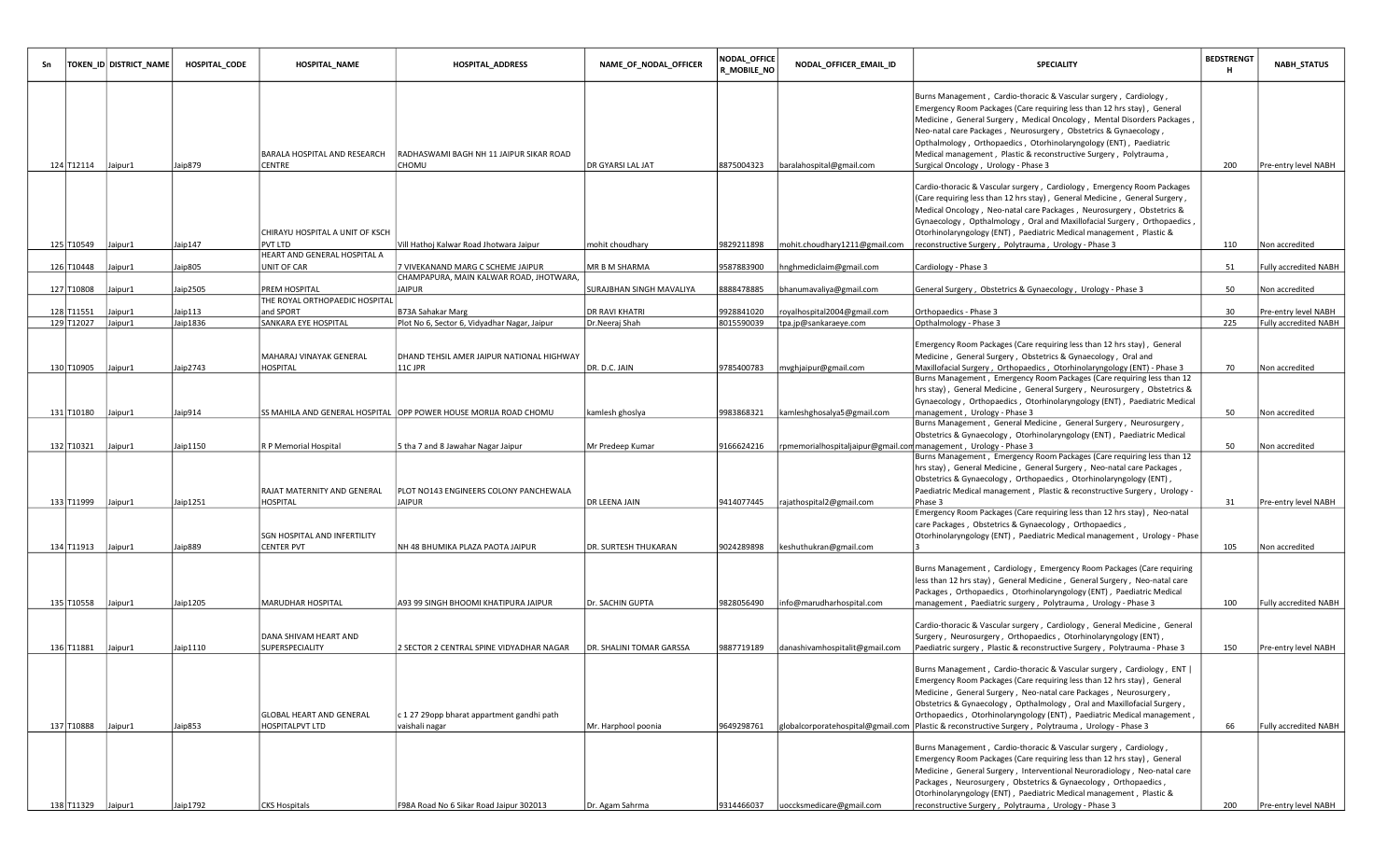|                    | TOKEN_ID DISTRICT_NAME | HOSPITAL_CODE | HOSPITAL_NAME                                      | <b>HOSPITAL_ADDRESS</b>                                                      | NAME_OF_NODAL_OFFICER    | <b>NODAL_OFFICE</b><br><b>R_MOBILE_NO</b> | NODAL_OFFICER_EMAIL_ID                                           | SPECIALITY                                                                                                                                                                                                                                                                                                                                                                                                                                                                           | <b>BEDSTRENGT</b><br>н | <b>NABH_STATUS</b>           |
|--------------------|------------------------|---------------|----------------------------------------------------|------------------------------------------------------------------------------|--------------------------|-------------------------------------------|------------------------------------------------------------------|--------------------------------------------------------------------------------------------------------------------------------------------------------------------------------------------------------------------------------------------------------------------------------------------------------------------------------------------------------------------------------------------------------------------------------------------------------------------------------------|------------------------|------------------------------|
| 124 T12114         | Jaipur1                | Jaip879       | BARALA HOSPITAL AND RESEARCH<br>CENTRE             | RADHASWAMI BAGH NH 11 JAIPUR SIKAR ROAD<br><b>CHOMU</b>                      | DR GYARSI LAL JAT        | 8875004323                                | baralahospital@gmail.com                                         | Burns Management, Cardio-thoracic & Vascular surgery, Cardiology,<br>Emergency Room Packages (Care requiring less than 12 hrs stay), General<br>Medicine, General Surgery, Medical Oncology, Mental Disorders Packages,<br>Neo-natal care Packages, Neurosurgery, Obstetrics & Gynaecology,<br> Opthalmology, Orthopaedics, Otorhinolaryngology (ENT), Paediatric<br> Medical management, Plastic & reconstructive Surgery, Polytrauma,<br>Surgical Oncology, Urology - Phase 3      | 200                    | Pre-entry level NABH         |
|                    |                        |               | CHIRAYU HOSPITAL A UNIT OF KSCH                    |                                                                              |                          |                                           |                                                                  | Cardio-thoracic & Vascular surgery, Cardiology, Emergency Room Packages<br>(Care requiring less than 12 hrs stay), General Medicine, General Surgery,<br>Medical Oncology, Neo-natal care Packages, Neurosurgery, Obstetrics &<br>Gynaecology, Opthalmology, Oral and Maxillofacial Surgery, Orthopaedics,<br> Otorhinolaryngology (ENT), Paediatric Medical management, Plastic &                                                                                                   |                        |                              |
| 125 T10549         | Jaipur1                | Jaip147       | PVT LTD<br>HEART AND GENERAL HOSPITAL A            | Vill Hathoj Kalwar Road Jhotwara Jaipur                                      | mohit choudhary          | 9829211898                                | mohit.choudhary1211@gmail.com                                    | reconstructive Surgery, Polytrauma, Urology - Phase 3                                                                                                                                                                                                                                                                                                                                                                                                                                | 110                    | Non accredited               |
| 126 T10448         | laipur1                | Jaip805       | UNIT OF CAR                                        | 7 VIVEKANAND MARG C SCHEME JAIPUR<br>CHAMPAPURA, MAIN KALWAR ROAD, JHOTWARA, | MR B M SHARMA            | 9587883900                                | hnghmediclaim@gmail.com                                          | Cardiology - Phase 3                                                                                                                                                                                                                                                                                                                                                                                                                                                                 | 51                     | Fully accredited NABH        |
| 127 T10808         | Jaipur1                | Jaip2505      | PREM HOSPITAL<br>THE ROYAL ORTHOPAEDIC HOSPITAL    | <b>JAIPUR</b>                                                                | SURAJBHAN SINGH MAVALIYA | 8888478885                                | bhanumavaliya@gmail.com                                          | General Surgery, Obstetrics & Gynaecology, Urology - Phase 3                                                                                                                                                                                                                                                                                                                                                                                                                         | 50                     | Non accredited               |
| 128 T11551         | Jaipur1                | Jaip113       | and SPORT                                          | B73A Sahakar Marg                                                            | <b>DR RAVI KHATRI</b>    | 9928841020                                | royalhospital2004@gmail.com                                      | Orthopaedics - Phase 3                                                                                                                                                                                                                                                                                                                                                                                                                                                               | 30                     | Pre-entry level NABH         |
| 129 T12027         | Jaipur1                | Jaip1836      | SANKARA EYE HOSPITAL                               | Plot No 6, Sector 6, Vidyadhar Nagar, Jaipur                                 | Dr.Neeraj Shah           | 8015590039                                | tpa.jp@sankaraeye.com                                            | Opthalmology - Phase 3                                                                                                                                                                                                                                                                                                                                                                                                                                                               | 225                    | Fully accredited NABH        |
| 130 T10905         | Jaipur1                | Jaip2743      | MAHARAJ VINAYAK GENERAL<br>HOSPITAL                | DHAND TEHSIL AMER JAIPUR NATIONAL HIGHWAY<br>11C JPR                         | DR. D.C. JAIN            | 9785400783                                | mvghjaipur@gmail.com                                             | Emergency Room Packages (Care requiring less than 12 hrs stay), General<br>Medicine, General Surgery, Obstetrics & Gynaecology, Oral and<br>Maxillofacial Surgery, Orthopaedics, Otorhinolaryngology (ENT) - Phase 3                                                                                                                                                                                                                                                                 | 70                     | Non accredited               |
| 131 T10180         | Jaipur1                | Jaip914       |                                                    | SS MAHILA AND GENERAL HOSPITAL  OPP POWER HOUSE MORIJA ROAD CHOMU            | kamlesh ghoslya          | 9983868321                                | kamleshghosalya5@gmail.com                                       | Burns Management, Emergency Room Packages (Care requiring less than 12<br> hrs stay), General Medicine, General Surgery, Neurosurgery, Obstetrics &<br>Gynaecology, Orthopaedics, Otorhinolaryngology (ENT), Paediatric Medical<br>management, Urology - Phase 3                                                                                                                                                                                                                     | 50                     | Non accredited               |
| 132 T10321 Jaipur1 |                        | Jaip1150      | R P Memorial Hospital                              | 5 tha 7 and 8 Jawahar Nagar Jaipur                                           | Mr Predeep Kumar         | 9166624216                                | rpmemorialhospitaljaipur@gmail.com management, Urology - Phase 3 | Burns Management, General Medicine, General Surgery, Neurosurgery,<br>Obstetrics & Gynaecology, Otorhinolaryngology (ENT), Paediatric Medical                                                                                                                                                                                                                                                                                                                                        | 50                     | Non accredited               |
| 133 T11999         | Jaipur1                | Jaip1251      | RAJAT MATERNITY AND GENERAL<br>HOSPITAL            | PLOT NO143 ENGINEERS COLONY PANCHEWALA<br><b>JAIPUR</b>                      | DR LEENA JAIN            | 9414077445                                | rajathospital2@gmail.com                                         | Burns Management, Emergency Room Packages (Care requiring less than 12<br> hrs stay) , General Medicine , General Surgery , Neo-natal care Packages ,<br> Obstetrics & Gynaecology, Orthopaedics, Otorhinolaryngology (ENT),<br>Paediatric Medical management, Plastic & reconstructive Surgery, Urology -<br>Phase 3<br>Emergency Room Packages (Care requiring less than 12 hrs stay), Neo-natal<br>  care Packages , Obstetrics & Gynaecology , Orthopaedics ,                    | 31                     | Pre-entry level NABH         |
|                    |                        |               | SGN HOSPITAL AND INFERTILITY                       |                                                                              |                          |                                           |                                                                  | Otorhinolaryngology (ENT), Paediatric Medical management, Urology - Phase                                                                                                                                                                                                                                                                                                                                                                                                            |                        |                              |
| 134 T11913 Jaipur1 |                        | Jaip889       | CENTER PVT                                         | NH 48 BHUMIKA PLAZA PAOTA JAIPUR                                             | DR. SURTESH THUKARAN     | 9024289898                                | keshuthukran@gmail.com                                           |                                                                                                                                                                                                                                                                                                                                                                                                                                                                                      | 105                    | Non accredited               |
| 135 T10558         | Jaipur1                | Jaip1205      | MARUDHAR HOSPITAL                                  | A93 99 SINGH BHOOMI KHATIPURA JAIPUR                                         | Dr. SACHIN GUPTA         | 9828056490                                | info@marudharhospital.com                                        | Burns Management, Cardiology, Emergency Room Packages (Care requiring<br> less than 12 hrs stay), General Medicine, General Surgery, Neo-natal care<br> Packages, Orthopaedics, Otorhinolaryngology (ENT), Paediatric Medical<br>management, Paediatric surgery, Polytrauma, Urology - Phase 3                                                                                                                                                                                       | 100                    | <b>Fully accredited NABH</b> |
| 136 T11881         | Jaipur1                | Jaip1110      | DANA SHIVAM HEART AND<br>SUPERSPECIALITY           | 2 SECTOR 2 CENTRAL SPINE VIDYADHAR NAGAR                                     | DR. SHALINI TOMAR GARSSA | 9887719189                                | danashivamhospitalit@gmail.com                                   | Cardio-thoracic & Vascular surgery, Cardiology, General Medicine, General<br>Surgery, Neurosurgery, Orthopaedics, Otorhinolaryngology (ENT),<br>Paediatric surgery, Plastic & reconstructive Surgery, Polytrauma - Phase 3                                                                                                                                                                                                                                                           | 150                    | Pre-entry level NABH         |
| 137 T10888         | Jaipur1                | Jaip853       | GLOBAL HEART AND GENERAL<br><b>HOSPITALPVT LTD</b> | c 1 27 29 opp bharat appartment gandhi path<br>vaishali nagar                | Mr. Harphool poonia      | 9649298761                                |                                                                  | Burns Management, Cardio-thoracic & Vascular surgery, Cardiology, ENT  <br>Emergency Room Packages (Care requiring less than 12 hrs stay), General<br>Medicine, General Surgery, Neo-natal care Packages, Neurosurgery,<br>Obstetrics & Gynaecology, Opthalmology, Oral and Maxillofacial Surgery,<br>Orthopaedics, Otorhinolaryngology (ENT), Paediatric Medical management,<br>globalcorporatehospital@gmail.com   Plastic & reconstructive Surgery, Polytrauma, Urology - Phase 3 | 66                     | Fully accredited NABH        |
| 138 T11329 Jaipur1 |                        | Jaip1792      | <b>CKS Hospitals</b>                               | F98A Road No 6 Sikar Road Jaipur 302013                                      | Dr. Agam Sahrma          | 9314466037                                | uoccksmedicare@gmail.com                                         | Burns Management, Cardio-thoracic & Vascular surgery, Cardiology,<br>Emergency Room Packages (Care requiring less than 12 hrs stay), General<br>Medicine, General Surgery, Interventional Neuroradiology, Neo-natal care<br>Packages, Neurosurgery, Obstetrics & Gynaecology, Orthopaedics,<br>Otorhinolaryngology (ENT), Paediatric Medical management, Plastic &<br>reconstructive Surgery, Polytrauma, Urology - Phase 3                                                          | 200                    | Pre-entry level NABH         |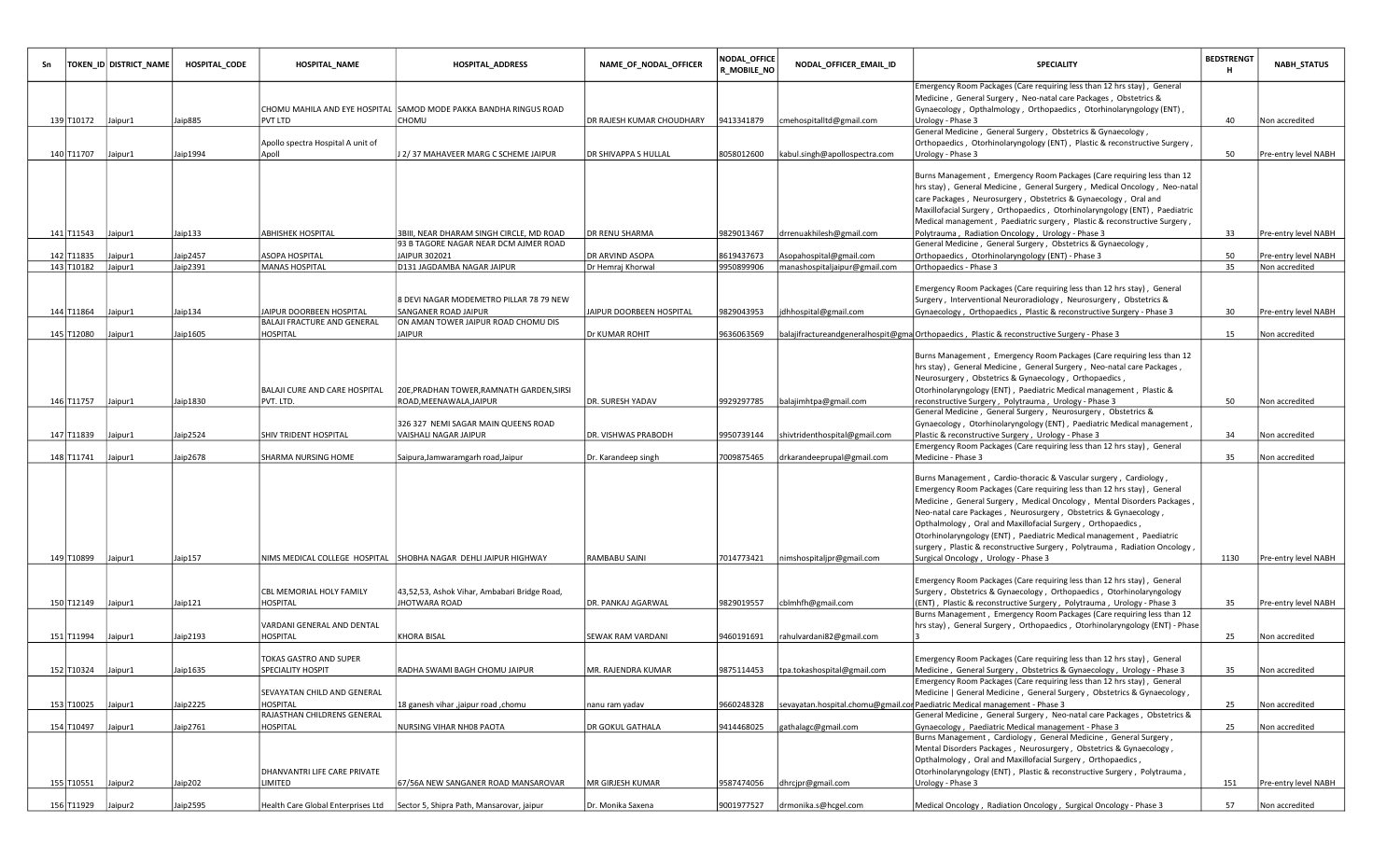|                    | TOKEN_ID DISTRICT_NAME | HOSPITAL CODE | <b>HOSPITAL_NAME</b>                        | HOSPITAL_ADDRESS                                                                  | NAME_OF_NODAL_OFFICER       | NODAL_OFFICE<br><b>R_MOBILE_NO</b> | NODAL_OFFICER_EMAIL_ID                  | <b>SPECIALITY</b>                                                                                                                                                                                                                                                                                                                                                                                                                                                                                                                                        | <b>BEDSTRENGT</b><br>H | <b>NABH_STATUS</b>    |
|--------------------|------------------------|---------------|---------------------------------------------|-----------------------------------------------------------------------------------|-----------------------------|------------------------------------|-----------------------------------------|----------------------------------------------------------------------------------------------------------------------------------------------------------------------------------------------------------------------------------------------------------------------------------------------------------------------------------------------------------------------------------------------------------------------------------------------------------------------------------------------------------------------------------------------------------|------------------------|-----------------------|
| 139 T10172 Jaipur1 |                        | Jaip885       | PVT LTD                                     | CHOMU MAHILA AND EYE HOSPITAL SAMOD MODE PAKKA BANDHA RINGUS ROAD<br>CHOMU        | DR RAJESH KUMAR CHOUDHARY   | 9413341879                         | cmehospitalltd@gmail.com                | Emergency Room Packages (Care requiring less than 12 hrs stay), General<br>Medicine, General Surgery, Neo-natal care Packages, Obstetrics &<br>Gynaecology, Opthalmology, Orthopaedics, Otorhinolaryngology (ENT),<br>Urology - Phase 3                                                                                                                                                                                                                                                                                                                  | 40                     | Non accredited        |
| 140 T11707         | Jaipur1                | Jaip1994      | Apollo spectra Hospital A unit of<br>Apoll  | J 2/37 MAHAVEER MARG C SCHEME JAIPUR                                              | <b>DR SHIVAPPA S HULLAL</b> | 8058012600                         | kabul.singh@apollospectra.com           | General Medicine, General Surgery, Obstetrics & Gynaecology,<br>Orthopaedics, Otorhinolaryngology (ENT), Plastic & reconstructive Surgery,<br>Urology - Phase 3                                                                                                                                                                                                                                                                                                                                                                                          | 50                     | Pre-entry level NABH  |
|                    |                        |               |                                             |                                                                                   |                             |                                    |                                         | Burns Management, Emergency Room Packages (Care requiring less than 12<br>hrs stay), General Medicine, General Surgery, Medical Oncology, Neo-natal<br>care Packages, Neurosurgery, Obstetrics & Gynaecology, Oral and<br>Maxillofacial Surgery, Orthopaedics, Otorhinolaryngology (ENT), Paediatric<br>Medical management, Paediatric surgery, Plastic & reconstructive Surgery,                                                                                                                                                                        |                        |                       |
| 141 T11543         | Jaipur1                | Jaip133       | <b>ABHISHEK HOSPITAL</b>                    | 3BIII, NEAR DHARAM SINGH CIRCLE, MD ROAD<br>93 B TAGORE NAGAR NEAR DCM AJMER ROAD | DR RENU SHARMA              | 9829013467                         | drrenuakhilesh@gmail.com                | Polytrauma, Radiation Oncology, Urology - Phase 3<br>General Medicine, General Surgery, Obstetrics & Gynaecology,                                                                                                                                                                                                                                                                                                                                                                                                                                        | 33                     | Pre-entry level NABH  |
| 142 T11835         | Jaipur1                | Jaip2457      | ASOPA HOSPITAL                              | JAIPUR 302021                                                                     | DR ARVIND ASOPA             | 8619437673                         | Asopahospital@gmail.com                 | Orthopaedics, Otorhinolaryngology (ENT) - Phase 3                                                                                                                                                                                                                                                                                                                                                                                                                                                                                                        | 50                     | Pre-entry level NABH  |
| 143 T10182         | Jaipur1                | Jaip2391      | <b>MANAS HOSPITAL</b>                       | D131 JAGDAMBA NAGAR JAIPUR                                                        | Dr Hemraj Khorwal           | 9950899906                         | manashospitaljaipur@gmail.com           | Orthopaedics - Phase 3                                                                                                                                                                                                                                                                                                                                                                                                                                                                                                                                   | 35                     | Non accredited        |
| 144 T11864         | Jaipur1                | Jaip134       | JAIPUR DOORBEEN HOSPITAL                    | 8 DEVI NAGAR MODEMETRO PILLAR 78 79 NEW<br><b>SANGANER ROAD JAIPUR</b>            | JAIPUR DOORBEEN HOSPITAL    | 9829043953                         | jdhhospital@gmail.com                   | Emergency Room Packages (Care requiring less than 12 hrs stay), General<br>Surgery, Interventional Neuroradiology, Neurosurgery, Obstetrics &<br>Gynaecology, Orthopaedics, Plastic & reconstructive Surgery - Phase 3                                                                                                                                                                                                                                                                                                                                   | 30                     | Pre-entry level NABH  |
|                    |                        |               | BALAJI FRACTURE AND GENERAL                 | ON AMAN TOWER JAIPUR ROAD CHOMU DIS                                               |                             |                                    |                                         |                                                                                                                                                                                                                                                                                                                                                                                                                                                                                                                                                          |                        |                       |
| 145 T12080         | Jaipur1                | Jaip1605      | HOSPITAL                                    | <b>JAIPUR</b>                                                                     | Dr KUMAR ROHIT              | 9636063569                         |                                         | balajifractureandgeneralhospit@gma Orthopaedics, Plastic & reconstructive Surgery - Phase 3<br>Burns Management, Emergency Room Packages (Care requiring less than 12<br>hrs stay), General Medicine, General Surgery, Neo-natal care Packages,<br>Neurosurgery, Obstetrics & Gynaecology, Orthopaedics,                                                                                                                                                                                                                                                 | 15                     | Non accredited        |
|                    |                        |               | BALAJI CURE AND CARE HOSPITAL               | 20E, PRADHAN TOWER, RAMNATH GARDEN, SIRSI                                         |                             |                                    |                                         | Otorhinolaryngology (ENT), Paediatric Medical management, Plastic &                                                                                                                                                                                                                                                                                                                                                                                                                                                                                      |                        |                       |
| 146 T11757         | Jaipur1                | Jaip1830      | PVT. LTD.                                   | ROAD.MEENAWALA.JAIPUR                                                             | DR. SURESH YADAV            | 9929297785                         | balajimhtpa@gmail.com                   | reconstructive Surgery, Polytrauma, Urology - Phase 3<br>General Medicine, General Surgery, Neurosurgery, Obstetrics &                                                                                                                                                                                                                                                                                                                                                                                                                                   | 50                     | Non accredited        |
|                    |                        |               |                                             | 326 327 NEMI SAGAR MAIN QUEENS ROAD                                               |                             |                                    |                                         | Gynaecology, Otorhinolaryngology (ENT), Paediatric Medical management,                                                                                                                                                                                                                                                                                                                                                                                                                                                                                   |                        |                       |
| 147 T11839         | Jaipur1                | Jaip2524      | SHIV TRIDENT HOSPITAL                       | VAISHALI NAGAR JAIPUR                                                             | <b>DR. VISHWAS PRABODH</b>  | 9950739144                         | shivtridenthospital@gmail.com           | Plastic & reconstructive Surgery, Urology - Phase 3                                                                                                                                                                                                                                                                                                                                                                                                                                                                                                      | 34                     | Non accredited        |
|                    |                        |               |                                             |                                                                                   |                             |                                    |                                         | Emergency Room Packages (Care requiring less than 12 hrs stay), General                                                                                                                                                                                                                                                                                                                                                                                                                                                                                  |                        |                       |
| 148 T11741         | Jaipur1                | Jaip2678      | SHARMA NURSING HOME                         | Saipura, Jamwaramgarh road, Jaipur                                                | Dr. Karandeep singh         | 7009875465                         | drkarandeeprupal@gmail.com              | Medicine - Phase 3                                                                                                                                                                                                                                                                                                                                                                                                                                                                                                                                       | 35                     | Non accredited        |
| 149 T10899         | Jaipur1                | Jaip157       |                                             | NIMS MEDICAL COLLEGE HOSPITAL  SHOBHA NAGAR DEHLI JAIPUR HIGHWAY                  | <b>RAMBABU SAINI</b>        | 7014773421                         | nimshospitaljpr@gmail.com               | Burns Management, Cardio-thoracic & Vascular surgery, Cardiology,<br>Emergency Room Packages (Care requiring less than 12 hrs stay), General<br>Medicine, General Surgery, Medical Oncology, Mental Disorders Packages,<br>Neo-natal care Packages, Neurosurgery, Obstetrics & Gynaecology,<br>Opthalmology, Oral and Maxillofacial Surgery, Orthopaedics,<br>Otorhinolaryngology (ENT), Paediatric Medical management, Paediatric<br>surgery, Plastic & reconstructive Surgery, Polytrauma, Radiation Oncology,<br>Surgical Oncology, Urology - Phase 3 | 1130                   | Pre-entry level NABH  |
|                    |                        |               |                                             |                                                                                   |                             |                                    |                                         | Emergency Room Packages (Care requiring less than 12 hrs stay), General                                                                                                                                                                                                                                                                                                                                                                                                                                                                                  |                        |                       |
| 150 T12149         | Jaipur1                | Jaip121       | CBL MEMORIAL HOLY FAMILY<br>HOSPITAL        | 43,52,53, Ashok Vihar, Ambabari Bridge Road,<br><b>JHOTWARA ROAD</b>              | DR. PANKAJ AGARWAL          | 9829019557                         | cblmhfh@gmail.com                       | Surgery, Obstetrics & Gynaecology, Orthopaedics, Otorhinolaryngology<br>(ENT), Plastic & reconstructive Surgery, Polytrauma, Urology - Phase 3                                                                                                                                                                                                                                                                                                                                                                                                           | 35                     | Pre-entry level NABH  |
| 151 T11994         | Jaipur1                | Jaip2193      | VARDANI GENERAL AND DENTAL<br>HOSPITAL      | <b>KHORA BISAL</b>                                                                | <b>SEWAK RAM VARDANI</b>    | 9460191691                         | rahulvardani82@gmail.com                | Burns Management, Emergency Room Packages (Care requiring less than 12<br>hrs stay), General Surgery, Orthopaedics, Otorhinolaryngology (ENT) - Phase                                                                                                                                                                                                                                                                                                                                                                                                    | 25                     | Non accredited        |
|                    |                        |               |                                             |                                                                                   |                             |                                    |                                         |                                                                                                                                                                                                                                                                                                                                                                                                                                                                                                                                                          |                        |                       |
| 152 T10324 Jaipur1 |                        | Jaip1635      | TOKAS GASTRO AND SUPER<br>SPECIALITY HOSPIT | RADHA SWAMI BAGH CHOMU JAIPUR                                                     | MR. RAJENDRA KUMAR          |                                    | 9875114453  tpa.tokashospital@gmail.com | Emergency Room Packages (Care requiring less than 12 hrs stay), General<br>Medicine, General Surgery, Obstetrics & Gynaecology, Urology - Phase 3                                                                                                                                                                                                                                                                                                                                                                                                        | 35                     | <b>Non accredited</b> |
|                    |                        |               |                                             |                                                                                   |                             |                                    |                                         | Emergency Room Packages (Care requiring less than 12 hrs stay), General                                                                                                                                                                                                                                                                                                                                                                                                                                                                                  |                        |                       |
|                    |                        | Jaip2225      | SEVAYATAN CHILD AND GENERAL<br>HOSPITAL     | 18 ganesh vihar ,jaipur road ,chomu                                               | nanu ram yadav              | 9660248328                         |                                         | Medicine   General Medicine, General Surgery, Obstetrics & Gynaecology,<br>sevayatan.hospital.chomu@gmail.cor Paediatric Medical management - Phase 3                                                                                                                                                                                                                                                                                                                                                                                                    | 25                     | Non accredited        |
| 153 T10025         | Jaipur1                |               | RAJASTHAN CHILDRENS GENERAL                 |                                                                                   |                             |                                    |                                         | General Medicine, General Surgery, Neo-natal care Packages, Obstetrics &                                                                                                                                                                                                                                                                                                                                                                                                                                                                                 |                        |                       |
| 154 T10497         | Jaipur1                | Jaip2761      | HOSPITAL                                    | NURSING VIHAR NH08 PAOTA                                                          | <b>DR GOKUL GATHALA</b>     | 9414468025                         | gathalagc@gmail.com                     | Gynaecology, Paediatric Medical management - Phase 3                                                                                                                                                                                                                                                                                                                                                                                                                                                                                                     | 25                     | Non accredited        |
|                    |                        |               | DHANVANTRI LIFE CARE PRIVATE                |                                                                                   |                             |                                    |                                         | Burns Management, Cardiology, General Medicine, General Surgery,<br>Mental Disorders Packages, Neurosurgery, Obstetrics & Gynaecology,<br>Opthalmology, Oral and Maxillofacial Surgery, Orthopaedics,<br>Otorhinolaryngology (ENT), Plastic & reconstructive Surgery, Polytrauma,                                                                                                                                                                                                                                                                        |                        |                       |
|                    | 155 T10551 Jaipur2     | Jaip202       | LIMITED                                     | 67/56A NEW SANGANER ROAD MANSAROVAR                                               | MR GIRJESH KUMAR            | 9587474056                         | dhrcjpr@gmail.com                       | Urology - Phase 3                                                                                                                                                                                                                                                                                                                                                                                                                                                                                                                                        | 151                    | Pre-entry level NABH  |
|                    | 156 T11929 Jaipur2     | Jaip2595      |                                             | Health Care Global Enterprises Ltd   Sector 5. Shipra Path. Mansarovar. jaipur    | Dr. Monika Saxena           |                                    | 9001977527 drmonika.s@hcgel.com         | Medical Oncology, Radiation Oncology, Surgical Oncology - Phase 3                                                                                                                                                                                                                                                                                                                                                                                                                                                                                        | 57                     | Non accredited        |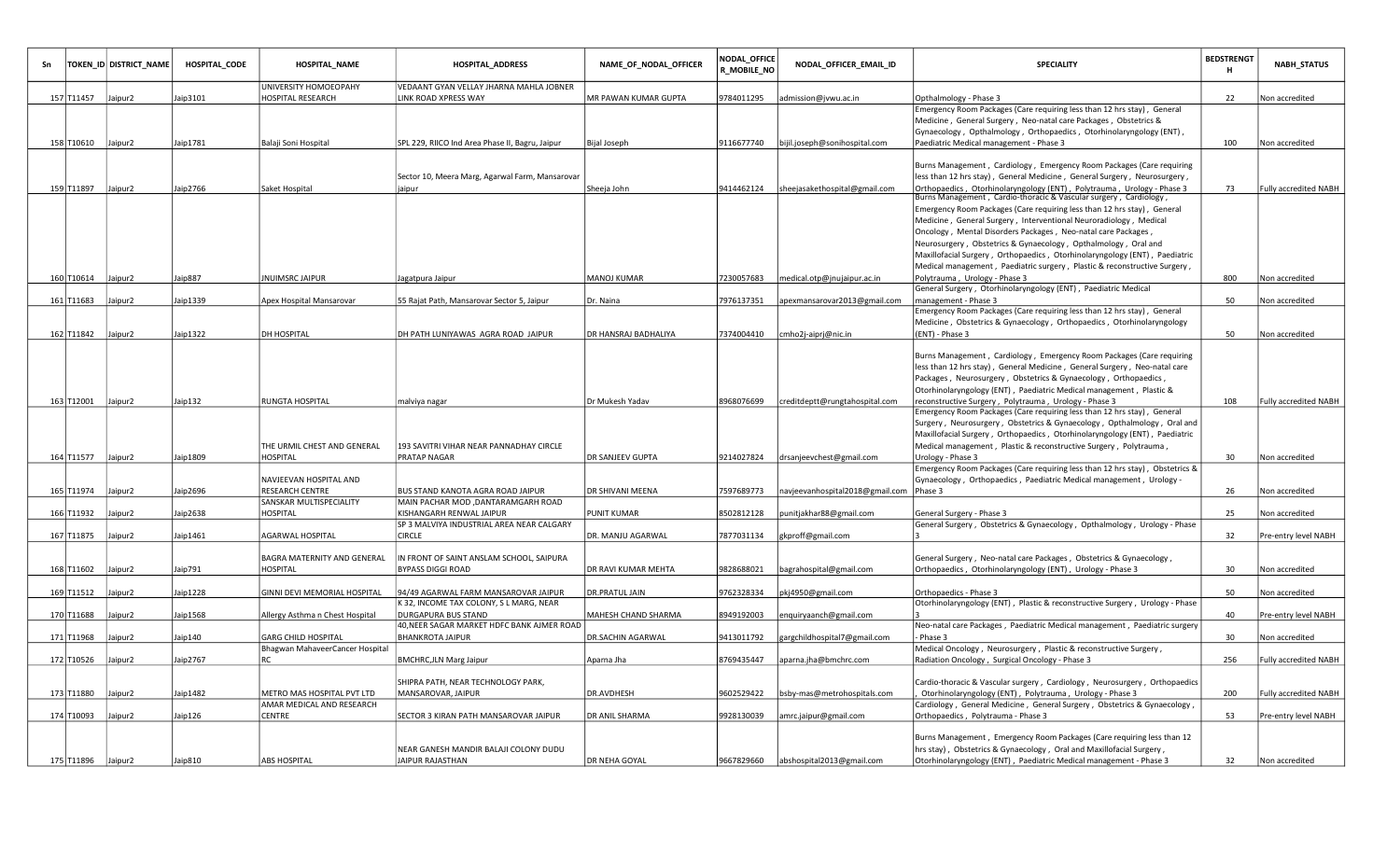|                    | TOKEN_ID DISTRICT_NAME | HOSPITAL_CODE | HOSPITAL_NAME                                          | <b>HOSPITAL_ADDRESS</b>                                   | NAME_OF_NODAL_OFFICER | NODAL_OFFICE<br><b>R_MOBILE_NO</b> | NODAL_OFFICER_EMAIL_ID          | SPECIALITY                                                                                                                                  | <b>BEDSTRENGT</b><br>н | <b>NABH_STATUS</b>    |
|--------------------|------------------------|---------------|--------------------------------------------------------|-----------------------------------------------------------|-----------------------|------------------------------------|---------------------------------|---------------------------------------------------------------------------------------------------------------------------------------------|------------------------|-----------------------|
|                    |                        |               | UNIVERSITY HOMOEOPAHY                                  | VEDAANT GYAN VELLAY JHARNA MAHLA JOBNER                   |                       |                                    |                                 |                                                                                                                                             |                        |                       |
| 157 T11457         | Jaipur2                | Jaip3101      | HOSPITAL RESEARCH                                      | LINK ROAD XPRESS WAY                                      | MR PAWAN KUMAR GUPTA  | 9784011295                         | admission@jvwu.ac.in            | Opthalmology - Phase 3                                                                                                                      | 22                     | Non accredited        |
|                    |                        |               |                                                        |                                                           |                       |                                    |                                 | Emergency Room Packages (Care requiring less than 12 hrs stay), General                                                                     |                        |                       |
|                    |                        |               |                                                        |                                                           |                       |                                    |                                 | Medicine, General Surgery, Neo-natal care Packages, Obstetrics &                                                                            |                        |                       |
|                    |                        |               |                                                        |                                                           |                       |                                    |                                 | Gynaecology, Opthalmology, Orthopaedics, Otorhinolaryngology (ENT),                                                                         |                        |                       |
| 158 T10610 Jaipur2 |                        | Jaip1781      | Balaji Soni Hospital                                   | SPL 229, RIICO Ind Area Phase II, Bagru, Jaipur           | Bijal Joseph          | 9116677740                         | bijil.joseph@sonihospital.com   | Paediatric Medical management - Phase 3                                                                                                     | 100                    | Non accredited        |
|                    |                        |               |                                                        |                                                           |                       |                                    |                                 |                                                                                                                                             |                        |                       |
|                    |                        |               |                                                        |                                                           |                       |                                    |                                 | Burns Management, Cardiology, Emergency Room Packages (Care requiring                                                                       |                        |                       |
| 159 T11897 Jaipur2 |                        | Jaip2766      |                                                        | Sector 10, Meera Marg, Agarwal Farm, Mansarovar<br>jaipur |                       | 9414462124                         |                                 | less than 12 hrs stay), General Medicine, General Surgery, Neurosurgery,                                                                    | 73                     | Fully accredited NABH |
|                    |                        |               | Saket Hospital                                         |                                                           | Sheeja John           |                                    | sheejasakethospital@gmail.com   | Orthopaedics, Otorhinolaryngology (ENT), Polytrauma, Urology - Phase 3<br>Burns Management, Cardio-thoracic & Vascular surgery, Cardiology, |                        |                       |
|                    |                        |               |                                                        |                                                           |                       |                                    |                                 | Emergency Room Packages (Care requiring less than 12 hrs stay), General                                                                     |                        |                       |
|                    |                        |               |                                                        |                                                           |                       |                                    |                                 | Medicine, General Surgery, Interventional Neuroradiology, Medical                                                                           |                        |                       |
|                    |                        |               |                                                        |                                                           |                       |                                    |                                 | Oncology, Mental Disorders Packages, Neo-natal care Packages,                                                                               |                        |                       |
|                    |                        |               |                                                        |                                                           |                       |                                    |                                 | Neurosurgery, Obstetrics & Gynaecology, Opthalmology, Oral and                                                                              |                        |                       |
|                    |                        |               |                                                        |                                                           |                       |                                    |                                 |                                                                                                                                             |                        |                       |
|                    |                        |               |                                                        |                                                           |                       |                                    |                                 | Maxillofacial Surgery, Orthopaedics, Otorhinolaryngology (ENT), Paediatric                                                                  |                        |                       |
|                    |                        |               |                                                        |                                                           |                       |                                    |                                 | Medical management, Paediatric surgery, Plastic & reconstructive Surgery,                                                                   |                        |                       |
| 160 T10614 Jaipur2 |                        | Jaip887       | <b>NUIMSRC JAIPUR</b>                                  | Jagatpura Jaipur                                          | MANOJ KUMAR           | 7230057683                         | medical.otp@jnujaipur.ac.in     | Polytrauma, Urology - Phase 3                                                                                                               | 800                    | Non accredited        |
| 161 T11683         |                        |               |                                                        |                                                           |                       |                                    |                                 | General Surgery, Otorhinolaryngology (ENT), Paediatric Medical                                                                              |                        |                       |
|                    | Jaipur2                | laip1339      | Apex Hospital Mansarovar                               | 55 Rajat Path, Mansarovar Sector 5, Jaipur                | Dr. Naina             | 7976137351                         | apexmansarovar2013@gmail.com    | management - Phase 3<br>Emergency Room Packages (Care requiring less than 12 hrs stay), General                                             | 50                     | Non accredited        |
|                    |                        |               |                                                        |                                                           |                       |                                    |                                 |                                                                                                                                             |                        |                       |
| 162 T11842         | Jaipur <sub>2</sub>    | Jaip1322      | DH HOSPITAL                                            | DH PATH LUNIYAWAS AGRA ROAD JAIPUR                        | DR HANSRAJ BADHALIYA  |                                    |                                 | Medicine, Obstetrics & Gynaecology, Orthopaedics, Otorhinolaryngology                                                                       | 50                     |                       |
|                    |                        |               |                                                        |                                                           |                       | 7374004410                         | cmho2j-aiprj@nic.in             | (ENT) - Phase 3                                                                                                                             |                        | Non accredited        |
|                    |                        |               |                                                        |                                                           |                       |                                    |                                 | Burns Management, Cardiology, Emergency Room Packages (Care requiring                                                                       |                        |                       |
|                    |                        |               |                                                        |                                                           |                       |                                    |                                 |                                                                                                                                             |                        |                       |
|                    |                        |               |                                                        |                                                           |                       |                                    |                                 | less than 12 hrs stay), General Medicine, General Surgery, Neo-natal care                                                                   |                        |                       |
|                    |                        |               |                                                        |                                                           |                       |                                    |                                 | Packages, Neurosurgery, Obstetrics & Gynaecology, Orthopaedics,                                                                             |                        |                       |
|                    |                        |               |                                                        |                                                           |                       |                                    |                                 | Otorhinolaryngology (ENT), Paediatric Medical management, Plastic &                                                                         |                        |                       |
| 163 T12001 Jaipur2 |                        | Jaip132       | RUNGTA HOSPITAL                                        | malviya nagar                                             | Dr Mukesh Yadav       | 8968076699                         | creditdeptt@rungtahospital.com  | reconstructive Surgery, Polytrauma, Urology - Phase 3                                                                                       | 108                    | Fully accredited NABH |
|                    |                        |               |                                                        |                                                           |                       |                                    |                                 | Emergency Room Packages (Care requiring less than 12 hrs stay), General                                                                     |                        |                       |
|                    |                        |               |                                                        |                                                           |                       |                                    |                                 | Surgery, Neurosurgery, Obstetrics & Gynaecology, Opthalmology, Oral and                                                                     |                        |                       |
|                    |                        |               |                                                        |                                                           |                       |                                    |                                 | Maxillofacial Surgery, Orthopaedics, Otorhinolaryngology (ENT), Paediatric                                                                  |                        |                       |
|                    |                        |               | THE URMIL CHEST AND GENERAL                            | 193 SAVITRI VIHAR NEAR PANNADHAY CIRCLE                   |                       |                                    |                                 | Medical management, Plastic & reconstructive Surgery, Polytrauma,                                                                           |                        |                       |
| 164 T11577 Jaipur2 |                        | Jaip1809      | HOSPITAL                                               | <b>PRATAP NAGAR</b>                                       | DR SANJEEV GUPTA      | 9214027824                         | drsanjeevchest@gmail.com        | Urology - Phase 3                                                                                                                           | 30                     | Non accredited        |
|                    |                        |               | <b>NAVJEEVAN HOSPITAL AND</b>                          |                                                           |                       |                                    |                                 | Emergency Room Packages (Care requiring less than 12 hrs stay), Obstetrics &                                                                |                        |                       |
|                    |                        |               | RESEARCH CENTRE                                        | BUS STAND KANOTA AGRA ROAD JAIPUR                         | DR SHIVANI MEENA      |                                    |                                 | Gynaecology, Orthopaedics, Paediatric Medical management, Urology -                                                                         | 26                     |                       |
| 165 T11974         | Jaipur2                | Jaip2696      | SANSKAR MULTISPECIALITY                                | MAIN PACHAR MOD , DANTARAMGARH ROAD                       |                       | 7597689773                         | navjeevanhospital2018@gmail.com | Phase 3                                                                                                                                     |                        | Non accredited        |
| 166 T11932         | Jaipur2                | aip2638       | HOSPITAL                                               | KISHANGARH RENWAL JAIPUR                                  | PUNIT KUMAR           | 8502812128                         | punitjakhar88@gmail.com         | General Surgery - Phase 3                                                                                                                   | 25                     | Non accredited        |
|                    |                        |               |                                                        | SP 3 MALVIYA INDUSTRIAL AREA NEAR CALGARY                 |                       |                                    |                                 | General Surgery, Obstetrics & Gynaecology, Opthalmology, Urology - Phase                                                                    |                        |                       |
| 167 T11875         | Jaipur2                | Jaip1461      | AGARWAL HOSPITAL                                       | <b>CIRCLE</b>                                             | DR. MANJU AGARWAL     | 7877031134                         | gkproff@gmail.com               |                                                                                                                                             | 32                     | Pre-entry level NABH  |
|                    |                        |               |                                                        |                                                           |                       |                                    |                                 |                                                                                                                                             |                        |                       |
|                    |                        |               | BAGRA MATERNITY AND GENERAL                            | IN FRONT OF SAINT ANSLAM SCHOOL, SAIPURA                  |                       |                                    |                                 | General Surgery, Neo-natal care Packages, Obstetrics & Gynaecology,                                                                         |                        |                       |
| 168 T11602         | Jaipur2                | Jaip791       | HOSPITAL                                               | <b>BYPASS DIGGI ROAD</b>                                  | DR RAVI KUMAR MEHTA   | 9828688021                         | bagrahospital@gmail.com         | Orthopaedics, Otorhinolaryngology (ENT), Urology - Phase 3                                                                                  | 30                     | Non accredited        |
|                    |                        |               |                                                        |                                                           |                       |                                    |                                 |                                                                                                                                             |                        |                       |
| 169 T11512         | Jaipur2                | Jaip1228      | GINNI DEVI MEMORIAL HOSPITAL                           | 94/49 AGARWAL FARM MANSAROVAR JAIPUR                      | DR.PRATUL JAIN        | 9762328334                         | pkj4950@gmail.com               | Orthopaedics - Phase 3                                                                                                                      | 50                     | Non accredited        |
|                    |                        |               |                                                        | K 32, INCOME TAX COLONY, S L MARG, NEAR                   |                       |                                    |                                 | Otorhinolaryngology (ENT), Plastic & reconstructive Surgery, Urology - Phase                                                                |                        |                       |
| 170 T11688         | Jaipur2                | Jaip1568      | Allergy Asthma n Chest Hospital                        | <b>DURGAPURA BUS STAND</b>                                | MAHESH CHAND SHARMA   | 8949192003                         |                                 |                                                                                                                                             | 40                     | Pre-entry level NABH  |
|                    |                        |               |                                                        | 40,NEER SAGAR MARKET HDFC BANK AJMER ROAD                 |                       |                                    | enquiryaanch@gmail.com          | Neo-natal care Packages, Paediatric Medical management, Paediatric surgery                                                                  |                        |                       |
| 171 T11968         | Jaipur2                | Jaip140       |                                                        | <b>BHANKROTA JAIPUR</b>                                   | DR.SACHIN AGARWAL     | 9413011792                         |                                 | Phase 3                                                                                                                                     | 30                     | Non accredited        |
|                    |                        |               | GARG CHILD HOSPITAL<br>Bhagwan MahaveerCancer Hospital |                                                           |                       |                                    | gargchildhospital7@gmail.com    | Medical Oncology, Neurosurgery, Plastic & reconstructive Surgery,                                                                           |                        |                       |
| 172 T10526         | Jaipur2                | Jaip2767      | RC                                                     |                                                           | Aparna Jha            | 8769435447                         |                                 | Radiation Oncology, Surgical Oncology - Phase 3                                                                                             | 256                    | Fully accredited NABH |
|                    |                        |               |                                                        | BMCHRC, JLN Marg Jaipur                                   |                       |                                    | aparna.jha@bmchrc.com           |                                                                                                                                             |                        |                       |
|                    |                        |               |                                                        | SHIPRA PATH, NEAR TECHNOLOGY PARK,                        |                       |                                    |                                 | Cardio-thoracic & Vascular surgery, Cardiology, Neurosurgery, Orthopaedics                                                                  |                        |                       |
| 173 T11880         | Jaipur2                | Jaip1482      | <b>METRO MAS HOSPITAL PVT LTD</b>                      | MANSAROVAR, JAIPUR                                        | DR.AVDHESH            | 9602529422                         | bsby-mas@metrohospitals.com     | Otorhinolaryngology (ENT), Polytrauma, Urology - Phase 3                                                                                    | 200                    | Fully accredited NABH |
|                    |                        |               | AMAR MEDICAL AND RESEARCH                              |                                                           |                       |                                    |                                 | Cardiology, General Medicine, General Surgery, Obstetrics & Gynaecology,                                                                    |                        |                       |
| 174 T10093         | Jaipur2                | Jaip126       | CENTRE                                                 | SECTOR 3 KIRAN PATH MANSAROVAR JAIPUR                     | DR ANIL SHARMA        | 9928130039                         | amrc.jaipur@gmail.com           | Orthopaedics, Polytrauma - Phase 3                                                                                                          | 53                     | Pre-entry level NABH  |
|                    |                        |               |                                                        |                                                           |                       |                                    |                                 |                                                                                                                                             |                        |                       |
|                    |                        |               |                                                        |                                                           |                       |                                    |                                 | Burns Management, Emergency Room Packages (Care requiring less than 12                                                                      |                        |                       |
|                    |                        |               |                                                        | NEAR GANESH MANDIR BALAJI COLONY DUDU                     |                       |                                    |                                 | hrs stay), Obstetrics & Gynaecology, Oral and Maxillofacial Surgery,                                                                        |                        |                       |
|                    |                        |               |                                                        |                                                           |                       |                                    |                                 |                                                                                                                                             |                        |                       |
| 175 T11896 Jaipur2 |                        | Jaip810       | ABS HOSPITAL                                           | JAIPUR RAJASTHAN                                          | DR NEHA GOYAL         | 9667829660                         | abshospital2013@gmail.com       | Otorhinolaryngology (ENT), Paediatric Medical management - Phase 3                                                                          | 32                     | Non accredited        |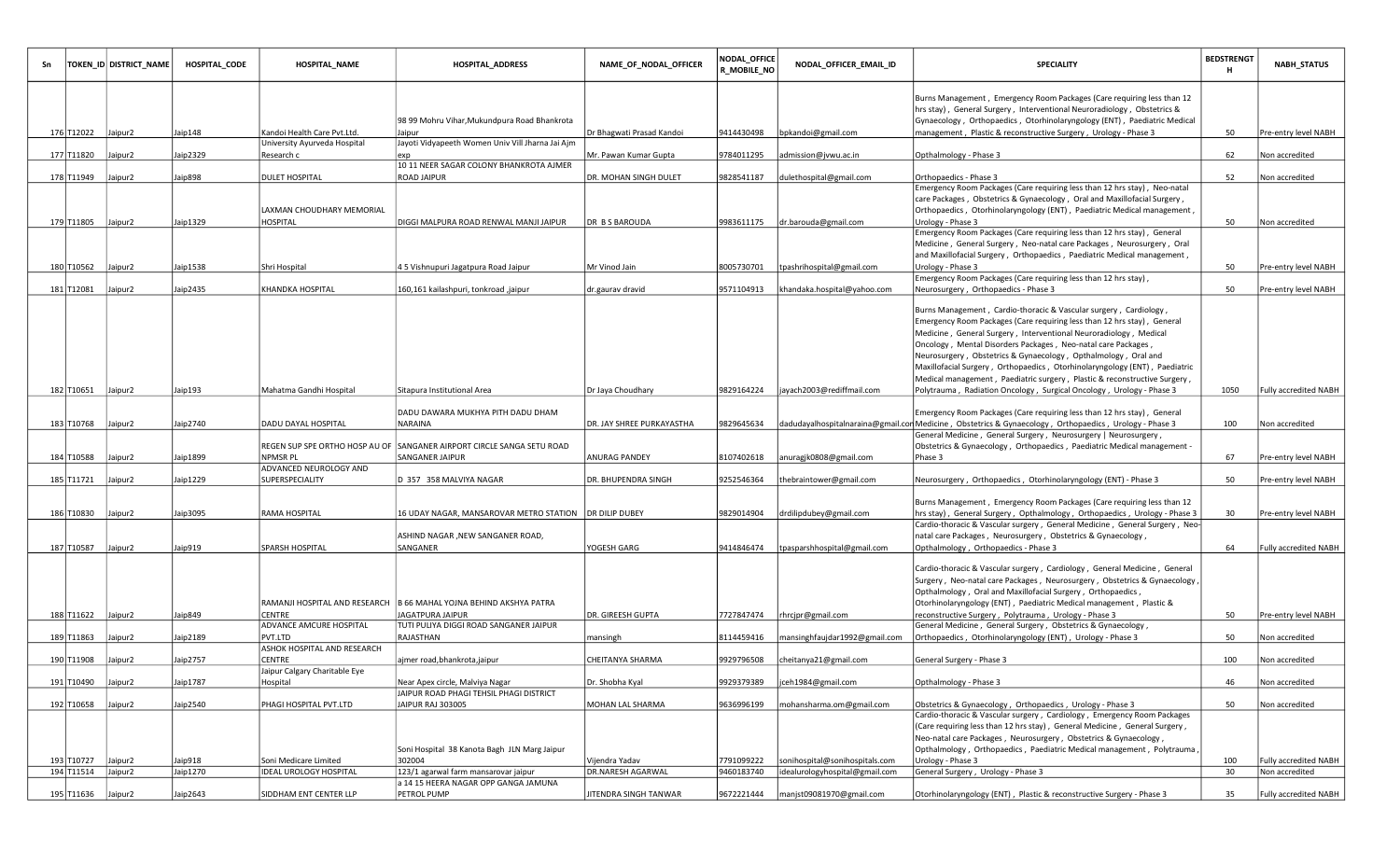|            | TOKEN_ID DISTRICT_NAME | <b>HOSPITAL_CODE</b> | HOSPITAL_NAME                         | HOSPITAL_ADDRESS                                                       | NAME_OF_NODAL_OFFICER     | <b>NODAL_OFFICE</b><br><b>R_MOBILE_NO</b> | NODAL_OFFICER_EMAIL_ID         | <b>SPECIALITY</b>                                                                                                                                                                                                                                                                                                                                                                                                                  | <b>BEDSTRENGT</b><br>н | <b>NABH_STATUS</b>           |
|------------|------------------------|----------------------|---------------------------------------|------------------------------------------------------------------------|---------------------------|-------------------------------------------|--------------------------------|------------------------------------------------------------------------------------------------------------------------------------------------------------------------------------------------------------------------------------------------------------------------------------------------------------------------------------------------------------------------------------------------------------------------------------|------------------------|------------------------------|
|            |                        |                      |                                       | 98 99 Mohru Vihar, Mukundpura Road Bhankrota                           |                           |                                           |                                | Burns Management, Emergency Room Packages (Care requiring less than 12<br>hrs stay), General Surgery, Interventional Neuroradiology, Obstetrics &<br>Gynaecology, Orthopaedics, Otorhinolaryngology (ENT), Paediatric Medical                                                                                                                                                                                                      |                        |                              |
| 176 T12022 | Jaipur2                | Jaip148              | Kandoi Health Care Pvt.Ltd.           | Jaipur                                                                 | Dr Bhagwati Prasad Kandoi | 9414430498                                | bpkandoi@gmail.com             | management, Plastic & reconstructive Surgery, Urology - Phase 3                                                                                                                                                                                                                                                                                                                                                                    | 50                     | Pre-entry level NABH         |
|            |                        |                      | University Ayurveda Hospital          | Jayoti Vidyapeeth Women Univ Vill Jharna Jai Ajm                       |                           |                                           |                                |                                                                                                                                                                                                                                                                                                                                                                                                                                    |                        |                              |
| 177 T11820 | Jaipur2                | Jaip2329             | Research c                            | 10 11 NEER SAGAR COLONY BHANKROTA AJMER                                | Mr. Pawan Kumar Gupta     | 9784011295                                | admission@jvwu.ac.in           | Opthalmology - Phase 3                                                                                                                                                                                                                                                                                                                                                                                                             | 62                     | Non accredited               |
| 178 T11949 | Jaipur2                | Jaip898              | DULET HOSPITAL                        | <b>ROAD JAIPUR</b>                                                     | DR. MOHAN SINGH DULET     | 9828541187                                | dulethospital@gmail.com        | Orthopaedics - Phase 3                                                                                                                                                                                                                                                                                                                                                                                                             | 52                     | Non accredited               |
|            |                        |                      |                                       |                                                                        |                           |                                           |                                | Emergency Room Packages (Care requiring less than 12 hrs stay), Neo-natal                                                                                                                                                                                                                                                                                                                                                          |                        |                              |
|            |                        |                      |                                       |                                                                        |                           |                                           |                                | care Packages, Obstetrics & Gynaecology, Oral and Maxillofacial Surgery,                                                                                                                                                                                                                                                                                                                                                           |                        |                              |
| 179 T11805 | Jaipur2                | Jaip1329             | LAXMAN CHOUDHARY MEMORIAL<br>HOSPITAL | DIGGI MALPURA ROAD RENWAL MANJI JAIPUR                                 | <b>DR BS BAROUDA</b>      | 9983611175                                | dr.barouda@gmail.com           | Orthopaedics, Otorhinolaryngology (ENT), Paediatric Medical management,<br>Urology - Phase 3                                                                                                                                                                                                                                                                                                                                       | 50                     | Non accredited               |
|            |                        |                      |                                       |                                                                        |                           |                                           |                                | Emergency Room Packages (Care requiring less than 12 hrs stay), General                                                                                                                                                                                                                                                                                                                                                            |                        |                              |
|            |                        |                      |                                       |                                                                        |                           |                                           |                                | Medicine, General Surgery, Neo-natal care Packages, Neurosurgery, Oral                                                                                                                                                                                                                                                                                                                                                             |                        |                              |
|            |                        |                      |                                       |                                                                        |                           |                                           |                                | and Maxillofacial Surgery, Orthopaedics, Paediatric Medical management,                                                                                                                                                                                                                                                                                                                                                            |                        |                              |
| 180 T10562 | Jaipur2                | Jaip1538             | Shri Hospital                         | 45 Vishnupuri Jagatpura Road Jaipur                                    | Mr Vinod Jain             | 8005730701                                | tpashrihospital@gmail.com      | Urology - Phase 3                                                                                                                                                                                                                                                                                                                                                                                                                  | 50                     | Pre-entry level NABH         |
| 181 T12081 |                        | Jaip2435             | KHANDKA HOSPITAL                      |                                                                        |                           | 9571104913                                | khandaka.hospital@yahoo.com    | Emergency Room Packages (Care requiring less than 12 hrs stay),                                                                                                                                                                                                                                                                                                                                                                    | 50                     | Pre-entry level NABH         |
|            | Jaipur2                |                      |                                       | 160,161 kailashpuri, tonkroad ,jaipur                                  | dr.gaurav dravid          |                                           |                                | Neurosurgery, Orthopaedics - Phase 3                                                                                                                                                                                                                                                                                                                                                                                               |                        |                              |
|            |                        |                      |                                       |                                                                        |                           |                                           |                                | Burns Management, Cardio-thoracic & Vascular surgery, Cardiology,<br>Emergency Room Packages (Care requiring less than 12 hrs stay), General<br>Medicine, General Surgery, Interventional Neuroradiology, Medical<br>Oncology, Mental Disorders Packages, Neo-natal care Packages,<br>Neurosurgery, Obstetrics & Gynaecology, Opthalmology, Oral and<br>Maxillofacial Surgery, Orthopaedics, Otorhinolaryngology (ENT), Paediatric |                        |                              |
| 182 T10651 | Jaipur2                | Jaip193              | Mahatma Gandhi Hospital               | Sitapura Institutional Area                                            | Dr Jaya Choudhary         | 9829164224                                | jayach2003@rediffmail.com      | Medical management, Paediatric surgery, Plastic & reconstructive Surgery,<br>Polytrauma, Radiation Oncology, Surgical Oncology, Urology - Phase 3                                                                                                                                                                                                                                                                                  | 1050                   | <b>Fully accredited NABH</b> |
|            |                        |                      |                                       |                                                                        |                           |                                           |                                |                                                                                                                                                                                                                                                                                                                                                                                                                                    |                        |                              |
| 183 T10768 | Jaipur2                | Jaip2740             | DADU DAYAL HOSPITAL                   | DADU DAWARA MUKHYA PITH DADU DHAM<br>NARAINA                           | DR. JAY SHREE PURKAYASTHA | 9829645634                                |                                | Emergency Room Packages (Care requiring less than 12 hrs stay), General<br>dadudayalhospitalnaraina@gmail.con Medicine, Obstetrics & Gynaecology, Orthopaedics, Urology - Phase 3                                                                                                                                                                                                                                                  | 100                    | Non accredited               |
|            |                        |                      |                                       |                                                                        |                           |                                           |                                | General Medicine, General Surgery, Neurosurgery   Neurosurgery,                                                                                                                                                                                                                                                                                                                                                                    |                        |                              |
| 184 T10588 |                        |                      | NPMSR PL                              | REGEN SUP SPE ORTHO HOSP AU OF SANGANER AIRPORT CIRCLE SANGA SETU ROAD |                           |                                           |                                | Obstetrics & Gynaecology, Orthopaedics, Paediatric Medical management -                                                                                                                                                                                                                                                                                                                                                            | 67                     |                              |
|            | Jaipur2                | Jaip1899             | ADVANCED NEUROLOGY AND                | SANGANER JAIPUR                                                        | ANURAG PANDEY             | 8107402618                                | anuragjk0808@gmail.com         | Phase 3                                                                                                                                                                                                                                                                                                                                                                                                                            |                        | Pre-entry level NABH         |
| 185 T11721 | Jaipur2                | Jaip1229             | SUPERSPECIALITY                       | D 357 358 MALVIYA NAGAR                                                | DR. BHUPENDRA SINGH       | 9252546364                                | thebraintower@gmail.com        | Neurosurgery, Orthopaedics, Otorhinolaryngology (ENT) - Phase 3                                                                                                                                                                                                                                                                                                                                                                    | 50                     | Pre-entry level NABH         |
|            |                        |                      |                                       |                                                                        |                           |                                           |                                |                                                                                                                                                                                                                                                                                                                                                                                                                                    |                        |                              |
|            |                        |                      |                                       |                                                                        |                           |                                           |                                | Burns Management, Emergency Room Packages (Care requiring less than 12                                                                                                                                                                                                                                                                                                                                                             |                        |                              |
| 186 T10830 | Jaipur2                | Jaip3095             | RAMA HOSPITAL                         | 16 UDAY NAGAR, MANSAROVAR METRO STATION   DR DILIP DUBEY               |                           | 9829014904                                | drdilipdubey@gmail.com         | hrs stay), General Surgery, Opthalmology, Orthopaedics, Urology - Phase 3<br>Cardio-thoracic & Vascular surgery, General Medicine, General Surgery, Neo-                                                                                                                                                                                                                                                                           | 30                     | Pre-entry level NABH         |
|            |                        |                      |                                       | ASHIND NAGAR , NEW SANGANER ROAD,                                      |                           |                                           |                                | natal care Packages, Neurosurgery, Obstetrics & Gynaecology,                                                                                                                                                                                                                                                                                                                                                                       |                        |                              |
| 187 T10587 | Jaipur2                | Jaip919              | SPARSH HOSPITAL                       | SANGANER                                                               | YOGESH GARG               | 9414846474                                | tpasparshhospital@gmail.com    | Opthalmology, Orthopaedics - Phase 3                                                                                                                                                                                                                                                                                                                                                                                               | 64                     | <b>Fully accredited NABH</b> |
|            |                        |                      | RAMANJI HOSPITAL AND RESEARCH         | B 66 MAHAL YOJNA BEHIND AKSHYA PATRA                                   |                           |                                           |                                | Cardio-thoracic & Vascular surgery, Cardiology, General Medicine, General<br>Surgery , Neo-natal care Packages , Neurosurgery , Obstetrics & Gynaecology ,<br>Opthalmology, Oral and Maxillofacial Surgery, Orthopaedics,<br>Otorhinolaryngology (ENT), Paediatric Medical management, Plastic &                                                                                                                                   |                        |                              |
| 188 T11622 | Jaipur2                | Jaip849              | CENTRE                                | JAGATPURA JAIPUR                                                       | DR. GIREESH GUPTA         | 7727847474                                | rhrcjpr@gmail.com              | reconstructive Surgery, Polytrauma, Urology - Phase 3                                                                                                                                                                                                                                                                                                                                                                              | 50                     | Pre-entry level NABH         |
|            |                        |                      | ADVANCE AMCURE HOSPITAL               | TUTI PULIYA DIGGI ROAD SANGANER JAIPUR                                 |                           |                                           |                                | General Medicine, General Surgery, Obstetrics & Gynaecology,                                                                                                                                                                                                                                                                                                                                                                       |                        |                              |
| 189 T11863 | Jaipur2                | Jaip2189             | PVT.LTD                               | RAJASTHAN                                                              | mansingh                  | 8114459416                                | mansinghfaujdar1992@gmail.com  | Orthopaedics, Otorhinolaryngology (ENT), Urology - Phase 3                                                                                                                                                                                                                                                                                                                                                                         | 50                     | Non accredited               |
| 190 T11908 | Jaipur2                | Jaip2757             | ASHOK HOSPITAL AND RESEARCH<br>CENTRE | ajmer road, bhankrota, jaipur                                          | CHEITANYA SHARMA          | 9929796508                                | cheitanya21@gmail.com          | General Surgery - Phase 3                                                                                                                                                                                                                                                                                                                                                                                                          | 100                    | Non accredited               |
|            |                        |                      | Jaipur Calgary Charitable Eye         |                                                                        |                           |                                           |                                |                                                                                                                                                                                                                                                                                                                                                                                                                                    |                        |                              |
| 191 T10490 | Jaipur <sub>2</sub>    | Jaip1787             | Hospital                              | Near Apex circle, Malviya Nagar                                        | Dr. Shobha Kyal           | 9929379389                                | ceh1984@gmail.com              | Opthalmology - Phase 3                                                                                                                                                                                                                                                                                                                                                                                                             | 46                     | Non accredited               |
|            |                        |                      |                                       | JAIPUR ROAD PHAGI TEHSIL PHAGI DISTRICT                                |                           |                                           |                                |                                                                                                                                                                                                                                                                                                                                                                                                                                    |                        |                              |
| 192 T10658 | Jaipur <sub>2</sub>    | Jaip2540             | PHAGI HOSPITAL PVT.LTD                | JAIPUR RAJ 303005                                                      | MOHAN LAL SHARMA          | 9636996199                                | mohansharma.om@gmail.com       | Obstetrics & Gynaecology, Orthopaedics, Urology - Phase 3<br>Cardio-thoracic & Vascular surgery, Cardiology, Emergency Room Packages                                                                                                                                                                                                                                                                                               | 50                     | Non accredited               |
|            |                        |                      |                                       | Soni Hospital 38 Kanota Bagh JLN Marg Jaipur                           |                           |                                           |                                | (Care requiring less than 12 hrs stay), General Medicine, General Surgery,<br>Neo-natal care Packages, Neurosurgery, Obstetrics & Gynaecology,<br>Opthalmology, Orthopaedics, Paediatric Medical management, Polytrauma                                                                                                                                                                                                            |                        |                              |
| 193 T10727 | Jaipur <sub>2</sub>    | Jaip918              | Soni Medicare Limited                 | 302004                                                                 | Vijendra Yadav            | 7791099222                                | sonihospital@sonihospitals.com | Urology - Phase 3                                                                                                                                                                                                                                                                                                                                                                                                                  | 100                    | Fully accredited NABH        |
| 194 T11514 | Jaipur2                | Jaip1270             | <b>IDEAL UROLOGY HOSPITAL</b>         | 123/1 agarwal farm mansarovar jaipur                                   | DR.NARESH AGARWAL         | 9460183740                                | idealurologyhospital@gmail.com | General Surgery, Urology - Phase 3                                                                                                                                                                                                                                                                                                                                                                                                 | 30                     | Non accredited               |
| 195 T11636 | Jaipur2                | Jaip2643             | SIDDHAM ENT CENTER LLP                | a 14 15 HEERA NAGAR OPP GANGA JAMUNA<br><b>PETROL PUMP</b>             | JITENDRA SINGH TANWAR     | 9672221444                                | manjst09081970@gmail.com       | Otorhinolaryngology (ENT), Plastic & reconstructive Surgery - Phase 3                                                                                                                                                                                                                                                                                                                                                              | 35                     | Fully accredited NABH        |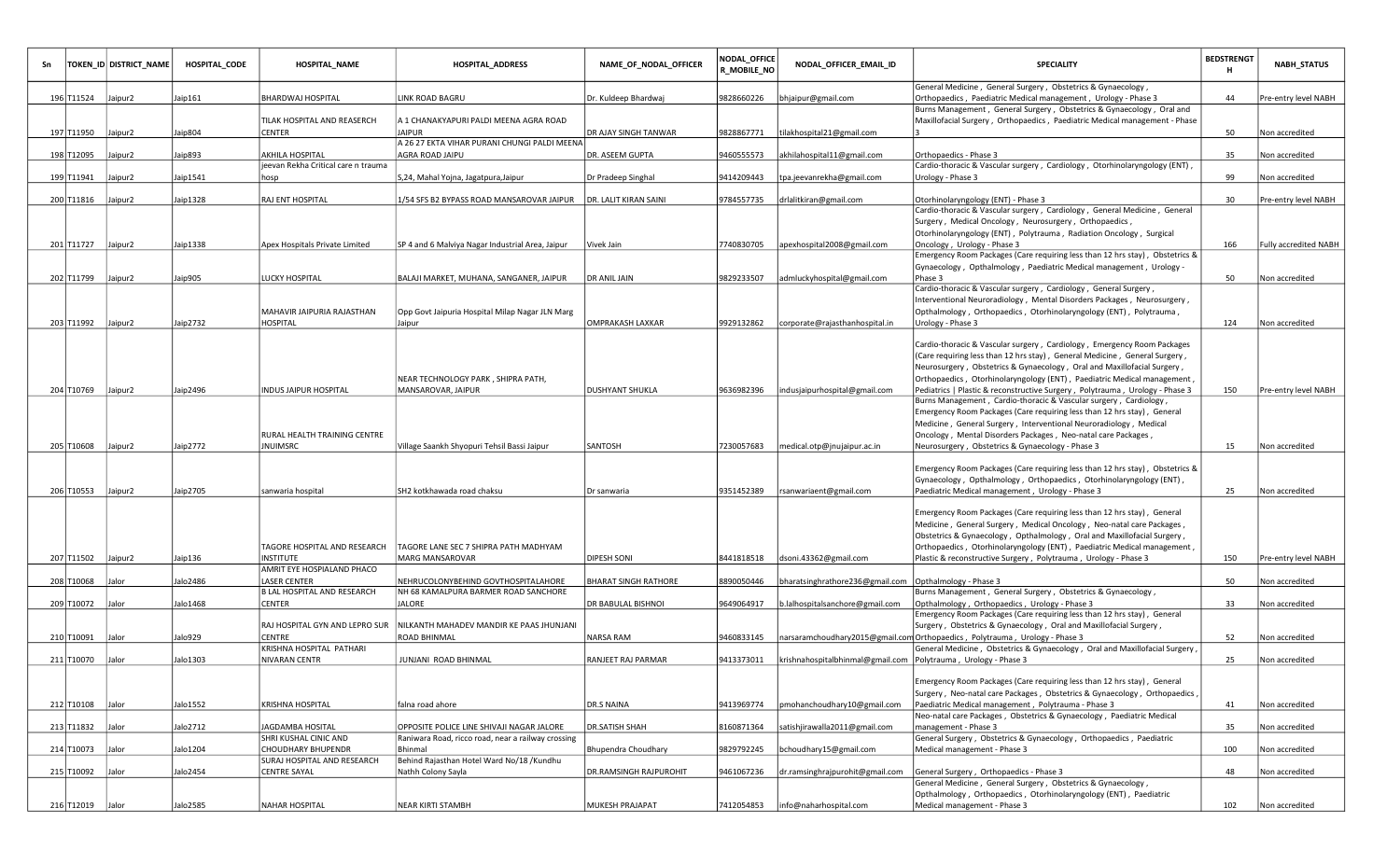|                  | TOKEN_ID  DISTRICT_NAME | <b>HOSPITAL_CODE</b> | <b>HOSPITAL_NAME</b>                       | <b>HOSPITAL_ADDRESS</b>                                                                         | NAME_OF_NODAL_OFFICER  | NODAL OFFICE<br>R_MOBILE_NO | NODAL_OFFICER_EMAIL_ID                                           | <b>SPECIALITY</b>                                                                                                                  | <b>BEDSTRENGT</b><br>н | <b>NABH_STATUS</b>    |
|------------------|-------------------------|----------------------|--------------------------------------------|-------------------------------------------------------------------------------------------------|------------------------|-----------------------------|------------------------------------------------------------------|------------------------------------------------------------------------------------------------------------------------------------|------------------------|-----------------------|
|                  |                         |                      |                                            |                                                                                                 |                        |                             |                                                                  | General Medicine, General Surgery, Obstetrics & Gynaecology,                                                                       |                        |                       |
| 196 T11524       | Jaipur2                 | Jaip161              | <b>BHARDWAJ HOSPITAL</b>                   | LINK ROAD BAGRU                                                                                 | Dr. Kuldeep Bhardwaj   | 9828660226                  | bhjaipur@gmail.com                                               | Orthopaedics, Paediatric Medical management, Urology - Phase 3                                                                     | 44                     | Pre-entry level NABH  |
|                  |                         |                      |                                            |                                                                                                 |                        |                             |                                                                  | Burns Management, General Surgery, Obstetrics & Gynaecology, Oral and                                                              |                        |                       |
| 197 T11950       | Jaipur2                 | Jaip804              | TILAK HOSPITAL AND REASERCH<br>CENTER      | A 1 CHANAKYAPURI PALDI MEENA AGRA ROAD<br><b>JAIPUR</b>                                         | DR AJAY SINGH TANWAR   | 9828867771                  | tilakhospital21@gmail.com                                        | Maxillofacial Surgery, Orthopaedics, Paediatric Medical management - Phase                                                         | 50                     | Non accredited        |
|                  |                         |                      |                                            | A 26 27 EKTA VIHAR PURANI CHUNGI PALDI MEENA                                                    |                        |                             |                                                                  |                                                                                                                                    |                        |                       |
| 198 T12095       | Jaipur2                 | Jaip893              | AKHILA HOSPITAL                            | AGRA ROAD JAIPU                                                                                 | DR. ASEEM GUPTA        | 9460555573                  | akhilahospital11@gmail.com                                       | Orthopaedics - Phase 3                                                                                                             | 35                     | Non accredited        |
|                  |                         |                      | jeevan Rekha Critical care n trauma        |                                                                                                 |                        |                             |                                                                  | Cardio-thoracic & Vascular surgery, Cardiology, Otorhinolaryngology (ENT),                                                         |                        |                       |
| 199 T11941       | Jaipur2                 | Jaip1541             | hosp                                       | S,24, Mahal Yojna, Jagatpura,Jaipur                                                             | Dr Pradeep Singhal     | 9414209443                  | tpa.jeevanrekha@gmail.com                                        | Urology - Phase 3                                                                                                                  | 99                     | Non accredited        |
|                  |                         |                      |                                            |                                                                                                 |                        |                             |                                                                  |                                                                                                                                    |                        |                       |
| 200 T11816       | Jaipur2                 | Jaip1328             | RAJ ENT HOSPITAL                           | 1/54 SFS B2 BYPASS ROAD MANSAROVAR JAIPUR                                                       | DR. LALIT KIRAN SAINI  | 9784557735                  | drlalitkiran@gmail.com                                           | Otorhinolaryngology (ENT) - Phase 3                                                                                                | 30                     | Pre-entry level NABH  |
|                  |                         |                      |                                            |                                                                                                 |                        |                             |                                                                  | Cardio-thoracic & Vascular surgery, Cardiology, General Medicine, General                                                          |                        |                       |
|                  |                         |                      |                                            |                                                                                                 |                        |                             |                                                                  | Surgery, Medical Oncology, Neurosurgery, Orthopaedics,                                                                             |                        |                       |
|                  |                         |                      |                                            |                                                                                                 |                        |                             |                                                                  | Otorhinolaryngology (ENT), Polytrauma, Radiation Oncology, Surgical                                                                |                        |                       |
| 201 T11727       | Jaipur2                 | Jaip1338             | Apex Hospitals Private Limited             | SP 4 and 6 Malviya Nagar Industrial Area, Jaipur                                                | Vivek Jain             | 7740830705                  | apexhospital2008@gmail.com                                       | Oncology, Urology - Phase 3                                                                                                        | 166                    | Fully accredited NABH |
|                  |                         |                      |                                            |                                                                                                 |                        |                             |                                                                  | Emergency Room Packages (Care requiring less than 12 hrs stay), Obstetrics &                                                       |                        |                       |
| 202 T11799       | Jaipur <sub>2</sub>     | Jaip905              | LUCKY HOSPITAL                             | BALAJI MARKET, MUHANA, SANGANER, JAIPUR                                                         | DR ANIL JAIN           | 9829233507                  |                                                                  | Gynaecology, Opthalmology, Paediatric Medical management, Urology -<br>Phase 3                                                     | 50                     | Non accredited        |
|                  |                         |                      |                                            |                                                                                                 |                        |                             | admluckyhospital@gmail.com                                       | Cardio-thoracic & Vascular surgery, Cardiology, General Surgery,                                                                   |                        |                       |
|                  |                         |                      |                                            |                                                                                                 |                        |                             |                                                                  | Interventional Neuroradiology, Mental Disorders Packages, Neurosurgery,                                                            |                        |                       |
|                  |                         |                      | MAHAVIR JAIPURIA RAJASTHAN                 | Opp Govt Jaipuria Hospital Milap Nagar JLN Marg                                                 |                        |                             |                                                                  | Opthalmology, Orthopaedics, Otorhinolaryngology (ENT), Polytrauma,                                                                 |                        |                       |
| 203 T11992       | Jaipur2                 | Jaip2732             | HOSPITAL                                   | Jaipur                                                                                          | OMPRAKASH LAXKAR       | 9929132862                  | corporate@rajasthanhospital.in                                   | Urology - Phase 3                                                                                                                  | 124                    | Non accredited        |
|                  |                         |                      |                                            |                                                                                                 |                        |                             |                                                                  |                                                                                                                                    |                        |                       |
|                  |                         |                      |                                            |                                                                                                 |                        |                             |                                                                  | Cardio-thoracic & Vascular surgery, Cardiology, Emergency Room Packages                                                            |                        |                       |
|                  |                         |                      |                                            |                                                                                                 |                        |                             |                                                                  | (Care requiring less than 12 hrs stay), General Medicine, General Surgery,                                                         |                        |                       |
|                  |                         |                      |                                            |                                                                                                 |                        |                             |                                                                  | Neurosurgery, Obstetrics & Gynaecology, Oral and Maxillofacial Surgery,                                                            |                        |                       |
|                  |                         |                      |                                            | NEAR TECHNOLOGY PARK, SHIPRA PATH,                                                              |                        |                             |                                                                  | Orthopaedics, Otorhinolaryngology (ENT), Paediatric Medical management                                                             |                        |                       |
| 204 T10769       | Jaipur <sub>2</sub>     | Jaip2496             | INDUS JAIPUR HOSPITAL                      | MANSAROVAR, JAIPUR                                                                              | DUSHYANT SHUKLA        | 9636982396                  | indusjaipurhospital@gmail.com                                    | Pediatrics   Plastic & reconstructive Surgery, Polytrauma, Urology - Phase 3                                                       | 150                    | Pre-entry level NABH  |
|                  |                         |                      |                                            |                                                                                                 |                        |                             |                                                                  | Burns Management, Cardio-thoracic & Vascular surgery, Cardiology,                                                                  |                        |                       |
|                  |                         |                      |                                            |                                                                                                 |                        |                             |                                                                  | Emergency Room Packages (Care requiring less than 12 hrs stay), General                                                            |                        |                       |
|                  |                         |                      | RURAL HEALTH TRAINING CENTRE               |                                                                                                 |                        |                             |                                                                  | Medicine, General Surgery, Interventional Neuroradiology, Medical<br>Oncology, Mental Disorders Packages, Neo-natal care Packages, |                        |                       |
| 205 T10608       | Jaipur <sub>2</sub>     | Jaip2772             | <b>NUIMSRC</b>                             | Village Saankh Shyopuri Tehsil Bassi Jaipur                                                     | SANTOSH                | 7230057683                  | medical.otp@jnujaipur.ac.in                                      | Neurosurgery, Obstetrics & Gynaecology - Phase 3                                                                                   | 15                     | Non accredited        |
|                  |                         |                      |                                            |                                                                                                 |                        |                             |                                                                  |                                                                                                                                    |                        |                       |
|                  |                         |                      |                                            |                                                                                                 |                        |                             |                                                                  | Emergency Room Packages (Care requiring less than 12 hrs stay), Obstetrics &                                                       |                        |                       |
|                  |                         |                      |                                            |                                                                                                 |                        |                             |                                                                  | Gynaecology, Opthalmology, Orthopaedics, Otorhinolaryngology (ENT),                                                                |                        |                       |
| 206 T10553       | Jaipur2                 | Jaip2705             | sanwaria hospital                          | SH2 kotkhawada road chaksu                                                                      | Dr sanwaria            | 9351452389                  | rsanwariaent@gmail.com                                           | Paediatric Medical management, Urology - Phase 3                                                                                   | 25                     | Non accredited        |
|                  |                         |                      |                                            |                                                                                                 |                        |                             |                                                                  |                                                                                                                                    |                        |                       |
|                  |                         |                      |                                            |                                                                                                 |                        |                             |                                                                  | Emergency Room Packages (Care requiring less than 12 hrs stay), General                                                            |                        |                       |
|                  |                         |                      |                                            |                                                                                                 |                        |                             |                                                                  | Medicine, General Surgery, Medical Oncology, Neo-natal care Packages,                                                              |                        |                       |
|                  |                         |                      |                                            |                                                                                                 |                        |                             |                                                                  | Obstetrics & Gynaecology, Opthalmology, Oral and Maxillofacial Surgery,                                                            |                        |                       |
|                  |                         |                      | TAGORE HOSPITAL AND RESEARCH               | TAGORE LANE SEC 7 SHIPRA PATH MADHYAM                                                           |                        |                             |                                                                  | Orthopaedics, Otorhinolaryngology (ENT), Paediatric Medical management                                                             |                        |                       |
| 207 T11502       | Jaipur2                 | Jaip136              | NSTITUTE                                   | <b>MARG MANSAROVAR</b>                                                                          | DIPESH SONI            | 8441818518                  | dsoni.43362@gmail.com                                            | Plastic & reconstructive Surgery, Polytrauma, Urology - Phase 3                                                                    | 150                    | Pre-entry level NABH  |
| 208 T10068       | Jalor                   | Jalo2486             | AMRIT EYE HOSPIALAND PHACO<br>LASER CENTER | NEHRUCOLONYBEHIND GOVTHOSPITALAHORE                                                             | BHARAT SINGH RATHORE   | 8890050446                  |                                                                  |                                                                                                                                    | 50                     | Non accredited        |
|                  |                         |                      | B LAL HOSPITAL AND RESEARCH                | NH 68 KAMALPURA BARMER ROAD SANCHORE                                                            |                        |                             | bharatsinghrathore236@gmail.com                                  | Opthalmology - Phase 3<br>Burns Management, General Surgery, Obstetrics & Gynaecology,                                             |                        |                       |
| 209 T10072       | Jalor                   | Jalo1468             | CENTER                                     | <b>JALORE</b>                                                                                   | DR BABULAL BISHNOI     | 9649064917                  | b.lalhospitalsanchore@gmail.com                                  | Opthalmology, Orthopaedics, Urology - Phase 3                                                                                      | 33                     | Non accredited        |
|                  |                         |                      |                                            |                                                                                                 |                        |                             |                                                                  | Emergency Room Packages (Care requiring less than 12 hrs stay), General                                                            |                        |                       |
|                  |                         |                      | RAJ HOSPITAL GYN AND LEPRO SUR             | NILKANTH MAHADEV MANDIR KE PAAS JHUNJANI                                                        |                        |                             |                                                                  | Surgery, Obstetrics & Gynaecology, Oral and Maxillofacial Surgery,                                                                 |                        |                       |
| 210 T10091       | Jalor                   | Jalo929              | CENTRE                                     | <b>ROAD BHINMAL</b>                                                                             | NARSA RAM              | 9460833145                  |                                                                  | narsaramchoudhary2015@gmail.com Orthopaedics, Polytrauma, Urology - Phase 3                                                        | 52                     | Non accredited        |
|                  |                         |                      | KRISHNA HOSPITAL PATHARI                   |                                                                                                 |                        |                             |                                                                  | General Medicine, Obstetrics & Gynaecology, Oral and Maxillofacial Surgery                                                         |                        |                       |
| 211 T10070       | Jalor                   | Jalo1303             | NIVARAN CENTR                              | JUNJANI ROAD BHINMAL                                                                            | RANJEET RAJ PARMAR     | 9413373011                  | krishnahospitalbhinmal@gmail.com   Polytrauma, Urology - Phase 3 |                                                                                                                                    | 25                     | Non accredited        |
|                  |                         |                      |                                            |                                                                                                 |                        |                             |                                                                  |                                                                                                                                    |                        |                       |
|                  |                         |                      |                                            |                                                                                                 |                        |                             |                                                                  | Emergency Room Packages (Care requiring less than 12 hrs stay), General                                                            |                        |                       |
|                  |                         |                      |                                            |                                                                                                 |                        |                             |                                                                  | Surgery, Neo-natal care Packages, Obstetrics & Gynaecology, Orthopaedics                                                           |                        |                       |
| 212 T10108 Jalor |                         | Jalo1552             | KRISHNA HOSPITAL                           | lfalna road ahore                                                                               | DR.S NAINA             | 9413969774                  | pmohanchoudhary10@gmail.com                                      | Paediatric Medical management, Polytrauma - Phase 3                                                                                | 41                     | Non accredited        |
|                  |                         |                      |                                            |                                                                                                 |                        |                             | satishjirawalla2011@gmail.com                                    | Neo-natal care Packages, Obstetrics & Gynaecology, Paediatric Medical<br>management - Phase 3                                      |                        |                       |
| 213 T11832       | Jalor                   | Jalo2712             | JAGDAMBA HOSITAL<br>SHRI KUSHAL CINIC AND  | OPPOSITE POLICE LINE SHIVAJI NAGAR JALORE<br>Raniwara Road, ricco road, near a railway crossing | DR.SATISH SHAH         | 8160871364                  |                                                                  | General Surgery, Obstetrics & Gynaecology, Orthopaedics, Paediatric                                                                | 35                     | Non accredited        |
| 214 T10073       | Jalor                   | Jalo1204             | CHOUDHARY BHUPENDR                         | Bhinmal                                                                                         | Bhupendra Choudhary    | 9829792245                  | bchoudhary15@gmail.com                                           | Medical management - Phase 3                                                                                                       | 100                    | Non accredited        |
|                  |                         |                      | SURAJ HOSPITAL AND RESEARCH                | Behind Rajasthan Hotel Ward No/18 /Kundhu                                                       |                        |                             |                                                                  |                                                                                                                                    |                        |                       |
| 215 T10092 Jalor |                         | Jalo2454             | CENTRE SAYAL                               | Nathh Colony Sayla                                                                              | DR.RAMSINGH RAJPUROHIT | 9461067236                  | dr.ramsinghrajpurohit@gmail.com                                  | General Surgery, Orthopaedics - Phase 3                                                                                            | 48                     | Non accredited        |
|                  |                         |                      |                                            |                                                                                                 |                        |                             |                                                                  | General Medicine, General Surgery, Obstetrics & Gynaecology,                                                                       |                        |                       |
|                  |                         |                      |                                            |                                                                                                 |                        |                             |                                                                  | Opthalmology, Orthopaedics, Otorhinolaryngology (ENT), Paediatric                                                                  |                        |                       |
| 216 T12019 Jalor |                         | Jalo2585             | NAHAR HOSPITAL                             | NEAR KIRTI STAMBH                                                                               | MUKESH PRAJAPAT        | 7412054853                  | info@naharhospital.com                                           | Medical management - Phase 3                                                                                                       | 102                    | Non accredited        |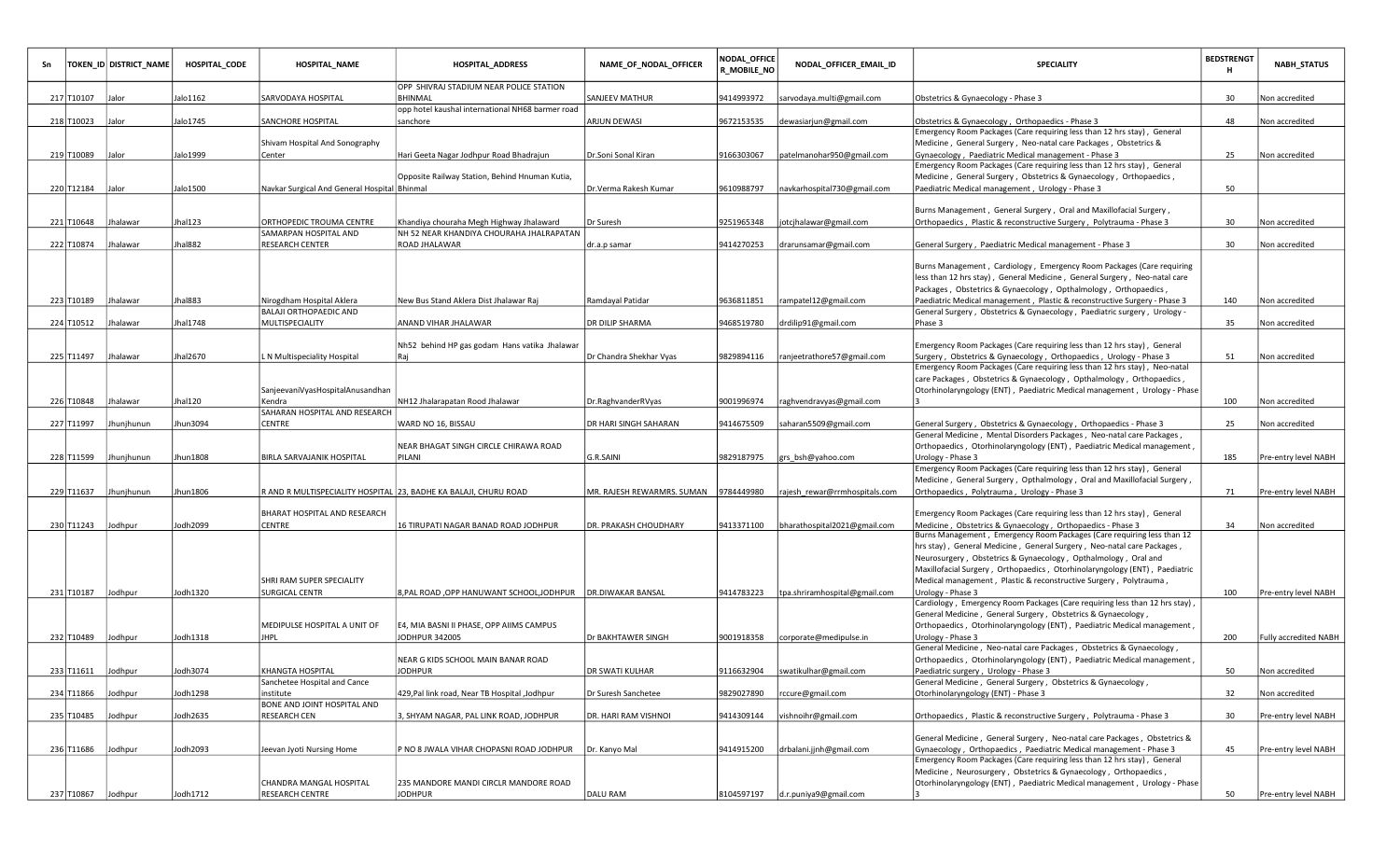| Sn |                    | TOKEN_ID DISTRICT_NAME | HOSPITAL CODE | <b>HOSPITAL_NAME</b>                                | <b>HOSPITAL_ADDRESS</b>                                          | NAME_OF_NODAL_OFFICER      | NODAL_OFFICE<br>R_MOBILE_NO | NODAL_OFFICER_EMAIL_ID                    | <b>SPECIALITY</b>                                                                                                                                     | <b>BEDSTRENGT</b><br>H | <b>NABH_STATUS</b>           |
|----|--------------------|------------------------|---------------|-----------------------------------------------------|------------------------------------------------------------------|----------------------------|-----------------------------|-------------------------------------------|-------------------------------------------------------------------------------------------------------------------------------------------------------|------------------------|------------------------------|
|    | 217 T10107         | Jalor                  | Jalo1162      | SARVODAYA HOSPITAL                                  | OPP SHIVRAJ STADIUM NEAR POLICE STATION<br>BHINMAL               | SANJEEV MATHUR             | 9414993972                  | sarvodaya.multi@gmail.com                 | Obstetrics & Gynaecology - Phase 3                                                                                                                    | 30                     | Non accredited               |
|    | 218 T10023         | Jalor                  | Jalo1745      | SANCHORE HOSPITAL                                   | opp hotel kaushal international NH68 barmer road<br>sanchore     | <b>ARJUN DEWASI</b>        | 9672153535                  | dewasiarjun@gmail.com                     | Obstetrics & Gynaecology, Orthopaedics - Phase 3                                                                                                      | 48                     | Non accredited               |
|    |                    |                        |               |                                                     |                                                                  |                            |                             |                                           | Emergency Room Packages (Care requiring less than 12 hrs stay), General                                                                               |                        |                              |
|    |                    |                        |               | Shivam Hospital And Sonography                      |                                                                  |                            |                             |                                           | Medicine, General Surgery, Neo-natal care Packages, Obstetrics &                                                                                      |                        |                              |
|    | 219 T10089         | Jalor                  | Jalo1999      | Center                                              | Hari Geeta Nagar Jodhpur Road Bhadrajun                          | Dr.Soni Sonal Kiran        | 9166303067                  | patelmanohar950@gmail.com                 | Gynaecology, Paediatric Medical management - Phase 3<br>Emergency Room Packages (Care requiring less than 12 hrs stay), General                       | 25                     | Non accredited               |
|    |                    |                        |               |                                                     | Opposite Railway Station, Behind Hnuman Kutia,                   |                            |                             |                                           | Medicine, General Surgery, Obstetrics & Gynaecology, Orthopaedics,                                                                                    |                        |                              |
|    | 220 T12184 Jalor   |                        | Jalo1500      | Navkar Surgical And General Hospital Bhinmal        |                                                                  | Dr.Verma Rakesh Kumar      | 9610988797                  | navkarhospital730@gmail.com               | Paediatric Medical management, Urology - Phase 3                                                                                                      | 50                     |                              |
|    |                    |                        |               |                                                     |                                                                  |                            |                             |                                           | Burns Management, General Surgery, Oral and Maxillofacial Surgery,                                                                                    |                        |                              |
|    | 221 T10648         | Jhalawar               | Jhal123       | ORTHOPEDIC TROUMA CENTRE                            | Khandiya chouraha Megh Highway Jhalaward                         | Dr Suresh                  | 9251965348                  | jotcjhalawar@gmail.com                    | Orthopaedics, Plastic & reconstructive Surgery, Polytrauma - Phase 3                                                                                  | 30                     | Non accredited               |
|    |                    |                        |               | SAMARPAN HOSPITAL AND                               | NH 52 NEAR KHANDIYA CHOURAHA JHALRAPATAN                         |                            |                             |                                           |                                                                                                                                                       |                        |                              |
|    | 222 T10874         | Jhalawar               | Jhal882       | RESEARCH CENTER                                     | <b>ROAD JHALAWAR</b>                                             | dr.a.p samar               | 9414270253                  | drarunsamar@gmail.com                     | General Surgery, Paediatric Medical management - Phase 3                                                                                              | 30                     | Non accredited               |
|    |                    |                        |               |                                                     |                                                                  |                            |                             |                                           | Burns Management, Cardiology, Emergency Room Packages (Care requiring                                                                                 |                        |                              |
|    |                    |                        |               |                                                     |                                                                  |                            |                             |                                           | less than 12 hrs stay), General Medicine, General Surgery, Neo-natal care                                                                             |                        |                              |
|    |                    |                        |               |                                                     |                                                                  |                            |                             |                                           | Packages, Obstetrics & Gynaecology, Opthalmology, Orthopaedics,                                                                                       |                        |                              |
|    | 223 T10189         | Jhalawar               | Jhal883       | Nirogdham Hospital Aklera<br>BALAJI ORTHOPAEDIC AND | New Bus Stand Aklera Dist Jhalawar Raj                           | Ramdayal Patidar           | 9636811851                  | rampatel12@gmail.com                      | Paediatric Medical management, Plastic & reconstructive Surgery - Phase 3<br>General Surgery, Obstetrics & Gynaecology, Paediatric surgery, Urology - | 140                    | Non accredited               |
|    | 224 T10512         | Jhalawar               | Jhal1748      | <b>MULTISPECIALITY</b>                              | ANAND VIHAR JHALAWAR                                             | DR DILIP SHARMA            | 9468519780                  | drdilip91@gmail.com                       | Phase 3                                                                                                                                               | 35                     | Non accredited               |
|    |                    |                        |               |                                                     |                                                                  |                            |                             |                                           |                                                                                                                                                       |                        |                              |
|    | 225 T11497         | Jhalawar               | Jhal2670      | N Multispeciality Hospital                          | Nh52 behind HP gas godam Hans vatika Jhalawar<br> Rai            | Dr Chandra Shekhar Vyas    | 9829894116                  | ranjeetrathore57@gmail.com                | Emergency Room Packages (Care requiring less than 12 hrs stay), General<br>Surgery, Obstetrics & Gynaecology, Orthopaedics, Urology - Phase 3         | 51                     | Non accredited               |
|    |                    |                        |               |                                                     |                                                                  |                            |                             |                                           | Emergency Room Packages (Care requiring less than 12 hrs stay), Neo-natal                                                                             |                        |                              |
|    |                    |                        |               |                                                     |                                                                  |                            |                             |                                           | care Packages, Obstetrics & Gynaecology, Opthalmology, Orthopaedics,                                                                                  |                        |                              |
|    |                    | Jhalawar               |               | SanjeevaniVyasHospitalAnusandhan                    |                                                                  |                            |                             |                                           | Otorhinolaryngology (ENT), Paediatric Medical management, Urology - Phase                                                                             |                        |                              |
|    | 226 T10848         |                        | Jhal120       | Kendra<br>SAHARAN HOSPITAL AND RESEARCH             | NH12 Jhalarapatan Rood Jhalawar                                  | Dr.RaghvanderRVyas         | 9001996974                  | raghvendravyas@gmail.com                  |                                                                                                                                                       | 100                    | Non accredited               |
|    | 227 T11997         | Jhunjhunun             | Jhun3094      | CENTRE                                              | WARD NO 16, BISSAU                                               | DR HARI SINGH SAHARAN      | 9414675509                  | saharan5509@gmail.com                     | General Surgery, Obstetrics & Gynaecology, Orthopaedics - Phase 3                                                                                     | 25                     | Non accredited               |
|    |                    |                        |               |                                                     |                                                                  |                            |                             |                                           | General Medicine, Mental Disorders Packages, Neo-natal care Packages,                                                                                 |                        |                              |
|    | 228 T11599         | Jhunjhunun             | Jhun 1808     | BIRLA SARVAJANIK HOSPITAL                           | NEAR BHAGAT SINGH CIRCLE CHIRAWA ROAD<br>PILANI                  | G.R.SAINI                  | 9829187975                  | grs bsh@yahoo.com                         | Orthopaedics, Otorhinolaryngology (ENT), Paediatric Medical management,<br>Urology - Phase 3                                                          | 185                    | Pre-entry level NABH         |
|    |                    |                        |               |                                                     |                                                                  |                            |                             |                                           | Emergency Room Packages (Care requiring less than 12 hrs stay), General                                                                               |                        |                              |
|    |                    |                        |               |                                                     |                                                                  |                            |                             |                                           | Medicine, General Surgery, Opthalmology, Oral and Maxillofacial Surgery,                                                                              |                        |                              |
|    | 229 T11637         | Jhunjhunun             | Jhun1806      |                                                     | R AND R MULTISPECIALITY HOSPITAL 23, BADHE KA BALAJI, CHURU ROAD | MR. RAJESH REWARMRS. SUMAN | 9784449980                  | rajesh rewar@rrmhospitals.com             | Orthopaedics, Polytrauma, Urology - Phase 3                                                                                                           | 71                     | Pre-entry level NABH         |
|    |                    |                        |               | BHARAT HOSPITAL AND RESEARCH                        |                                                                  |                            |                             |                                           | Emergency Room Packages (Care requiring less than 12 hrs stay), General                                                                               |                        |                              |
|    | 230 T11243         | Jodhpur                | Jodh 2099     | CENTRE                                              | 16 TIRUPATI NAGAR BANAD ROAD JODHPUR                             | DR. PRAKASH CHOUDHARY      | 9413371100                  | bharathospital2021@gmail.com              | Medicine, Obstetrics & Gynaecology, Orthopaedics - Phase 3                                                                                            | 34                     | Non accredited               |
|    |                    |                        |               |                                                     |                                                                  |                            |                             |                                           | Burns Management, Emergency Room Packages (Care requiring less than 12<br>hrs stay), General Medicine, General Surgery, Neo-natal care Packages,      |                        |                              |
|    |                    |                        |               |                                                     |                                                                  |                            |                             |                                           | Neurosurgery, Obstetrics & Gynaecology, Opthalmology, Oral and                                                                                        |                        |                              |
|    |                    |                        |               |                                                     |                                                                  |                            |                             |                                           | Maxillofacial Surgery, Orthopaedics, Otorhinolaryngology (ENT), Paediatric                                                                            |                        |                              |
|    |                    |                        |               | SHRI RAM SUPER SPECIALITY                           |                                                                  |                            |                             |                                           | Medical management, Plastic & reconstructive Surgery, Polytrauma,                                                                                     |                        |                              |
|    | 231 T10187 Jodhpur |                        | Jodh 1320     | <b>SURGICAL CENTR</b>                               | 8, PAL ROAD, OPP HANUWANT SCHOOL, JODHPUR   DR. DIWAKAR BANSAL   |                            |                             | 9414783223  tpa.shriramhospital@gmail.com | Urology - Phase 3<br>Cardiology, Emergency Room Packages (Care requiring less than 12 hrs stay),                                                      | 100                    | Pre-entry level NABH         |
|    |                    |                        |               |                                                     |                                                                  |                            |                             |                                           | General Medicine, General Surgery, Obstetrics & Gynaecology,                                                                                          |                        |                              |
|    |                    |                        |               | MEDIPULSE HOSPITAL A UNIT OF                        | E4, MIA BASNI II PHASE, OPP AIIMS CAMPUS                         |                            |                             |                                           | Orthopaedics, Otorhinolaryngology (ENT), Paediatric Medical management,                                                                               |                        |                              |
|    | 232 T10489         | Jodhpur                | Jodh1318      | <b>HPL</b>                                          | JODHPUR 342005                                                   | Dr BAKHTAWER SINGH         | 9001918358                  | corporate@medipulse.in                    | Urology - Phase 3<br>General Medicine, Neo-natal care Packages, Obstetrics & Gynaecology,                                                             | 200                    | <b>Fully accredited NABH</b> |
|    |                    |                        |               |                                                     | NEAR G KIDS SCHOOL MAIN BANAR ROAD                               |                            |                             |                                           | Orthopaedics, Otorhinolaryngology (ENT), Paediatric Medical management,                                                                               |                        |                              |
|    | 233 T11611 Jodhpur |                        | Jodh3074      | KHANGTA HOSPITAL                                    | <b>JODHPUR</b>                                                   | DR SWATI KULHAR            |                             | 9116632904  swatikulhar@gmail.com         | Paediatric surgery, Urology - Phase 3                                                                                                                 | 50                     | Non accredited               |
|    |                    |                        |               | Sanchetee Hospital and Cance                        | Jodhpur   429, Pal link road, Near TB Hospital                   |                            |                             |                                           | General Medicine, General Surgery, Obstetrics & Gynaecology,                                                                                          |                        |                              |
|    | 234 T11866 Jodhpur |                        | Jodh1298      | institute<br>BONE AND JOINT HOSPITAL AND            |                                                                  | Dr Suresh Sanchetee        | 9829027890                  | rccure@gmail.com                          | Otorhinolaryngology (ENT) - Phase 3                                                                                                                   | 32                     | Non accredited               |
|    | 235 T10485 Jodhpur |                        | Jodh2635      | <b>RESEARCH CEN</b>                                 | 3, SHYAM NAGAR, PAL LINK ROAD, JODHPUR                           | DR. HARI RAM VISHNOL       | 9414309144                  | vishnoihr@gmail.com                       | Orthopaedics, Plastic & reconstructive Surgery, Polytrauma - Phase 3                                                                                  | 30                     | Pre-entry level NABH         |
|    |                    |                        |               |                                                     |                                                                  |                            |                             |                                           |                                                                                                                                                       |                        |                              |
|    | 236 T11686         | Jodhpur                | Jodh 2093     | Jeevan Jyoti Nursing Home                           | P NO 8 JWALA VIHAR CHOPASNI ROAD JODHPUR                         | Dr. Kanyo Mal              | 9414915200                  | drbalani.jjnh@gmail.com                   | General Medicine, General Surgery, Neo-natal care Packages, Obstetrics &<br>Gynaecology, Orthopaedics, Paediatric Medical management - Phase 3        | 45                     | Pre-entry level NABH         |
|    |                    |                        |               |                                                     |                                                                  |                            |                             |                                           | Emergency Room Packages (Care requiring less than 12 hrs stay), General                                                                               |                        |                              |
|    |                    |                        |               |                                                     |                                                                  |                            |                             |                                           | Medicine, Neurosurgery, Obstetrics & Gynaecology, Orthopaedics,                                                                                       |                        |                              |
|    | 237 T10867 Jodhpur |                        | Jodh1712      | CHANDRA MANGAL HOSPITAL<br><b>RESEARCH CENTRE</b>   | 235 MANDORE MANDI CIRCLR MANDORE ROAD<br><b>JODHPUR</b>          | DALU RAM                   |                             | 8104597197 d.r.puniya9@gmail.com          | Otorhinolaryngology (ENT), Paediatric Medical management, Urology - Phase                                                                             | 50                     | Pre-entry level NABH         |
|    |                    |                        |               |                                                     |                                                                  |                            |                             |                                           |                                                                                                                                                       |                        |                              |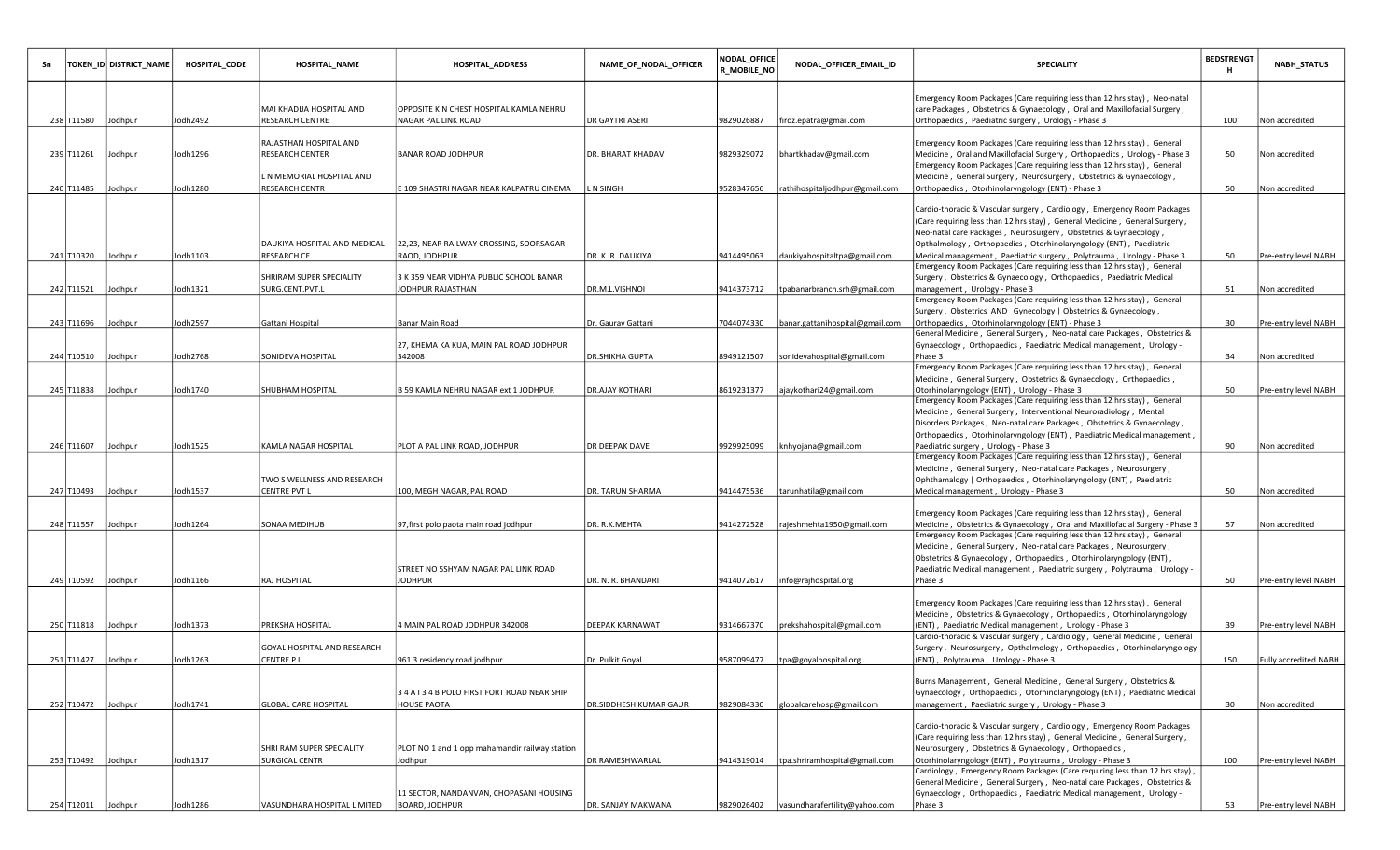| Sn |                    | TOKEN_ID  DISTRICT_NAME | HOSPITAL_CODE | <b>HOSPITAL_NAME</b>                               | HOSPITAL_ADDRESS                                               | NAME_OF_NODAL_OFFICER         | <b>NODAL_OFFICE</b><br>R_MOBILE_NO | NODAL_OFFICER_EMAIL_ID          | <b>SPECIALITY</b>                                                                                                                                                                                                                                                                              | <b>BEDSTRENGT</b><br>н | <b>NABH_STATUS</b>    |
|----|--------------------|-------------------------|---------------|----------------------------------------------------|----------------------------------------------------------------|-------------------------------|------------------------------------|---------------------------------|------------------------------------------------------------------------------------------------------------------------------------------------------------------------------------------------------------------------------------------------------------------------------------------------|------------------------|-----------------------|
|    | 238 T11580         |                         | Jodh2492      | MAI KHADIJA HOSPITAL AND<br><b>RESEARCH CENTRE</b> | OPPOSITE K N CHEST HOSPITAL KAMLA NEHRU<br>NAGAR PAL LINK ROAD | <b>DR GAYTRI ASERI</b>        | 9829026887                         |                                 | Emergency Room Packages (Care requiring less than 12 hrs stay), Neo-natal<br>care Packages, Obstetrics & Gynaecology, Oral and Maxillofacial Surgery,<br>Orthopaedics, Paediatric surgery, Urology - Phase 3                                                                                   |                        |                       |
|    |                    | Jodhpur                 |               | RAJASTHAN HOSPITAL AND                             |                                                                |                               |                                    | firoz.epatra@gmail.com          | Emergency Room Packages (Care requiring less than 12 hrs stay), General                                                                                                                                                                                                                        | 100                    | Non accredited        |
|    | 239 T11261 Jodhpur |                         | Jodh1296      | <b>RESEARCH CENTER</b>                             | <b>BANAR ROAD JODHPUR</b>                                      | <b>DR. BHARAT KHADAV</b>      | 9829329072                         | bhartkhadav@gmail.com           | Medicine, Oral and Maxillofacial Surgery, Orthopaedics, Urology - Phase 3                                                                                                                                                                                                                      | 50                     | Non accredited        |
|    | 240 T11485         | Jodhpur                 | Jodh1280      | L N MEMORIAL HOSPITAL AND<br><b>RESEARCH CENTR</b> | E 109 SHASTRI NAGAR NEAR KALPATRU CINEMA                       | L N SINGH                     | 9528347656                         | rathihospitaljodhpur@gmail.com  | Emergency Room Packages (Care requiring less than 12 hrs stay), General<br>Medicine, General Surgery, Neurosurgery, Obstetrics & Gynaecology,<br>Orthopaedics, Otorhinolaryngology (ENT) - Phase 3                                                                                             | 50                     | Non accredited        |
|    |                    |                         |               | DAUKIYA HOSPITAL AND MEDICAL                       | 22,23, NEAR RAILWAY CROSSING, SOORSAGAR                        |                               |                                    |                                 | Cardio-thoracic & Vascular surgery, Cardiology, Emergency Room Packages<br>(Care requiring less than 12 hrs stay), General Medicine, General Surgery,<br>Neo-natal care Packages, Neurosurgery, Obstetrics & Gynaecology,<br>Opthalmology, Orthopaedics, Otorhinolaryngology (ENT), Paediatric |                        |                       |
|    | 241 T10320 Jodhpur |                         | Jodh1103      | <b>RESEARCH CE</b>                                 | RAOD, JODHPUR                                                  | DR. K. R. DAUKIYA             | 9414495063                         | daukiyahospitaltpa@gmail.com    | Medical management, Paediatric surgery, Polytrauma, Urology - Phase 3                                                                                                                                                                                                                          | 50                     | Pre-entry level NABH  |
|    | 242 T11521         | Jodhpur                 | Jodh1321      | SHRIRAM SUPER SPECIALITY<br>SURG.CENT.PVT.L        | 3 K 359 NEAR VIDHYA PUBLIC SCHOOL BANAR<br>JODHPUR RAJASTHAN   | DR.M.L.VISHNOI                | 9414373712                         | tpabanarbranch.srh@gmail.com    | Emergency Room Packages (Care requiring less than 12 hrs stay), General<br>Surgery, Obstetrics & Gynaecology, Orthopaedics, Paediatric Medical<br>management, Urology - Phase 3                                                                                                                | 51                     | Non accredited        |
|    |                    |                         |               |                                                    |                                                                |                               |                                    |                                 | Emergency Room Packages (Care requiring less than 12 hrs stay), General                                                                                                                                                                                                                        |                        |                       |
|    |                    |                         |               |                                                    |                                                                |                               |                                    |                                 | Surgery, Obstetrics AND Gynecology   Obstetrics & Gynaecology,                                                                                                                                                                                                                                 |                        |                       |
|    | 243 T11696         | Jodhpur                 | Jodh2597      | Gattani Hospital                                   | Banar Main Road                                                | Dr. Gaurav Gattani            | 7044074330                         | banar.gattanihospital@gmail.com | Orthopaedics, Otorhinolaryngology (ENT) - Phase 3<br>General Medicine, General Surgery, Neo-natal care Packages, Obstetrics &                                                                                                                                                                  | 30                     | Pre-entry level NABH  |
|    |                    |                         |               |                                                    | 27, KHEMA KA KUA, MAIN PAL ROAD JODHPUR                        |                               |                                    |                                 | Gynaecology, Orthopaedics, Paediatric Medical management, Urology -                                                                                                                                                                                                                            |                        |                       |
|    | 244 T10510 Jodhpur |                         | Jodh2768      | SONIDEVA HOSPITAL                                  | 342008                                                         | <b>DR.SHIKHA GUPTA</b>        | 8949121507                         | sonidevahospital@gmail.com      | Phase 3                                                                                                                                                                                                                                                                                        | 34                     | Non accredited        |
|    |                    |                         |               |                                                    |                                                                |                               |                                    |                                 | Emergency Room Packages (Care requiring less than 12 hrs stay), General                                                                                                                                                                                                                        |                        |                       |
|    | 245 T11838         | Jodhpur                 | Jodh1740      | SHUBHAM HOSPITAL                                   | B 59 KAMLA NEHRU NAGAR ext 1 JODHPUR                           | <b>DR.AJAY KOTHARI</b>        | 8619231377                         | ajaykothari24@gmail.com         | Medicine, General Surgery, Obstetrics & Gynaecology, Orthopaedics,<br>Otorhinolaryngology (ENT), Urology - Phase 3                                                                                                                                                                             | 50                     | Pre-entry level NABH  |
|    |                    |                         |               |                                                    |                                                                |                               |                                    |                                 | Emergency Room Packages (Care requiring less than 12 hrs stay), General<br>Medicine, General Surgery, Interventional Neuroradiology, Mental<br>Disorders Packages, Neo-natal care Packages, Obstetrics & Gynaecology,                                                                          |                        |                       |
|    | 246 T11607 Jodhpur |                         | Jodh 1525     | KAMLA NAGAR HOSPITAL                               | PLOT A PAL LINK ROAD, JODHPUR                                  | <b>DR DEEPAK DAVE</b>         | 9929925099                         | knhyojana@gmail.com             | Orthopaedics, Otorhinolaryngology (ENT), Paediatric Medical management,<br>Paediatric surgery, Urology - Phase 3                                                                                                                                                                               | 90                     | Non accredited        |
|    | 247 T10493         | Jodhpur                 | Jodh1537      | TWO S WELLNESS AND RESEARCH<br><b>CENTRE PVT L</b> | 100, MEGH NAGAR, PAL ROAD                                      | DR. TARUN SHARMA              | 9414475536                         | tarunhatila@gmail.com           | Emergency Room Packages (Care requiring less than 12 hrs stay), General<br>Medicine, General Surgery, Neo-natal care Packages, Neurosurgery,<br>Ophthamalogy   Orthopaedics, Otorhinolaryngology (ENT), Paediatric<br>Medical management, Urology - Phase 3                                    | 50                     | Non accredited        |
|    | 248 T11557 Jodhpur |                         | Jodh1264      | SONAA MEDIHUB                                      | 97, first polo paota main road jodhpur                         | DR. R.K.MEHTA                 | 9414272528                         | rajeshmehta1950@gmail.com       | Emergency Room Packages (Care requiring less than 12 hrs stay), General<br>Medicine, Obstetrics & Gynaecology, Oral and Maxillofacial Surgery - Phase 3                                                                                                                                        | 57                     | Non accredited        |
|    |                    |                         |               |                                                    | STREET NO 5SHYAM NAGAR PAL LINK ROAD                           |                               |                                    |                                 | Emergency Room Packages (Care requiring less than 12 hrs stay), General<br>Medicine, General Surgery, Neo-natal care Packages, Neurosurgery,<br>Obstetrics & Gynaecology, Orthopaedics, Otorhinolaryngology (ENT),<br>Paediatric Medical management, Paediatric surgery, Polytrauma, Urology - |                        |                       |
|    | 249 T10592         | Jodhpur                 | Jodh1166      | RAJ HOSPITAL                                       | <b>JODHPUR</b>                                                 | DR. N. R. BHANDARI            | 9414072617                         | info@rajhospital.org            | Phase 3                                                                                                                                                                                                                                                                                        | 50                     | Pre-entry level NABH  |
|    | 250 T11818 Jodhpur |                         | Jodh 1373     | PREKSHA HOSPITAL                                   | 4 MAIN PAL ROAD JODHPUR 342008                                 | <b>DEEPAK KARNAWAT</b>        | 9314667370                         | prekshahospital@gmail.com       | Emergency Room Packages (Care requiring less than 12 hrs stay), General<br>Medicine, Obstetrics & Gynaecology, Orthopaedics, Otorhinolaryngology<br>(ENT), Paediatric Medical management, Urology - Phase 3                                                                                    | 39                     | Pre-entry level NABH  |
|    |                    |                         |               | GOYAL HOSPITAL AND RESEARCH                        |                                                                |                               |                                    |                                 | Cardio-thoracic & Vascular surgery, Cardiology, General Medicine, General<br>Surgery, Neurosurgery, Opthalmology, Orthopaedics, Otorhinolaryngology                                                                                                                                            |                        |                       |
|    | 251 T11427 Jodhpur |                         | Jodh 1263     | CENTRE P L                                         | 961 3 residency road jodhpur                                   | Dr. Pulkit Goyal              | 9587099477                         | tpa@goyalhospital.org           | (ENT), Polytrauma, Urology - Phase 3                                                                                                                                                                                                                                                           | 150                    | Fully accredited NABH |
|    |                    |                         |               |                                                    | 34 A I 34 B POLO FIRST FORT ROAD NEAR SHIP                     |                               |                                    |                                 | Burns Management, General Medicine, General Surgery, Obstetrics &<br>Gynaecology, Orthopaedics, Otorhinolaryngology (ENT), Paediatric Medical                                                                                                                                                  |                        |                       |
|    | 252 T10472 Jodhpur |                         | Jodh1741      | <b>GLOBAL CARE HOSPITAL</b>                        | <b>HOUSE PAOTA</b>                                             | <b>DR.SIDDHESH KUMAR GAUR</b> | 9829084330                         | globalcarehosp@gmail.com        | management, Paediatric surgery, Urology - Phase 3                                                                                                                                                                                                                                              | 30                     | Non accredited        |
|    | 253 T10492         | Jodhpur                 | Jodh 1317     | SHRI RAM SUPER SPECIALITY<br>SURGICAL CENTR        | PLOT NO 1 and 1 opp mahamandir railway station<br>Jodhpur      | <b>DR RAMESHWARLAL</b>        | 9414319014                         | tpa.shriramhospital@gmail.com   | Cardio-thoracic & Vascular surgery, Cardiology, Emergency Room Packages<br>(Care requiring less than 12 hrs stay), General Medicine, General Surgery,<br>Neurosurgery, Obstetrics & Gynaecology, Orthopaedics,<br>Otorhinolaryngology (ENT), Polytrauma, Urology - Phase 3                     | 100                    | Pre-entry level NABH  |
|    |                    |                         |               |                                                    | 11 SECTOR, NANDANVAN, CHOPASANI HOUSING                        |                               |                                    |                                 | Cardiology, Emergency Room Packages (Care requiring less than 12 hrs stay),<br>General Medicine, General Surgery, Neo-natal care Packages, Obstetrics &<br>Gynaecology, Orthopaedics, Paediatric Medical management, Urology -                                                                 |                        |                       |
|    | 254 T12011 Jodhpur |                         | Jodh1286      | VASUNDHARA HOSPITAL LIMITED                        | <b>BOARD, JODHPUR</b>                                          | DR. SANJAY MAKWANA            | 9829026402                         | vasundharafertility@yahoo.com   | Phase 3                                                                                                                                                                                                                                                                                        | 53                     | Pre-entry level NABH  |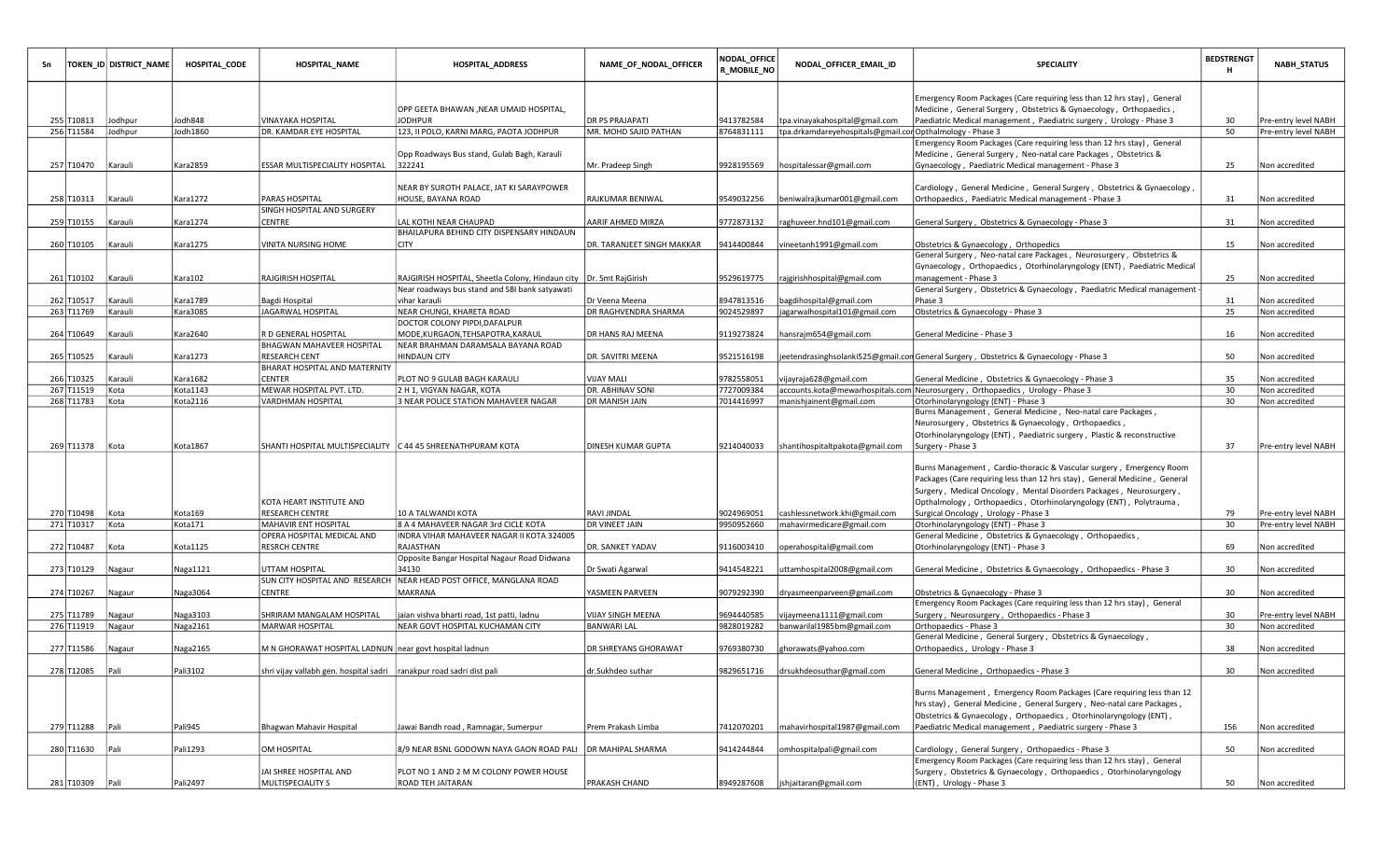| Sn |                 | TOKEN_ID DISTRICT_NAME | HOSPITAL_CODE | <b>HOSPITAL_NAME</b>                                                  | <b>HOSPITAL_ADDRESS</b>                                               | NAME_OF_NODAL_OFFICER      | NODAL_OFFICE<br><b>R_MOBILE_NO</b> | NODAL_OFFICER_EMAIL_ID                                    | <b>SPECIALITY</b>                                                                            | <b>BEDSTRENGT</b><br>н | <b>NABH_STATUS</b>   |
|----|-----------------|------------------------|---------------|-----------------------------------------------------------------------|-----------------------------------------------------------------------|----------------------------|------------------------------------|-----------------------------------------------------------|----------------------------------------------------------------------------------------------|------------------------|----------------------|
|    |                 |                        |               |                                                                       |                                                                       |                            |                                    |                                                           | Emergency Room Packages (Care requiring less than 12 hrs stay), General                      |                        |                      |
|    |                 |                        |               |                                                                       | OPP GEETA BHAWAN ,NEAR UMAID HOSPITAL,                                |                            |                                    |                                                           | Medicine, General Surgery, Obstetrics & Gynaecology, Orthopaedics,                           |                        |                      |
|    | 255 T10813      | Jodhpur                | Jodh848       | VINAYAKA HOSPITAL                                                     | <b>JODHPUR</b>                                                        | <b>DR PS PRAJAPATI</b>     | 9413782584                         | tpa.vinayakahospital@gmail.com                            | Paediatric Medical management, Paediatric surgery, Urology - Phase 3                         | 30                     | Pre-entry level NABH |
|    | 256 T11584      | Jodhpur                | Jodh1860      | DR. KAMDAR EYE HOSPITAL                                               | 123, II POLO, KARNI MARG, PAOTA JODHPUR                               | MR. MOHD SAJID PATHAN      | 8764831111                         | tpa.drkamdareyehospitals@gmail.cor Opthalmology - Phase 3 |                                                                                              | 50                     | Pre-entry level NABH |
|    |                 |                        |               |                                                                       |                                                                       |                            |                                    |                                                           | Emergency Room Packages (Care requiring less than 12 hrs stay), General                      |                        |                      |
|    | 257 T10470      | Karauli                | Kara2859      | <b>ESSAR MULTISPECIALITY HOSPITAL</b>                                 | Opp Roadways Bus stand, Gulab Bagh, Karauli<br>322241                 |                            | 9928195569                         |                                                           | Medicine, General Surgery, Neo-natal care Packages, Obstetrics &                             | 25                     | Non accredited       |
|    |                 |                        |               |                                                                       |                                                                       | Mr. Pradeep Singh          |                                    | hospitalessar@gmail.com                                   | Gynaecology, Paediatric Medical management - Phase 3                                         |                        |                      |
|    |                 |                        |               |                                                                       | NEAR BY SUROTH PALACE, JAT KI SARAYPOWER                              |                            |                                    |                                                           | Cardiology, General Medicine, General Surgery, Obstetrics & Gynaecology,                     |                        |                      |
|    | 258 T10313      | Karauli                | Kara1272      | <b>PARAS HOSPITAL</b>                                                 | HOUSE, BAYANA ROAD                                                    | RAJKUMAR BENIWAL           | 9549032256                         | beniwalrajkumar001@gmail.com                              | Orthopaedics, Paediatric Medical management - Phase 3                                        | 31                     | Non accredited       |
|    |                 |                        |               | SINGH HOSPITAL AND SURGERY                                            |                                                                       |                            |                                    |                                                           |                                                                                              |                        |                      |
|    | 259 T10155      | Karauli                | Kara1274      | CENTRE                                                                | LAL KOTHI NEAR CHAUPAD                                                | AARIF AHMED MIRZA          | 9772873132                         | raghuveer.hnd101@gmail.com                                | General Surgery, Obstetrics & Gynaecology - Phase 3                                          | 31                     | Non accredited       |
|    |                 |                        |               |                                                                       | BHAILAPURA BEHIND CITY DISPENSARY HINDAUN                             |                            |                                    |                                                           |                                                                                              |                        |                      |
|    | 260 T10105      | Karauli                | Kara1275      | VINITA NURSING HOME                                                   | <b>CITY</b>                                                           | DR. TARANJEET SINGH MAKKAR | 9414400844                         | vineetanh1991@gmail.com                                   | Obstetrics & Gynaecology, Orthopedics                                                        | 15                     | Non accredited       |
|    |                 |                        |               |                                                                       |                                                                       |                            |                                    |                                                           | General Surgery, Neo-natal care Packages, Neurosurgery, Obstetrics &                         |                        |                      |
|    |                 |                        |               |                                                                       |                                                                       |                            |                                    |                                                           | Gynaecology, Orthopaedics, Otorhinolaryngology (ENT), Paediatric Medical                     |                        |                      |
|    | 261 T10102      | Karauli                | Kara102       | RAJGIRISH HOSPITAL                                                    | RAJGIRISH HOSPITAL, Sheetla Colony, Hindaun city   Dr. Smt RajGirish  |                            | 9529619775                         | rajgirishhospital@gmail.com                               | management - Phase 3                                                                         | 25                     | Non accredited       |
|    |                 |                        |               |                                                                       | Near roadways bus stand and SBI bank satyawati                        |                            |                                    |                                                           | General Surgery, Obstetrics & Gynaecology, Paediatric Medical management                     |                        |                      |
|    | 262 T10517      | Karauli                | Kara1789      | Bagdi Hospital                                                        | vihar karauli                                                         | Dr Veena Meena             | 8947813516                         | bagdihospital@gmail.com                                   | Phase 3                                                                                      | 31                     | Non accredited       |
|    | 263 T11769      | Karauli                | Kara3085      | JAGARWAL HOSPITAL                                                     | NEAR CHUNGI, KHARETA ROAD                                             | DR RAGHVENDRA SHARMA       | 9024529897                         | jagarwalhospital101@gmail.com                             | Obstetrics & Gynaecology - Phase 3                                                           | 25                     | Non accredited       |
|    |                 |                        |               |                                                                       | DOCTOR COLONY PIPDI, DAFALPUR                                         |                            |                                    |                                                           |                                                                                              |                        |                      |
|    | 264 T10649      | Karauli                | Kara2640      | R D GENERAL HOSPITAL                                                  | MODE, KURGAON, TEHSAPOTRA, KARAUL                                     | DR HANS RAJ MEENA          | 9119273824                         | hansrajm654@gmail.com                                     | General Medicine - Phase 3                                                                   | 16                     | Non accredited       |
|    |                 |                        |               | BHAGWAN MAHAVEER HOSPITAL                                             | NEAR BRAHMAN DARAMSALA BAYANA ROAD                                    |                            |                                    |                                                           |                                                                                              |                        |                      |
|    | 265 T10525      | Karauli                | Kara1273      | <b>RESEARCH CENT</b>                                                  | <b>HINDAUN CITY</b>                                                   | DR. SAVITRI MEENA          | 9521516198                         |                                                           | eetendrasinghsolanki525@gmail.con General Surgery ,Obstetrics & Gynaecology - Phase 3        | 50                     | Non accredited       |
|    |                 |                        |               | BHARAT HOSPITAL AND MATERNITY                                         |                                                                       |                            |                                    |                                                           |                                                                                              |                        |                      |
|    | 266 T10325      | Karauli                | Kara1682      | CENTER                                                                | PLOT NO 9 GULAB BAGH KARAULI                                          | <b>VIJAY MALI</b>          | 9782558051                         | vijayraja628@gmail.com                                    | General Medicine, Obstetrics & Gynaecology - Phase 3                                         | 35                     | Non accredited       |
|    | 267 T11519      | Kota                   | Kota1143      | MEWAR HOSPITAL PVT. LTD.                                              | 2 H 1, VIGYAN NAGAR, KOTA                                             | <b>DR. ABHINAV SONI</b>    | 7727009384                         |                                                           | accounts.kota@mewarhospitals.com Neurosurgery, Orthopaedics, Urology - Phase 3               | 30                     | Non accredited       |
|    | 268 T11783      | Kota                   | Kota2116      | VARDHMAN HOSPITAL                                                     | 3 NEAR POLICE STATION MAHAVEER NAGAR                                  | <b>DR MANISH JAIN</b>      | 7014416997                         | manishjainent@gmail.com                                   | Otorhinolaryngology (ENT) - Phase 3                                                          | 30                     | Non accredited       |
|    |                 |                        |               |                                                                       |                                                                       |                            |                                    |                                                           | Burns Management, General Medicine, Neo-natal care Packages,                                 |                        |                      |
|    |                 |                        |               |                                                                       |                                                                       |                            |                                    |                                                           | Neurosurgery, Obstetrics & Gynaecology, Orthopaedics,                                        |                        |                      |
|    | 269 T11378 Kota |                        | Kota1867      |                                                                       |                                                                       | DINESH KUMAR GUPTA         |                                    |                                                           | Otorhinolaryngology (ENT), Paediatric surgery, Plastic & reconstructive<br>Surgery - Phase 3 | 37                     | Pre-entry level NABH |
|    |                 |                        |               |                                                                       |                                                                       |                            | 9214040033                         | shantihospitaltpakota@gmail.com                           |                                                                                              |                        |                      |
|    |                 |                        |               |                                                                       |                                                                       |                            |                                    |                                                           | Burns Management, Cardio-thoracic & Vascular surgery, Emergency Room                         |                        |                      |
|    |                 |                        |               |                                                                       |                                                                       |                            |                                    |                                                           | Packages (Care requiring less than 12 hrs stay), General Medicine, General                   |                        |                      |
|    |                 |                        |               |                                                                       |                                                                       |                            |                                    |                                                           | Surgery, Medical Oncology, Mental Disorders Packages, Neurosurgery,                          |                        |                      |
|    |                 |                        |               | KOTA HEART INSTITUTE AND                                              |                                                                       |                            |                                    |                                                           | Opthalmology, Orthopaedics, Otorhinolaryngology (ENT), Polytrauma,                           |                        |                      |
|    | 270 T10498      | Kota                   | Kota169       | RESEARCH CENTRE                                                       | 10 A TALWANDI KOTA                                                    | <b>RAVI JINDAL</b>         | 9024969051                         | cashlessnetwork.khi@gmail.com                             | Surgical Oncology, Urology - Phase 3                                                         | 79                     | Pre-entry level NABH |
|    | 271 T10317      | Kota                   | Kota171       | MAHAVIR ENT HOSPITAL                                                  | 8 A 4 MAHAVEER NAGAR 3rd CICLE KOTA                                   | <b>DR VINEET JAIN</b>      | 9950952660                         | mahavirmedicare@gmail.com                                 | Otorhinolaryngology (ENT) - Phase 3                                                          | 30                     | Pre-entry level NABH |
|    |                 |                        |               | OPERA HOSPITAL MEDICAL AND                                            | INDRA VIHAR MAHAVEER NAGAR II KOTA 324005                             |                            |                                    |                                                           | General Medicine, Obstetrics & Gynaecology, Orthopaedics,                                    |                        |                      |
|    | 272 T10487      | Kota                   | Kota1125      | RESRCH CENTRE                                                         | RAJASTHAN                                                             | DR. SANKET YADAV           | 9116003410                         | operahospital@gmail.com                                   | Otorhinolaryngology (ENT) - Phase 3                                                          | 69                     | Non accredited       |
|    |                 |                        |               |                                                                       | Opposite Bangar Hospital Nagaur Road Didwana                          |                            |                                    |                                                           |                                                                                              |                        |                      |
|    | 273 T10129      | Nagaur                 | Naga1121      | UTTAM HOSPITAL                                                        | 34130                                                                 | Dr Swati Agarwal           | 9414548221                         | uttamhospital2008@gmail.com                               | General Medicine, Obstetrics & Gynaecology, Orthopaedics - Phase 3                           | 30                     | Non accredited       |
|    |                 |                        |               |                                                                       | SUN CITY HOSPITAL AND RESEARCH   NEAR HEAD POST OFFICE, MANGLANA ROAD |                            |                                    |                                                           |                                                                                              |                        |                      |
|    | 274 T10267      | Nagaur                 | Naga3064      | CENTRE                                                                | MAKRANA                                                               | YASMEEN PARVEEN            | 9079292390                         | dryasmeenparveen@gmail.com                                | Obstetrics & Gynaecology - Phase 3                                                           | 30                     | Non accredited       |
|    |                 |                        |               |                                                                       |                                                                       |                            |                                    |                                                           | Emergency Room Packages (Care requiring less than 12 hrs stay), General                      |                        |                      |
|    | 275 T11789      | Nagaur                 | Naga3103      | SHRIRAM MANGALAM HOSPITAL                                             | jaian vishva bharti road, 1st patti, ladnu                            | VIJAY SINGH MEENA          | 9694440585                         | vijaymeena1111@gmail.com                                  | Surgery, Neurosurgery, Orthopaedics - Phase 3                                                | 30                     | Pre-entry level NABH |
|    | 276 T11919      | Nagaur                 | Naga2161      | MARWAR HOSPITAL                                                       | NEAR GOVT HOSPITAL KUCHAMAN CITY                                      | <b>BANWARI LAL</b>         | 9828019282                         | banwarilal1985bm@gmail.com                                | Orthopaedics - Phase 3                                                                       | 30                     | Non accredited       |
|    |                 |                        |               |                                                                       |                                                                       |                            |                                    |                                                           | General Medicine, General Surgery, Obstetrics & Gynaecology,                                 |                        |                      |
|    | 277 T11586      | Nagaur                 | Naga2165      | M N GHORAWAT HOSPITAL LADNUN  near govt hospital ladnun               |                                                                       | DR SHREYANS GHORAWAT       | 9769380730                         | ghorawats@yahoo.com                                       | Orthopaedics, Urology - Phase 3                                                              | 38                     | Non accredited       |
|    | 278 T12085      | Pali                   | Pali3102      | shri vijay vallabh gen. hospital sadri  ranakpur road sadri dist pali |                                                                       | dr.Sukhdeo suthar          |                                    | 9829651716   drsukhdeosuthar@gmail.com                    | General Medicine, Orthopaedics - Phase 3                                                     | 30                     | Non accredited       |
|    |                 |                        |               |                                                                       |                                                                       |                            |                                    |                                                           |                                                                                              |                        |                      |
|    |                 |                        |               |                                                                       |                                                                       |                            |                                    |                                                           | Burns Management, Emergency Room Packages (Care requiring less than 12                       |                        |                      |
|    |                 |                        |               |                                                                       |                                                                       |                            |                                    |                                                           | hrs stay), General Medicine, General Surgery, Neo-natal care Packages,                       |                        |                      |
|    |                 |                        |               |                                                                       |                                                                       |                            |                                    |                                                           | Obstetrics & Gynaecology, Orthopaedics, Otorhinolaryngology (ENT),                           |                        |                      |
|    | 279 T11288 Pali |                        | Pali945       | Bhagwan Mahavir Hospital                                              | Jawai Bandh road, Ramnagar, Sumerpur                                  | Prem Prakash Limba         | 7412070201                         | mahavirhospital1987@gmail.com                             | Paediatric Medical management, Paediatric surgery - Phase 3                                  | 156                    | Non accredited       |
|    |                 |                        |               |                                                                       |                                                                       |                            |                                    |                                                           |                                                                                              |                        |                      |
|    | 280 T11630      | Pali                   | Pali1293      | OM HOSPITAL                                                           | 8/9 NEAR BSNL GODOWN NAYA GAON ROAD PALI   DR MAHIPAL SHARMA          |                            | 9414244844                         | omhospitalpali@gmail.com                                  | Cardiology, General Surgery, Orthopaedics - Phase 3                                          | 50                     | Non accredited       |
|    |                 |                        |               |                                                                       |                                                                       |                            |                                    |                                                           | Emergency Room Packages (Care requiring less than 12 hrs stay), General                      |                        |                      |
|    |                 |                        |               | JAI SHREE HOSPITAL AND                                                | PLOT NO 1 AND 2 M M COLONY POWER HOUSE                                |                            |                                    |                                                           | Surgery, Obstetrics & Gynaecology, Orthopaedics, Otorhinolaryngology                         |                        |                      |
|    | 281 T10309      | Pali                   | Pali2497      | MULTISPECIALITY S                                                     | ROAD TEH JAITARAN                                                     | PRAKASH CHAND              | 8949287608                         | ishjaitaran@gmail.com                                     | (ENT), Urology - Phase 3                                                                     | 50                     | Non accredited       |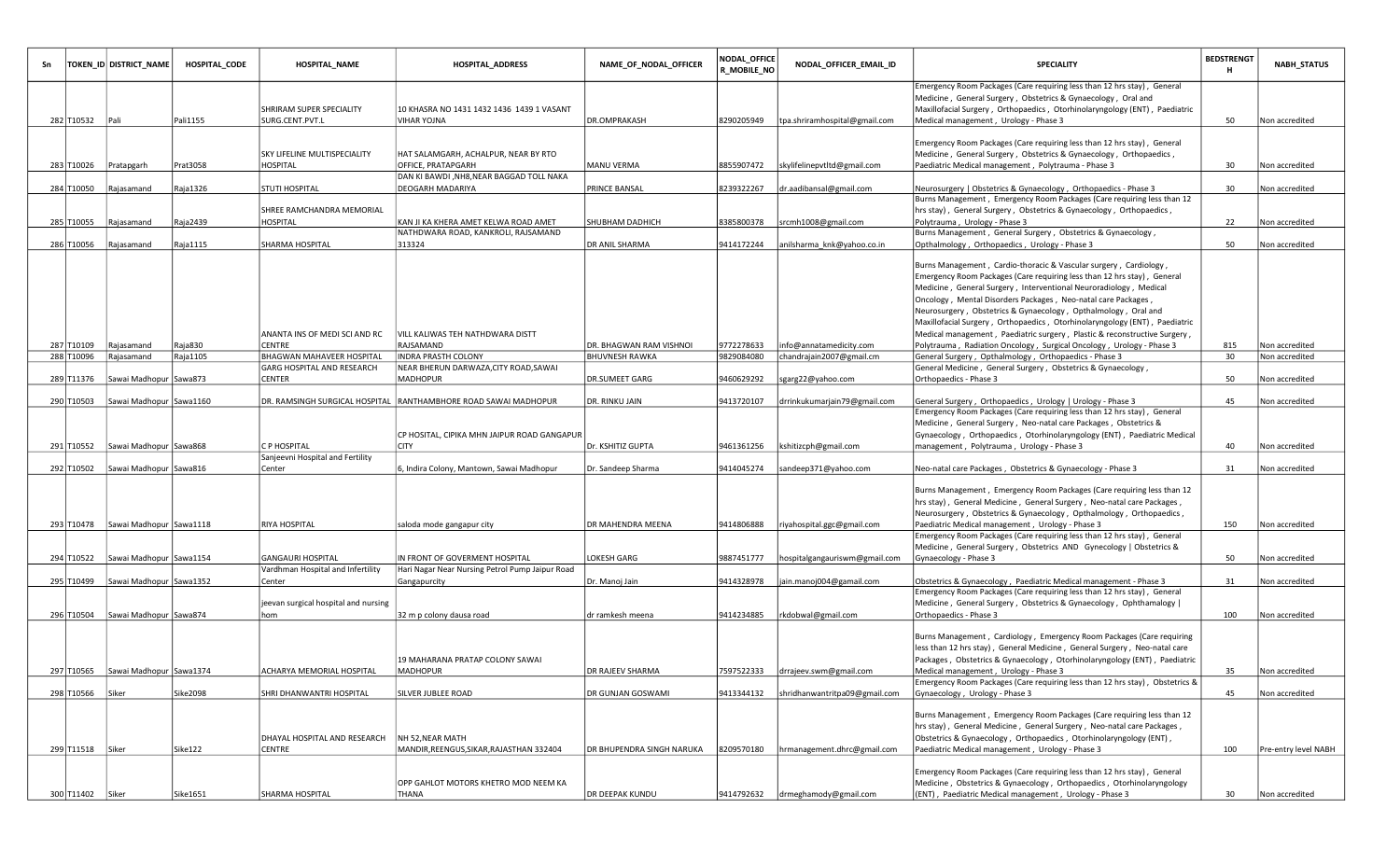| Sn |                                | TOKEN_ID DISTRICT_NAME             | HOSPITAL CODE              | <b>HOSPITAL_NAME</b>                                                      | HOSPITAL_ADDRESS                                                                   | NAME_OF_NODAL_OFFICER                          | <b>NODAL_OFFICE</b><br>R_MOBILE_NO | NODAL_OFFICER_EMAIL_ID                                       | <b>SPECIALITY</b>                                                                                                                                                                                                                                                                                                                                                                                                                                                                                               | <b>BEDSTRENGT</b><br>н | <b>NABH STATUS</b>                     |
|----|--------------------------------|------------------------------------|----------------------------|---------------------------------------------------------------------------|------------------------------------------------------------------------------------|------------------------------------------------|------------------------------------|--------------------------------------------------------------|-----------------------------------------------------------------------------------------------------------------------------------------------------------------------------------------------------------------------------------------------------------------------------------------------------------------------------------------------------------------------------------------------------------------------------------------------------------------------------------------------------------------|------------------------|----------------------------------------|
|    | 282 T10532 Pali                |                                    | Pali1155                   | <b>SHRIRAM SUPER SPECIALITY</b><br>SURG.CENT.PVT.L                        | 10 KHASRA NO 1431 1432 1436 1439 1 VASANT<br><b>VIHAR YOJNA</b>                    | DR.OMPRAKASH                                   | 8290205949                         | tpa.shriramhospital@gmail.com                                | Emergency Room Packages (Care requiring less than 12 hrs stay), General<br>Medicine, General Surgery, Obstetrics & Gynaecology, Oral and<br>Maxillofacial Surgery, Orthopaedics, Otorhinolaryngology (ENT), Paediatric<br>Medical management, Urology - Phase 3                                                                                                                                                                                                                                                 | 50                     | Non accredited                         |
|    |                                |                                    |                            | SKY LIFELINE MULTISPECIALITY                                              | HAT SALAMGARH, ACHALPUR, NEAR BY RTO                                               |                                                |                                    |                                                              | Emergency Room Packages (Care requiring less than 12 hrs stay), General<br>Medicine, General Surgery, Obstetrics & Gynaecology, Orthopaedics,                                                                                                                                                                                                                                                                                                                                                                   |                        |                                        |
|    | 283 T10026                     | Pratapgarh                         | Prat3058                   | HOSPITAL                                                                  | OFFICE, PRATAPGARH<br>DAN KI BAWDI , NH8, NEAR BAGGAD TOLL NAKA                    | <b>MANU VERMA</b>                              | 8855907472                         | skylifelinepvtltd@gmail.com                                  | Paediatric Medical management, Polytrauma - Phase 3                                                                                                                                                                                                                                                                                                                                                                                                                                                             | 30                     | Non accredited                         |
|    | 284 T10050                     | Rajasamand                         | Raja1326                   | <b>STUTI HOSPITAL</b>                                                     | <b>DEOGARH MADARIYA</b>                                                            | PRINCE BANSAL                                  | 8239322267                         | dr.aadibansal@gmail.com                                      | Neurosurgery   Obstetrics & Gynaecology, Orthopaedics - Phase 3                                                                                                                                                                                                                                                                                                                                                                                                                                                 | 30                     | Non accredited                         |
|    | 285 T10055                     | Rajasamand                         | Raja2439                   | SHREE RAMCHANDRA MEMORIAL<br>HOSPITAL                                     | KAN JI KA KHERA AMET KELWA ROAD AMET                                               | SHUBHAM DADHICH                                | 8385800378                         | srcmh1008@gmail.com                                          | Burns Management, Emergency Room Packages (Care requiring less than 12<br>hrs stay), General Surgery, Obstetrics & Gynaecology, Orthopaedics,<br>Polytrauma, Urology - Phase 3                                                                                                                                                                                                                                                                                                                                  | 22                     | Non accredited                         |
|    | 286 T10056                     | Rajasamand                         | Raja1115                   | SHARMA HOSPITAL                                                           | NATHDWARA ROAD, KANKROLI, RAJSAMAND<br>313324                                      | <b>DR ANIL SHARMA</b>                          | 9414172244                         | anilsharma knk@yahoo.co.in                                   | Burns Management, General Surgery, Obstetrics & Gynaecology,<br>Opthalmology, Orthopaedics, Urology - Phase 3                                                                                                                                                                                                                                                                                                                                                                                                   | 50                     | Non accredited                         |
|    | 287 T10109                     | Rajasamand                         | Raja830                    | ANANTA INS OF MEDI SCI AND RC<br><b>CENTRE</b>                            | VILL KALIWAS TEH NATHDWARA DISTT<br>RAJSAMAND                                      | DR. BHAGWAN RAM VISHNOI                        | 9772278633                         | info@annatamedicity.com                                      | Burns Management, Cardio-thoracic & Vascular surgery, Cardiology,<br>Emergency Room Packages (Care requiring less than 12 hrs stay), General<br>Medicine, General Surgery, Interventional Neuroradiology, Medical<br>Oncology, Mental Disorders Packages, Neo-natal care Packages,<br>Neurosurgery, Obstetrics & Gynaecology, Opthalmology, Oral and<br>Maxillofacial Surgery, Orthopaedics, Otorhinolaryngology (ENT), Paediatric<br>Medical management, Paediatric surgery, Plastic & reconstructive Surgery, | 815                    | Non accredited                         |
|    | 288 T10096                     | Rajasamand                         | Raja1105                   | BHAGWAN MAHAVEER HOSPITAL                                                 | INDRA PRASTH COLONY                                                                | <b>BHUVNESH RAWKA</b>                          | 9829084080                         | chandrajain2007@gmail.cm                                     | Polytrauma, Radiation Oncology, Surgical Oncology, Urology - Phase 3<br>General Surgery, Opthalmology, Orthopaedics - Phase 3                                                                                                                                                                                                                                                                                                                                                                                   | 30                     | Non accredited                         |
|    | 289 T11376                     | Sawai Madhopur Sawa873             |                            | GARG HOSPITAL AND RESEARCH<br><b>CENTER</b>                               | NEAR BHERUN DARWAZA, CITY ROAD, SAWAI<br><b>MADHOPUR</b>                           | <b>DR.SUMEET GARG</b>                          | 9460629292                         | sgarg22@yahoo.com                                            | General Medicine, General Surgery, Obstetrics & Gynaecology,<br>Orthopaedics - Phase 3                                                                                                                                                                                                                                                                                                                                                                                                                          | 50                     | Non accredited                         |
|    | 290 T10503                     | Sawai Madhopur Sawa1160            |                            |                                                                           | DR. RAMSINGH SURGICAL HOSPITAL   RANTHAMBHORE ROAD SAWAI MADHOPUR                  | DR. RINKU JAIN                                 | 9413720107                         | drrinkukumarjain79@gmail.com                                 | General Surgery, Orthopaedics, Urology   Urology - Phase 3<br>Emergency Room Packages (Care requiring less than 12 hrs stay), General<br>Medicine, General Surgery, Neo-natal care Packages, Obstetrics &                                                                                                                                                                                                                                                                                                       | 45                     | Non accredited                         |
|    |                                |                                    |                            |                                                                           | CP HOSITAL, CIPIKA MHN JAIPUR ROAD GANGAPUR                                        |                                                |                                    |                                                              | Gynaecology, Orthopaedics, Otorhinolaryngology (ENT), Paediatric Medical                                                                                                                                                                                                                                                                                                                                                                                                                                        |                        |                                        |
|    | 291 T10552                     | Sawai Madhopur Sawa868             |                            | C P HOSPITAL<br>Sanjeevni Hospital and Fertility                          | <b>CITY</b>                                                                        | Dr. KSHITIZ GUPTA                              | 9461361256                         | kshitizcph@gmail.com                                         | management, Polytrauma, Urology - Phase 3                                                                                                                                                                                                                                                                                                                                                                                                                                                                       | 40                     | Non accredited                         |
|    | 292 T10502                     | Sawai Madhopur Sawa816             |                            | Center                                                                    | 6, Indira Colony, Mantown, Sawai Madhopur                                          | Dr. Sandeep Sharma                             | 9414045274                         | sandeep371@yahoo.com                                         | Neo-natal care Packages, Obstetrics & Gynaecology - Phase 3                                                                                                                                                                                                                                                                                                                                                                                                                                                     | 31                     | Non accredited                         |
|    |                                | 293 T10478 Sawai Madhopur Sawa1118 |                            | <b>RIYA HOSPITAL</b>                                                      | saloda mode gangapur city                                                          | DR MAHENDRA MEENA                              | 9414806888                         | riyahospital.ggc@gmail.com                                   | Burns Management, Emergency Room Packages (Care requiring less than 12<br>hrs stay), General Medicine, General Surgery, Neo-natal care Packages,<br>Neurosurgery, Obstetrics & Gynaecology, Opthalmology, Orthopaedics,<br>Paediatric Medical management, Urology - Phase 3                                                                                                                                                                                                                                     | 150                    | Non accredited                         |
|    |                                |                                    |                            |                                                                           |                                                                                    |                                                |                                    |                                                              | Emergency Room Packages (Care requiring less than 12 hrs stay), General                                                                                                                                                                                                                                                                                                                                                                                                                                         |                        |                                        |
|    |                                | 294 T10522 Sawai Madhopur Sawa1154 |                            | <b>GANGAURI HOSPITAL</b>                                                  | IN FRONT OF GOVERMENT HOSPITAL                                                     | LOKESH GARG                                    | 9887451777                         | hospitalgangauriswm@gmail.com                                | Medicine, General Surgery, Obstetrics AND Gynecology   Obstetrics &<br>Gynaecology - Phase 3                                                                                                                                                                                                                                                                                                                                                                                                                    | 50                     | Non accredited                         |
|    | 295 T10499                     | Sawai Madhopur Sawa1352            |                            | Vardhman Hospital and Infertility<br>Center                               | Hari Nagar Near Nursing Petrol Pump Jaipur Road<br>Gangapurcity                    | Dr. Manoj Jain                                 | 9414328978                         | ain.manoj004@gamail.com                                      | Obstetrics & Gynaecology, Paediatric Medical management - Phase 3                                                                                                                                                                                                                                                                                                                                                                                                                                               | 31                     | Non accredited                         |
|    | 296 T10504                     | Sawai Madhopur Sawa874             |                            | jeevan surgical hospital and nursing<br>hom                               | 32 m p colony dausa road                                                           | dr ramkesh meena                               | 9414234885                         | rkdobwal@gmail.com                                           | Emergency Room Packages (Care requiring less than 12 hrs stay), General<br>Medicine, General Surgery, Obstetrics & Gynaecology, Ophthamalogy  <br>Orthopaedics - Phase 3                                                                                                                                                                                                                                                                                                                                        | 100                    | Non accredited                         |
|    |                                | 297 T10565 Sawai Madhopur Sawa1374 |                            | ACHARYA MEMORIAL HOSPITAL                                                 | 19 MAHARANA PRATAP COLONY SAWAI<br>MADHOPUR                                        | DR RAJEEV SHARMA                               | 7597522333                         | drrajeev.swm@gmail.com                                       | Burns Management, Cardiology, Emergency Room Packages (Care requiring<br>less than 12 hrs stay), General Medicine, General Surgery, Neo-natal care<br>Packages, Obstetrics & Gynaecology, Otorhinolaryngology (ENT), Paediatric<br>Medical management, Urology - Phase 3                                                                                                                                                                                                                                        | 35                     | Non accredited                         |
|    |                                |                                    |                            |                                                                           |                                                                                    |                                                |                                    |                                                              | Emergency Room Packages (Care requiring less than 12 hrs stay), Obstetrics &                                                                                                                                                                                                                                                                                                                                                                                                                                    |                        |                                        |
|    | 298 T10566<br>299 T11518 Siker | Siker                              | <b>Sike2098</b><br>Sike122 | SHRI DHANWANTRI HOSPITAL<br>DHAYAL HOSPITAL AND RESEARCH<br><b>CENTRE</b> | SILVER JUBLEE ROAD<br>NH 52, NEAR MATH<br>MANDIR, REENGUS, SIKAR, RAJASTHAN 332404 | DR GUNJAN GOSWAMI<br>DR BHUPENDRA SINGH NARUKA | 9413344132<br>8209570180           | shridhanwantritpa09@gmail.com<br>hrmanagement.dhrc@gmail.com | Gynaecology, Urology - Phase 3<br>Burns Management, Emergency Room Packages (Care requiring less than 12<br>hrs stay), General Medicine, General Surgery, Neo-natal care Packages,<br>Obstetrics & Gynaecology, Orthopaedics, Otorhinolaryngology (ENT),<br>Paediatric Medical management, Urology - Phase 3                                                                                                                                                                                                    | 45<br>100              | Non accredited<br>Pre-entry level NABH |
|    |                                |                                    |                            |                                                                           | OPP GAHLOT MOTORS KHETRO MOD NEEM KA                                               |                                                |                                    |                                                              | Emergency Room Packages (Care requiring less than 12 hrs stay), General<br>Medicine, Obstetrics & Gynaecology, Orthopaedics, Otorhinolaryngology                                                                                                                                                                                                                                                                                                                                                                |                        |                                        |
|    | 300 T11402 Siker               |                                    | Sike1651                   | SHARMA HOSPITAL                                                           | THANA                                                                              | DR DEEPAK KUNDU                                |                                    | 9414792632 drmeghamody@gmail.com                             | (ENT), Paediatric Medical management, Urology - Phase 3                                                                                                                                                                                                                                                                                                                                                                                                                                                         | 30                     | Non accredited                         |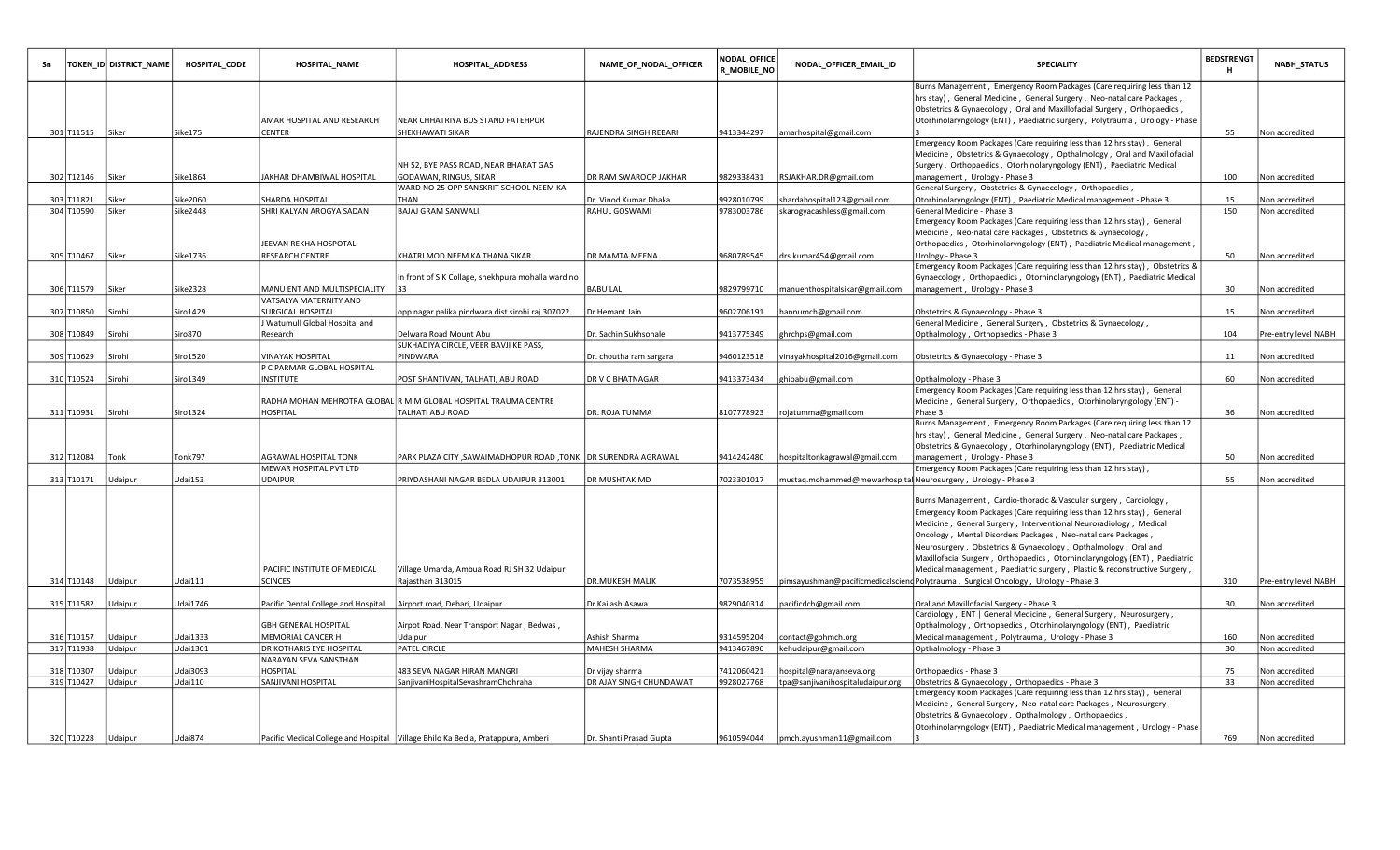|                  | TOKEN_ID DISTRICT_NAME | HOSPITAL_CODE   | <b>HOSPITAL_NAME</b>                                        | <b>HOSPITAL_ADDRESS</b>                                                           | NAME_OF_NODAL_OFFICER   | NODAL_OFFICE<br>R_MOBILE_NO | NODAL_OFFICER_EMAIL_ID                                        | SPECIALITY                                                                                                                                                                                                                  | <b>BEDSTRENGT</b><br>н | NABH_STATUS          |
|------------------|------------------------|-----------------|-------------------------------------------------------------|-----------------------------------------------------------------------------------|-------------------------|-----------------------------|---------------------------------------------------------------|-----------------------------------------------------------------------------------------------------------------------------------------------------------------------------------------------------------------------------|------------------------|----------------------|
|                  |                        |                 |                                                             |                                                                                   |                         |                             |                                                               | Burns Management, Emergency Room Packages (Care requiring less than 12<br>hrs stay), General Medicine, General Surgery, Neo-natal care Packages,<br>Obstetrics & Gynaecology, Oral and Maxillofacial Surgery, Orthopaedics, |                        |                      |
|                  |                        |                 | AMAR HOSPITAL AND RESEARCH                                  | NEAR CHHATRIYA BUS STAND FATEHPUR                                                 |                         |                             |                                                               | Otorhinolaryngology (ENT), Paediatric surgery, Polytrauma, Urology - Phase                                                                                                                                                  |                        |                      |
| 301 T11515 Siker |                        | Sike175         | CENTER                                                      | SHEKHAWATI SIKAR                                                                  | RAJENDRA SINGH REBARI   | 9413344297                  | amarhospital@gmail.com                                        |                                                                                                                                                                                                                             | 55                     | Non accredited       |
|                  |                        |                 |                                                             |                                                                                   |                         |                             |                                                               | Emergency Room Packages (Care requiring less than 12 hrs stay), General                                                                                                                                                     |                        |                      |
|                  |                        |                 |                                                             |                                                                                   |                         |                             |                                                               | Medicine, Obstetrics & Gynaecology, Opthalmology, Oral and Maxillofacial                                                                                                                                                    |                        |                      |
|                  |                        | Sike1864        |                                                             | NH 52, BYE PASS ROAD, NEAR BHARAT GAS                                             | DR RAM SWAROOP JAKHAR   |                             |                                                               | Surgery, Orthopaedics, Otorhinolaryngology (ENT), Paediatric Medical                                                                                                                                                        |                        |                      |
| 302 T12146 Siker |                        |                 | AKHAR DHAMBIWAL HOSPITAL                                    | GODAWAN, RINGUS, SIKAR<br>WARD NO 25 OPP SANSKRIT SCHOOL NEEM KA                  |                         | 9829338431                  | RSJAKHAR.DR@gmail.com                                         | management, Urology - Phase 3<br>General Surgery, Obstetrics & Gynaecology, Orthopaedics,                                                                                                                                   | 100                    | Non accredited       |
| 303 T11821       | Siker                  | Sike2060        | SHARDA HOSPITAL                                             | THAN                                                                              | Dr. Vinod Kumar Dhaka   | 9928010799                  | shardahospital123@gmail.com                                   | Otorhinolaryngology (ENT), Paediatric Medical management - Phase 3                                                                                                                                                          | 15                     | Non accredited       |
| 304 T10590 Siker |                        | <b>Sike2448</b> | SHRI KALYAN AROGYA SADAN                                    | <b>BAJAJ GRAM SANWALI</b>                                                         | RAHUL GOSWAMI           | 9783003786                  | skarogyacashless@gmail.com                                    | General Medicine - Phase 3                                                                                                                                                                                                  | 150                    | Non accredited       |
|                  |                        |                 |                                                             |                                                                                   |                         |                             |                                                               | Emergency Room Packages (Care requiring less than 12 hrs stay), General                                                                                                                                                     |                        |                      |
|                  |                        |                 |                                                             |                                                                                   |                         |                             |                                                               | Medicine, Neo-natal care Packages, Obstetrics & Gynaecology,                                                                                                                                                                |                        |                      |
|                  |                        |                 | EEVAN REKHA HOSPOTAL                                        |                                                                                   |                         |                             |                                                               | Orthopaedics, Otorhinolaryngology (ENT), Paediatric Medical management,                                                                                                                                                     |                        |                      |
| 305 T10467       | Siker                  | Sike1736        | RESEARCH CENTRE                                             | KHATRI MOD NEEM KA THANA SIKAR                                                    | DR MAMTA MEENA          | 9680789545                  | drs.kumar454@gmail.com                                        | Urology - Phase 3<br>Emergency Room Packages (Care requiring less than 12 hrs stay), Obstetrics &                                                                                                                           | 50                     | Non accredited       |
|                  |                        |                 |                                                             | In front of S K Collage, shekhpura mohalla ward no                                |                         |                             |                                                               | Gynaecology, Orthopaedics, Otorhinolaryngology (ENT), Paediatric Medical                                                                                                                                                    |                        |                      |
| 306 T11579       | Siker                  | Sike2328        | MANU ENT AND MULTISPECIALITY                                |                                                                                   | <b>BABU LAL</b>         | 9829799710                  | manuenthospitalsikar@gmail.com                                | management, Urology - Phase 3                                                                                                                                                                                               | 30                     | Non accredited       |
|                  |                        |                 | VATSALYA MATERNITY AND                                      |                                                                                   |                         |                             |                                                               |                                                                                                                                                                                                                             |                        |                      |
| 307 T10850       | Sirohi                 | Siro1429        | SURGICAL HOSPITAL                                           | opp nagar palika pindwara dist sirohi raj 307022                                  | Dr Hemant Jain          | 9602706191                  | hannumch@gmail.com                                            | Obstetrics & Gynaecology - Phase 3                                                                                                                                                                                          | 15                     | Non accredited       |
|                  |                        |                 | Watumull Global Hospital and                                |                                                                                   |                         |                             |                                                               | General Medicine, General Surgery, Obstetrics & Gynaecology,                                                                                                                                                                |                        |                      |
| 308 T10849       | Sirohi                 | Siro870         | Research                                                    | Delwara Road Mount Abu                                                            | Dr. Sachin Sukhsohale   | 9413775349                  | ghrchps@gmail.com                                             | Opthalmology, Orthopaedics - Phase 3                                                                                                                                                                                        | 104                    | Pre-entry level NABH |
|                  |                        |                 |                                                             | SUKHADIYA CIRCLE, VEER BAVJI KE PASS,                                             |                         |                             |                                                               |                                                                                                                                                                                                                             |                        |                      |
| 309 T10629       | Sirohi                 | Siro1520        | <b><i>INAYAK HOSPITAL</i></b><br>P C PARMAR GLOBAL HOSPITAL | PINDWARA                                                                          | Dr. choutha ram sargara | 9460123518                  | vinayakhospital2016@gmail.com                                 | Obstetrics & Gynaecology - Phase 3                                                                                                                                                                                          | 11                     | Non accredited       |
| 310 T10524       | Sirohi                 | Siro1349        | INSTITUTE                                                   | POST SHANTIVAN, TALHATI, ABU ROAD                                                 | DR V C BHATNAGAR        | 9413373434                  | ghioabu@gmail.com                                             | Opthalmology - Phase 3                                                                                                                                                                                                      | 60                     | Non accredited       |
|                  |                        |                 |                                                             |                                                                                   |                         |                             |                                                               | Emergency Room Packages (Care requiring less than 12 hrs stay), General                                                                                                                                                     |                        |                      |
|                  |                        |                 |                                                             | RADHA MOHAN MEHROTRA GLOBAL R M M GLOBAL HOSPITAL TRAUMA CENTRE                   |                         |                             |                                                               | Medicine, General Surgery, Orthopaedics, Otorhinolaryngology (ENT) -                                                                                                                                                        |                        |                      |
| 311 T10931       | Sirohi                 | Siro1324        | HOSPITAL                                                    | TALHATI ABU ROAD                                                                  | DR. ROJA TUMMA          | 3107778923                  | rojatumma@gmail.com                                           | Phase 3                                                                                                                                                                                                                     | 36                     | Non accredited       |
|                  |                        |                 |                                                             |                                                                                   |                         |                             |                                                               | Burns Management, Emergency Room Packages (Care requiring less than 12                                                                                                                                                      |                        |                      |
|                  |                        |                 |                                                             |                                                                                   |                         |                             |                                                               | hrs stay), General Medicine, General Surgery, Neo-natal care Packages,                                                                                                                                                      |                        |                      |
| 312 T12084       | Tonk                   | Tonk797         | <b>AGRAWAL HOSPITAL TONK</b>                                | PARK PLAZA CITY , SAWAIMADHOPUR ROAD , TONK   DR SURENDRA AGRAWAL                 |                         | 9414242480                  | hospitaltonkagrawal@gmail.com                                 | Obstetrics & Gynaecology, Otorhinolaryngology (ENT), Paediatric Medical<br>management, Urology - Phase 3                                                                                                                    | 50                     | Non accredited       |
|                  |                        |                 | MEWAR HOSPITAL PVT LTD                                      |                                                                                   |                         |                             |                                                               | Emergency Room Packages (Care requiring less than 12 hrs stay),                                                                                                                                                             |                        |                      |
| 313 T10171       | Udaipur                | Udai153         | <b>UDAIPUR</b>                                              | PRIYDASHANI NAGAR BEDLA UDAIPUR 313001                                            | DR MUSHTAK MD           | 7023301017                  | mustaq.mohammed@mewarhospital Neurosurgery, Urology - Phase 3 |                                                                                                                                                                                                                             | 55                     | Non accredited       |
|                  |                        |                 |                                                             |                                                                                   |                         |                             |                                                               |                                                                                                                                                                                                                             |                        |                      |
|                  |                        |                 |                                                             |                                                                                   |                         |                             |                                                               | Burns Management, Cardio-thoracic & Vascular surgery, Cardiology,                                                                                                                                                           |                        |                      |
|                  |                        |                 |                                                             |                                                                                   |                         |                             |                                                               | Emergency Room Packages (Care requiring less than 12 hrs stay), General                                                                                                                                                     |                        |                      |
|                  |                        |                 |                                                             |                                                                                   |                         |                             |                                                               | Medicine, General Surgery, Interventional Neuroradiology, Medical<br>Oncology, Mental Disorders Packages, Neo-natal care Packages,                                                                                          |                        |                      |
|                  |                        |                 |                                                             |                                                                                   |                         |                             |                                                               | Neurosurgery, Obstetrics & Gynaecology, Opthalmology, Oral and                                                                                                                                                              |                        |                      |
|                  |                        |                 |                                                             |                                                                                   |                         |                             |                                                               | Maxillofacial Surgery, Orthopaedics, Otorhinolaryngology (ENT), Paediatric                                                                                                                                                  |                        |                      |
|                  |                        |                 | PACIFIC INSTITUTE OF MEDICAL                                | Village Umarda, Ambua Road RJ SH 32 Udaipur                                       |                         |                             |                                                               | Medical management, Paediatric surgery, Plastic & reconstructive Surgery,                                                                                                                                                   |                        |                      |
| 314 T10148       | Jdaipur                | Udai111         | SCINCES                                                     | Rajasthan 313015                                                                  | <b>DR.MUKESH MALIK</b>  | 7073538955                  |                                                               | pimsayushman@pacificmedicalsciend Polytrauma, Surgical Oncology, Urology - Phase 3                                                                                                                                          | 310                    | Pre-entry level NABH |
|                  |                        |                 |                                                             |                                                                                   |                         |                             |                                                               |                                                                                                                                                                                                                             |                        |                      |
| 315 T11582       | Udaipur                | <b>Udai1746</b> | Pacific Dental College and Hospital                         | Airport road, Debari, Udaipur                                                     | Dr Kailash Asawa        | 9829040314                  | pacificdch@gmail.com                                          | Oral and Maxillofacial Surgery - Phase 3<br>Cardiology, ENT   General Medicine, General Surgery, Neurosurgery,                                                                                                              | 30                     | Non accredited       |
|                  |                        |                 | <b>GBH GENERAL HOSPITAL</b>                                 | Airpot Road, Near Transport Nagar, Bedwas,                                        |                         |                             |                                                               | Opthalmology, Orthopaedics, Otorhinolaryngology (ENT), Paediatric                                                                                                                                                           |                        |                      |
| 316 T10157       | Jdaipur                | Jdai1333        | MEMORIAL CANCER H                                           | Udaipur                                                                           | Ashish Sharma           | 9314595204                  | contact@gbhmch.org                                            | Medical management, Polytrauma, Urology - Phase 3                                                                                                                                                                           | 160                    | Non accredited       |
| 317 T11938       | Udaipur                | Udai1301        | DR KOTHARIS EYE HOSPITAL                                    | <b>PATEL CIRCLE</b>                                                               | MAHESH SHARMA           | 9413467896                  | kehudaipur@gmail.com                                          | Opthalmology - Phase 3                                                                                                                                                                                                      | 30                     | Non accredited       |
|                  |                        |                 | NARAYAN SEVA SANSTHAN                                       |                                                                                   |                         |                             |                                                               |                                                                                                                                                                                                                             |                        |                      |
| 318 T10307       | Jdaipur                | Udai3093        | <b>HOSPITAL</b>                                             | 483 SEVA NAGAR HIRAN MANGRI                                                       | Dr vijay sharma         | 7412060421                  | hospital@narayanseva.org                                      | Orthopaedics - Phase 3                                                                                                                                                                                                      | 75                     | Non accredited       |
| 319 T10427       | Udaipur                | <b>Udai110</b>  | SANJIVANI HOSPITAL                                          | SanjivaniHospitalSevashramChohraha                                                | DR AJAY SINGH CHUNDAWAT | 9928027768                  | tpa@sanjivanihospitaludaipur.org                              | Obstetrics & Gynaecology, Orthopaedics - Phase 3                                                                                                                                                                            | 33                     | Non accredited       |
|                  |                        |                 |                                                             |                                                                                   |                         |                             |                                                               | Emergency Room Packages (Care requiring less than 12 hrs stay), General<br>Medicine, General Surgery, Neo-natal care Packages, Neurosurgery,                                                                                |                        |                      |
|                  |                        |                 |                                                             |                                                                                   |                         |                             |                                                               | Obstetrics & Gynaecology, Opthalmology, Orthopaedics,                                                                                                                                                                       |                        |                      |
|                  |                        |                 |                                                             |                                                                                   |                         |                             |                                                               | Otorhinolaryngology (ENT), Paediatric Medical management, Urology - Phase                                                                                                                                                   |                        |                      |
|                  | 320 T10228 Udaipur     | Udai874         |                                                             | Pacific Medical College and Hospital   Village Bhilo Ka Bedla, Pratappura, Amberi | Dr. Shanti Prasad Gupta |                             | 9610594044  pmch.ayushman11@gmail.com                         |                                                                                                                                                                                                                             | 769                    | Non accredited       |